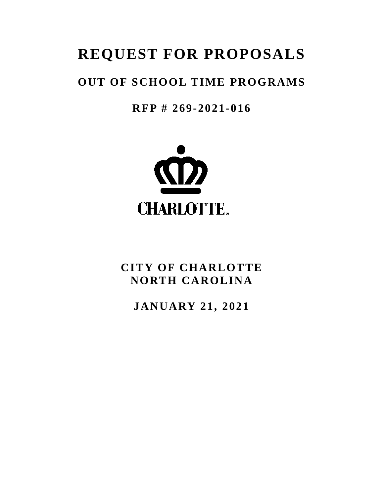# **REQUEST FOR PROPOSALS**

# **OUT OF SCHOOL TIME PROGRAMS**

**RFP # 269-2021-016**



# **CITY OF CHARLOTTE NORTH CAROLINA**

**JANUARY 21, 2021**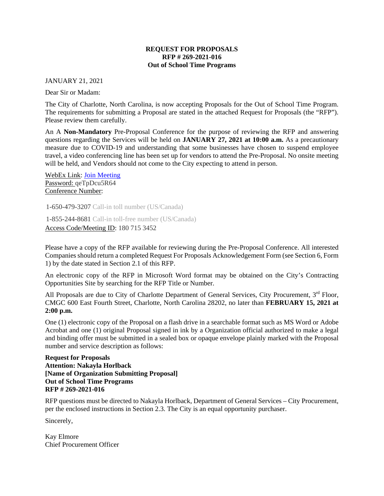#### **REQUEST FOR PROPOSALS RFP # 269-2021-016 Out of School Time Programs**

JANUARY 21, 2021

Dear Sir or Madam:

The City of Charlotte, North Carolina, is now accepting Proposals for the Out of School Time Program. The requirements for submitting a Proposal are stated in the attached Request for Proposals (the "RFP"). Please review them carefully.

An A **Non-Mandatory** Pre-Proposal Conference for the purpose of reviewing the RFP and answering questions regarding the Services will be held on **JANUARY 27, 2021 at 10:00 a.m.** As a precautionary measure due to COVID-19 and understanding that some businesses have chosen to suspend employee travel, a video conferencing line has been set up for vendors to attend the Pre-Proposal. No onsite meeting will be held, and Vendors should not come to the City expecting to attend in person.

WebEx Link: [Join Meeting](https://charlotte.webex.com/charlotte/j.php?MTID=m9c0cea8dbe934d63666a24f34ec9c8e5) Password: qeTpDcu5R64 Conference Number:

1-650-479-3207 Call-in toll number (US/Canada)

1-855-244-8681 Call-in toll-free number (US/Canada) Access Code/Meeting ID: 180 715 3452

Please have a copy of the RFP available for reviewing during the Pre-Proposal Conference. All interested Companies should return a completed Request For Proposals Acknowledgement Form (see Section 6, Form 1) by the date stated in Section 2.1 of this RFP.

An electronic copy of the RFP in Microsoft Word format may be obtained on the City's Contracting Opportunities Site by searching for the RFP Title or Number.

All Proposals are due to City of Charlotte Department of General Services, City Procurement, 3<sup>rd</sup> Floor, CMGC 600 East Fourth Street, Charlotte, North Carolina 28202, no later than **FEBRUARY 15, 2021 at 2:00 p.m.**

One (1) electronic copy of the Proposal on a flash drive in a searchable format such as MS Word or Adobe Acrobat and one (1) original Proposal signed in ink by a Organization official authorized to make a legal and binding offer must be submitted in a sealed box or opaque envelope plainly marked with the Proposal number and service description as follows:

**Request for Proposals Attention: Nakayla Horlback [Name of Organization Submitting Proposal] Out of School Time Programs RFP # 269-2021-016**

RFP questions must be directed to Nakayla Horlback, Department of General Services – City Procurement, per the enclosed instructions in Section 2.3. The City is an equal opportunity purchaser.

Sincerely,

Kay Elmore Chief Procurement Officer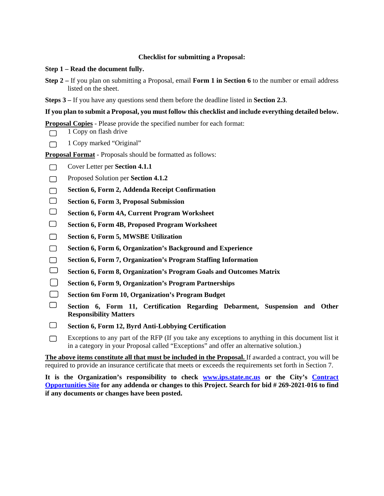# **Checklist for submitting a Proposal:**

#### **Step 1 – Read the document fully.**

- **Step 2 –** If you plan on submitting a Proposal, email **Form 1 in Section 6** to the number or email address listed on the sheet.
- **Steps 3 –** If you have any questions send them before the deadline listed in **Section 2.3**.

# **If you plan to submit a Proposal, you must follow this checklist and include everything detailed below.**

**Proposal Copies** - Please provide the specified number for each format:

- 1 Copy on flash drive  $\Box$
- 1 Copy marked "Original"  $\Box$

**Proposal Format** - Proposals should be formatted as follows:

- Cover Letter per **Section 4.1.1**  $\Box$
- Proposed Solution per **Section 4.1.2**  $\Box$
- **Section 6, Form 2, Addenda Receipt Confirmation**  $\Box$
- $\Box$ **Section 6, Form 3, Proposal Submission**
- $\Box$ **Section 6, Form 4A, Current Program Worksheet**
- $\Box$ **Section 6, Form 4B, Proposed Program Worksheet**
- $\Box$ **Section 6, Form 5, MWSBE Utilization**
- $\Box$ **Section 6, Form 6, Organization's Background and Experience**
- $\Box$ **Section 6, Form 7, Organization's Program Staffing Information**
- $\Box$ **Section 6, Form 8, Organization's Program Goals and Outcomes Matrix**
- $\Box$ **Section 6, Form 9, Organization's Program Partnerships**
- **Section 6m Form 10, Organization's Program Budget**
- $\Box$ **Section 6, Form 11, Certification Regarding Debarment, Suspension and Other Responsibility Matters**
- $\Box$ **Section 6, Form 12, Byrd Anti-Lobbying Certification**
- Exceptions to any part of the RFP (If you take any exceptions to anything in this document list it  $\Box$ in a category in your Proposal called "Exceptions" and offer an alternative solution.)

**The above items constitute all that must be included in the Proposal.** If awarded a contract, you will be required to provide an insurance certificate that meets or exceeds the requirements set forth in Section 7.

**It is the Organization's responsibility to check [www.ips.state.nc.us](http://www.ips.state.nc.us/) or the City's [Contract](http://charlottenc.gov/DoingBusiness/Pages/ContractOpportunities.aspx)  [Opportunities Site](http://charlottenc.gov/DoingBusiness/Pages/ContractOpportunities.aspx) for any addenda or changes to this Project. Search for bid # 269-2021-016 to find if any documents or changes have been posted.**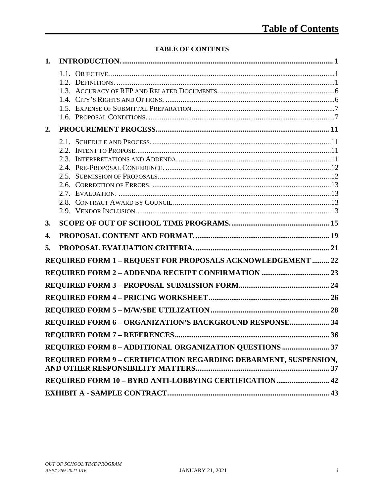# **TABLE OF CONTENTS**

| 1. |                                                                  |  |
|----|------------------------------------------------------------------|--|
|    |                                                                  |  |
|    |                                                                  |  |
|    |                                                                  |  |
|    |                                                                  |  |
| 2. |                                                                  |  |
|    |                                                                  |  |
|    |                                                                  |  |
|    |                                                                  |  |
|    |                                                                  |  |
|    |                                                                  |  |
|    |                                                                  |  |
|    |                                                                  |  |
|    |                                                                  |  |
| 3. |                                                                  |  |
|    |                                                                  |  |
| 4. |                                                                  |  |
| 5. |                                                                  |  |
|    | REQUIRED FORM 1 - REQUEST FOR PROPOSALS ACKNOWLEDGEMENT  22      |  |
|    |                                                                  |  |
|    |                                                                  |  |
|    |                                                                  |  |
|    |                                                                  |  |
|    | REQUIRED FORM 6 - ORGANIZATION'S BACKGROUND RESPONSE 34          |  |
|    |                                                                  |  |
|    | REQUIRED FORM 8 - ADDITIONAL ORGANIZATION QUESTIONS  37          |  |
|    | REQUIRED FORM 9 - CERTIFICATION REGARDING DEBARMENT, SUSPENSION, |  |
|    |                                                                  |  |
|    | REQUIRED FORM 10 - BYRD ANTI-LOBBYING CERTIFICATION 42           |  |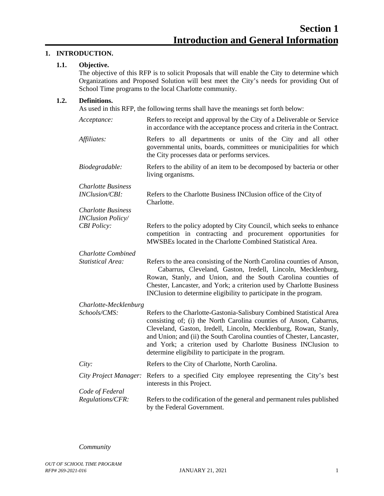# <span id="page-4-1"></span><span id="page-4-0"></span>**1. INTRODUCTION.**

# **1.1. Objective.**

The objective of this RFP is to solicit Proposals that will enable the City to determine which Organizations and Proposed Solution will best meet the City's needs for providing Out of School Time programs to the local Charlotte community.

# <span id="page-4-2"></span>**1.2. Definitions.**

As used in this RFP, the following terms shall have the meanings set forth below:

| Acceptance:               | Refers to receipt and approval by the City of a Deliverable or Service<br>in accordance with the acceptance process and criteria in the Contract.                                                                                                                                                                                                                                                                 |
|---------------------------|-------------------------------------------------------------------------------------------------------------------------------------------------------------------------------------------------------------------------------------------------------------------------------------------------------------------------------------------------------------------------------------------------------------------|
| Affiliates:               | Refers to all departments or units of the City and all other<br>governmental units, boards, committees or municipalities for which<br>the City processes data or performs services.                                                                                                                                                                                                                               |
| Biodegradable:            | Refers to the ability of an item to be decomposed by bacteria or other<br>living organisms.                                                                                                                                                                                                                                                                                                                       |
| <b>Charlotte Business</b> |                                                                                                                                                                                                                                                                                                                                                                                                                   |
| <b>INClusion/CBI:</b>     | Refers to the Charlotte Business INClusion office of the City of<br>Charlotte.                                                                                                                                                                                                                                                                                                                                    |
| <b>Charlotte Business</b> |                                                                                                                                                                                                                                                                                                                                                                                                                   |
| <b>INClusion Policy/</b>  |                                                                                                                                                                                                                                                                                                                                                                                                                   |
| <b>CBI</b> Policy:        | Refers to the policy adopted by City Council, which seeks to enhance<br>competition in contracting and procurement opportunities for<br>MWSBEs located in the Charlotte Combined Statistical Area.                                                                                                                                                                                                                |
| <b>Charlotte Combined</b> |                                                                                                                                                                                                                                                                                                                                                                                                                   |
| <b>Statistical Area:</b>  | Refers to the area consisting of the North Carolina counties of Anson,<br>Cabarrus, Cleveland, Gaston, Iredell, Lincoln, Mecklenburg,<br>Rowan, Stanly, and Union, and the South Carolina counties of<br>Chester, Lancaster, and York; a criterion used by Charlotte Business<br>INClusion to determine eligibility to participate in the program.                                                                |
| Charlotte-Mecklenburg     |                                                                                                                                                                                                                                                                                                                                                                                                                   |
| Schools/CMS:              | Refers to the Charlotte-Gastonia-Salisbury Combined Statistical Area<br>consisting of; (i) the North Carolina counties of Anson, Cabarrus,<br>Cleveland, Gaston, Iredell, Lincoln, Mecklenburg, Rowan, Stanly,<br>and Union; and (ii) the South Carolina counties of Chester, Lancaster,<br>and York; a criterion used by Charlotte Business INClusion to<br>determine eligibility to participate in the program. |
| City:                     | Refers to the City of Charlotte, North Carolina.                                                                                                                                                                                                                                                                                                                                                                  |
| City Project Manager:     | Refers to a specified City employee representing the City's best<br>interests in this Project.                                                                                                                                                                                                                                                                                                                    |
| Code of Federal           |                                                                                                                                                                                                                                                                                                                                                                                                                   |
| Regulations/CFR:          | Refers to the codification of the general and permanent rules published<br>by the Federal Government.                                                                                                                                                                                                                                                                                                             |

*Community*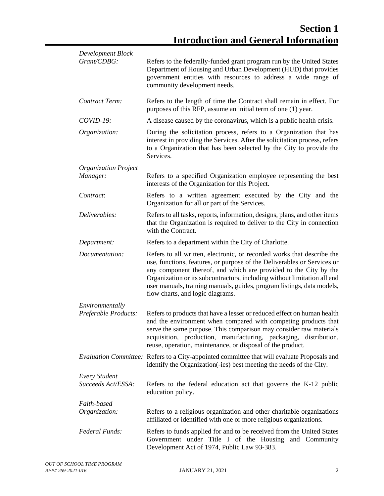| Development Block           |                                                                                                                                                                                                                                                                                                                                                                                                                 |
|-----------------------------|-----------------------------------------------------------------------------------------------------------------------------------------------------------------------------------------------------------------------------------------------------------------------------------------------------------------------------------------------------------------------------------------------------------------|
| Grant/CDBG:                 | Refers to the federally-funded grant program run by the United States<br>Department of Housing and Urban Development (HUD) that provides<br>government entities with resources to address a wide range of<br>community development needs.                                                                                                                                                                       |
| Contract Term:              | Refers to the length of time the Contract shall remain in effect. For<br>purposes of this RFP, assume an initial term of one (1) year.                                                                                                                                                                                                                                                                          |
| $COVID-19:$                 | A disease caused by the coronavirus, which is a public health crisis.                                                                                                                                                                                                                                                                                                                                           |
| Organization:               | During the solicitation process, refers to a Organization that has<br>interest in providing the Services. After the solicitation process, refers<br>to a Organization that has been selected by the City to provide the<br>Services.                                                                                                                                                                            |
| <b>Organization Project</b> |                                                                                                                                                                                                                                                                                                                                                                                                                 |
| Manager:                    | Refers to a specified Organization employee representing the best<br>interests of the Organization for this Project.                                                                                                                                                                                                                                                                                            |
| Contract:                   | Refers to a written agreement executed by the City and the<br>Organization for all or part of the Services.                                                                                                                                                                                                                                                                                                     |
| Deliverables:               | Refers to all tasks, reports, information, designs, plans, and other items<br>that the Organization is required to deliver to the City in connection<br>with the Contract.                                                                                                                                                                                                                                      |
| Department:                 | Refers to a department within the City of Charlotte.                                                                                                                                                                                                                                                                                                                                                            |
| Documentation:              | Refers to all written, electronic, or recorded works that describe the<br>use, functions, features, or purpose of the Deliverables or Services or<br>any component thereof, and which are provided to the City by the<br>Organization or its subcontractors, including without limitation all end<br>user manuals, training manuals, guides, program listings, data models,<br>flow charts, and logic diagrams. |
| Environmentally             |                                                                                                                                                                                                                                                                                                                                                                                                                 |
| Preferable Products:        | Refers to products that have a lesser or reduced effect on human health<br>and the environment when compared with competing products that<br>serve the same purpose. This comparison may consider raw materials<br>acquisition, production, manufacturing, packaging, distribution,<br>reuse, operation, maintenance, or disposal of the product.                                                               |
|                             | Evaluation Committee: Refers to a City-appointed committee that will evaluate Proposals and<br>identify the Organization (-ies) best meeting the needs of the City.                                                                                                                                                                                                                                             |
| <b>Every Student</b>        |                                                                                                                                                                                                                                                                                                                                                                                                                 |
| Succeeds Act/ESSA:          | Refers to the federal education act that governs the K-12 public<br>education policy.                                                                                                                                                                                                                                                                                                                           |
| Faith-based                 |                                                                                                                                                                                                                                                                                                                                                                                                                 |
| Organization:               | Refers to a religious organization and other charitable organizations<br>affiliated or identified with one or more religious organizations.                                                                                                                                                                                                                                                                     |
| Federal Funds:              | Refers to funds applied for and to be received from the United States<br>Government under Title I of the Housing and Community<br>Development Act of 1974, Public Law 93-383.                                                                                                                                                                                                                                   |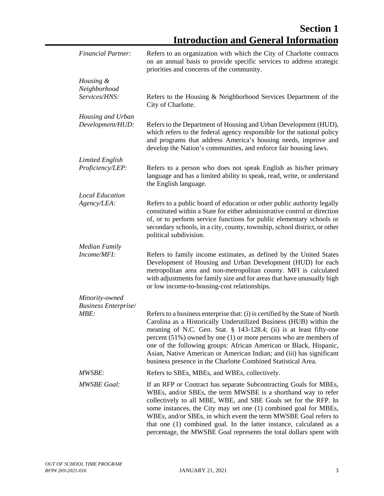| <b>Financial Partner:</b>                  | Refers to an organization with which the City of Charlotte contracts<br>on an annual basis to provide specific services to address strategic<br>priorities and concerns of the community.                                                                                                                                                                                                                                                                                                                         |
|--------------------------------------------|-------------------------------------------------------------------------------------------------------------------------------------------------------------------------------------------------------------------------------------------------------------------------------------------------------------------------------------------------------------------------------------------------------------------------------------------------------------------------------------------------------------------|
| Housing &<br>Neighborhood<br>Services/HNS: | Refers to the Housing & Neighborhood Services Department of the<br>City of Charlotte.                                                                                                                                                                                                                                                                                                                                                                                                                             |
| Housing and Urban<br>Development/HUD:      | Refers to the Department of Housing and Urban Development (HUD),<br>which refers to the federal agency responsible for the national policy<br>and programs that address America's housing needs, improve and<br>develop the Nation's communities, and enforce fair housing laws.                                                                                                                                                                                                                                  |
| <b>Limited English</b>                     |                                                                                                                                                                                                                                                                                                                                                                                                                                                                                                                   |
| Proficiency/LEP:                           | Refers to a person who does not speak English as his/her primary<br>language and has a limited ability to speak, read, write, or understand<br>the English language.                                                                                                                                                                                                                                                                                                                                              |
| <b>Local Education</b>                     |                                                                                                                                                                                                                                                                                                                                                                                                                                                                                                                   |
| Agency/LEA:                                | Refers to a public board of education or other public authority legally<br>constituted within a State for either administrative control or direction<br>of, or to perform service functions for public elementary schools or<br>secondary schools, in a city, county, township, school district, or other<br>political subdivision.                                                                                                                                                                               |
| <b>Median Family</b>                       |                                                                                                                                                                                                                                                                                                                                                                                                                                                                                                                   |
| Income/MFI:                                | Refers to family income estimates, as defined by the United States<br>Development of Housing and Urban Development (HUD) for each<br>metropolitan area and non-metropolitan county. MFI is calculated<br>with adjustments for family size and for areas that have unusually high<br>or low income-to-housing-cost relationships.                                                                                                                                                                                  |
| Minority-owned                             |                                                                                                                                                                                                                                                                                                                                                                                                                                                                                                                   |
| <b>Business Enterprise/</b>                |                                                                                                                                                                                                                                                                                                                                                                                                                                                                                                                   |
| MBE:                                       | Refers to a business enterprise that: (i) is certified by the State of North<br>Carolina as a Historically Underutilized Business (HUB) within the<br>meaning of N.C. Gen. Stat. $\S$ 143-128.4; (ii) is at least fifty-one<br>percent $(51\%)$ owned by one (1) or more persons who are members of<br>one of the following groups: African American or Black, Hispanic,<br>Asian, Native American or American Indian; and (iii) has significant<br>business presence in the Charlotte Combined Statistical Area. |
| <i>MWSBE:</i>                              | Refers to SBEs, MBEs, and WBEs, collectively.                                                                                                                                                                                                                                                                                                                                                                                                                                                                     |
| <b>MWSBE Goal:</b>                         | If an RFP or Contract has separate Subcontracting Goals for MBEs,<br>WBEs, and/or SBEs, the term MWSBE is a shorthand way to refer<br>collectively to all MBE, WBE, and SBE Goals set for the RFP. In<br>some instances, the City may set one (1) combined goal for MBEs,<br>WBEs, and/or SBEs, in which event the term MWSBE Goal refers to<br>that one (1) combined goal. In the latter instance, calculated as a<br>percentage, the MWSBE Goal represents the total dollars spent with                         |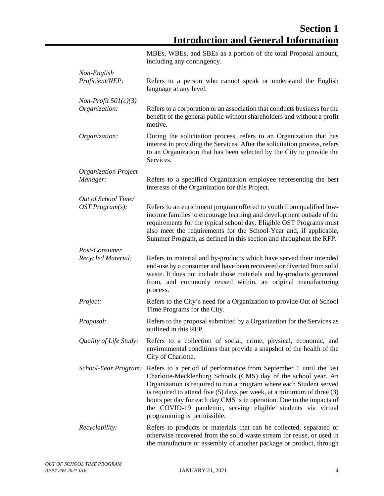|                                         | MBEs, WBEs, and SBEs as a portion of the total Proposal amount,<br>including any contingency.                                                                                                                                                                                                                                                                                                                                                                     |
|-----------------------------------------|-------------------------------------------------------------------------------------------------------------------------------------------------------------------------------------------------------------------------------------------------------------------------------------------------------------------------------------------------------------------------------------------------------------------------------------------------------------------|
| Non-English<br>Proficient/NEP:          | Refers to a person who cannot speak or understand the English<br>language at any level.                                                                                                                                                                                                                                                                                                                                                                           |
| $Non-Profit~501(c)(3)$<br>Organization: | Refers to a corporation or an association that conducts business for the<br>benefit of the general public without shareholders and without a profit<br>motive.                                                                                                                                                                                                                                                                                                    |
| Organization:                           | During the solicitation process, refers to an Organization that has<br>interest in providing the Services. After the solicitation process, refers<br>to an Organization that has been selected by the City to provide the<br>Services.                                                                                                                                                                                                                            |
| <b>Organization Project</b><br>Manager: | Refers to a specified Organization employee representing the best<br>interests of the Organization for this Project.                                                                                                                                                                                                                                                                                                                                              |
| Out of School Time/<br>OST Program(s):  | Refers to an enrichment program offered to youth from qualified low-<br>income families to encourage learning and development outside of the<br>requirements for the typical school day. Eligible OST Programs must<br>also meet the requirements for the School-Year and, if applicable,<br>Summer Program, as defined in this section and throughout the RFP.                                                                                                   |
| Post-Consumer<br>Recycled Material:     | Refers to material and by-products which have served their intended<br>end-use by a consumer and have been recovered or diverted from solid<br>waste. It does not include those materials and by-products generated<br>from, and commonly reused within, an original manufacturing<br>process.                                                                                                                                                                    |
| Project:                                | Refers to the City's need for a Organization to provide Out of School<br>Time Programs for the City.                                                                                                                                                                                                                                                                                                                                                              |
| Proposal:                               | Refers to the proposal submitted by a Organization for the Services as<br>outlined in this RFP.                                                                                                                                                                                                                                                                                                                                                                   |
| Quality of Life Study:                  | Refers to a collection of social, crime, physical, economic, and<br>environmental conditions that provide a snapshot of the health of the<br>City of Charlotte.                                                                                                                                                                                                                                                                                                   |
| School-Year Program:                    | Refers to a period of performance from September 1 until the last<br>Charlotte-Mecklenburg Schools (CMS) day of the school year. An<br>Organization is required to run a program where each Student served<br>is required to attend five $(5)$ days per week, at a minimum of three $(3)$<br>hours per day for each day CMS is in operation. Due to the impacts of<br>the COVID-19 pandemic, serving eligible students via virtual<br>programming is permissible. |
| Recyclability:                          | Refers to products or materials that can be collected, separated or<br>otherwise recovered from the solid waste stream for reuse, or used in<br>the manufacture or assembly of another package or product, through                                                                                                                                                                                                                                                |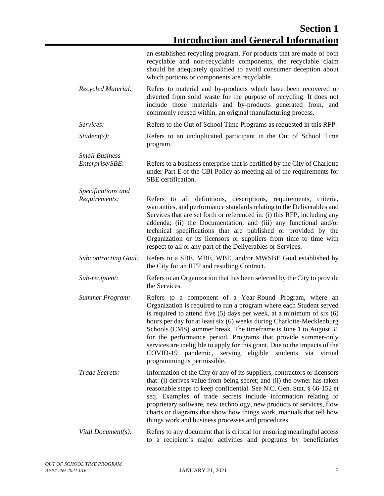|                                          | an established recycling program. For products that are made of both<br>recyclable and non-recyclable components, the recyclable claim<br>should be adequately qualified to avoid consumer deception about<br>which portions or components are recyclable.                                                                                                                                                                                                                                                                                                                                                  |
|------------------------------------------|-------------------------------------------------------------------------------------------------------------------------------------------------------------------------------------------------------------------------------------------------------------------------------------------------------------------------------------------------------------------------------------------------------------------------------------------------------------------------------------------------------------------------------------------------------------------------------------------------------------|
| Recycled Material:                       | Refers to material and by-products which have been recovered or<br>diverted from solid waste for the purpose of recycling. It does not<br>include those materials and by-products generated from, and<br>commonly reused within, an original manufacturing process.                                                                                                                                                                                                                                                                                                                                         |
| Services:                                | Refers to the Out of School Time Programs as requested in this RFP.                                                                                                                                                                                                                                                                                                                                                                                                                                                                                                                                         |
| $Student(s)$ :                           | Refers to an unduplicated participant in the Out of School Time<br>program.                                                                                                                                                                                                                                                                                                                                                                                                                                                                                                                                 |
| <b>Small Business</b><br>Enterprise/SBE: | Refers to a business enterprise that is certified by the City of Charlotte<br>under Part E of the CBI Policy as meeting all of the requirements for<br>SBE certification.                                                                                                                                                                                                                                                                                                                                                                                                                                   |
| Specifications and                       |                                                                                                                                                                                                                                                                                                                                                                                                                                                                                                                                                                                                             |
| Requirements:                            | Refers to all definitions, descriptions, requirements, criteria,<br>warranties, and performance standards relating to the Deliverables and<br>Services that are set forth or referenced in: (i) this RFP, including any<br>addenda; (ii) the Documentation; and (iii) any functional and/or<br>technical specifications that are published or provided by the<br>Organization or its licensors or suppliers from time to time with<br>respect to all or any part of the Deliverables or Services.                                                                                                           |
| <b>Subcontracting Goal:</b>              | Refers to a SBE, MBE, WBE, and/or MWSBE Goal established by<br>the City for an RFP and resulting Contract.                                                                                                                                                                                                                                                                                                                                                                                                                                                                                                  |
| Sub-recipient:                           | Refers to an Organization that has been selected by the City to provide<br>the Services.                                                                                                                                                                                                                                                                                                                                                                                                                                                                                                                    |
| Summer Program:                          | Refers to a component of a Year-Round Program, where an<br>Organization is required to run a program where each Student served<br>is required to attend five $(5)$ days per week, at a minimum of six $(6)$<br>hours per day for at least six (6) weeks during Charlotte-Mecklenburg<br>Schools (CMS) summer break. The timeframe is June 1 to August 31<br>for the performance period. Programs that provide summer-only<br>services are ineligible to apply for this grant. Due to the impacts of the<br>COVID-19<br>pandemic, serving eligible<br>students via<br>virtual<br>programming is permissible. |
| Trade Secrets:                           | Information of the City or any of its suppliers, contractors or licensors<br>that: (i) derives value from being secret; and (ii) the owner has taken<br>reasonable steps to keep confidential. See N.C. Gen. Stat. § 66-152 et<br>seq. Examples of trade secrets include information relating to<br>proprietary software, new technology, new products or services, flow<br>charts or diagrams that show how things work, manuals that tell how<br>things work and business processes and procedures.                                                                                                       |
| Vital Document(s):                       | Refers to any document that is critical for ensuring meaningful access<br>to a recipient's major activities and programs by beneficiaries                                                                                                                                                                                                                                                                                                                                                                                                                                                                   |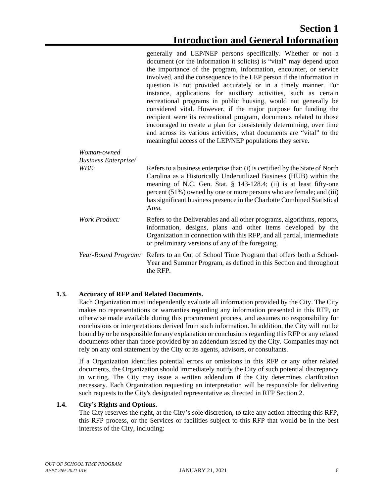|                                            | generally and LEP/NEP persons specifically. Whether or not a<br>document (or the information it solicits) is "vital" may depend upon<br>the importance of the program, information, encounter, or service<br>involved, and the consequence to the LEP person if the information in<br>question is not provided accurately or in a timely manner. For<br>instance, applications for auxiliary activities, such as certain<br>recreational programs in public housing, would not generally be<br>considered vital. However, if the major purpose for funding the<br>recipient were its recreational program, documents related to those<br>encouraged to create a plan for consistently determining, over time<br>and across its various activities, what documents are "vital" to the<br>meaningful access of the LEP/NEP populations they serve. |
|--------------------------------------------|--------------------------------------------------------------------------------------------------------------------------------------------------------------------------------------------------------------------------------------------------------------------------------------------------------------------------------------------------------------------------------------------------------------------------------------------------------------------------------------------------------------------------------------------------------------------------------------------------------------------------------------------------------------------------------------------------------------------------------------------------------------------------------------------------------------------------------------------------|
| Woman-owned<br><b>Business Enterprise/</b> |                                                                                                                                                                                                                                                                                                                                                                                                                                                                                                                                                                                                                                                                                                                                                                                                                                                  |
| WBE:                                       | Refers to a business enterprise that: (i) is certified by the State of North<br>Carolina as a Historically Underutilized Business (HUB) within the<br>meaning of N.C. Gen. Stat. § 143-128.4; (ii) is at least fifty-one<br>percent (51%) owned by one or more persons who are female; and (iii)<br>has significant business presence in the Charlotte Combined Statistical<br>Area.                                                                                                                                                                                                                                                                                                                                                                                                                                                             |
| <b>Work Product:</b>                       | Refers to the Deliverables and all other programs, algorithms, reports,<br>information, designs, plans and other items developed by the<br>Organization in connection with this RFP, and all partial, intermediate<br>or preliminary versions of any of the foregoing.                                                                                                                                                                                                                                                                                                                                                                                                                                                                                                                                                                           |
| Year-Round Program:                        | Refers to an Out of School Time Program that offers both a School-<br>Year and Summer Program, as defined in this Section and throughout<br>the RFP.                                                                                                                                                                                                                                                                                                                                                                                                                                                                                                                                                                                                                                                                                             |

# <span id="page-9-0"></span>**1.3. Accuracy of RFP and Related Documents.**

Each Organization must independently evaluate all information provided by the City. The City makes no representations or warranties regarding any information presented in this RFP, or otherwise made available during this procurement process, and assumes no responsibility for conclusions or interpretations derived from such information. In addition, the City will not be bound by or be responsible for any explanation or conclusions regarding this RFP or any related documents other than those provided by an addendum issued by the City. Companies may not rely on any oral statement by the City or its agents, advisors, or consultants.

If a Organization identifies potential errors or omissions in this RFP or any other related documents, the Organization should immediately notify the City of such potential discrepancy in writing. The City may issue a written addendum if the City determines clarification necessary. Each Organization requesting an interpretation will be responsible for delivering such requests to the City's designated representative as directed in RFP Section 2.

# <span id="page-9-1"></span>**1.4. City's Rights and Options.**

The City reserves the right, at the City's sole discretion, to take any action affecting this RFP, this RFP process, or the Services or facilities subject to this RFP that would be in the best interests of the City, including: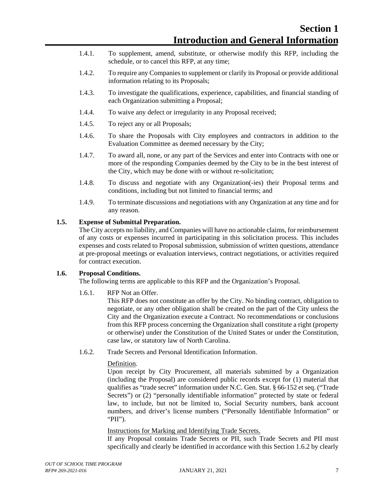- 1.4.1. To supplement, amend, substitute, or otherwise modify this RFP, including the schedule, or to cancel this RFP, at any time;
- 1.4.2. To require any Companies to supplement or clarify its Proposal or provide additional information relating to its Proposals;
- 1.4.3. To investigate the qualifications, experience, capabilities, and financial standing of each Organization submitting a Proposal;
- 1.4.4. To waive any defect or irregularity in any Proposal received;
- 1.4.5. To reject any or all Proposals;
- 1.4.6. To share the Proposals with City employees and contractors in addition to the Evaluation Committee as deemed necessary by the City;
- 1.4.7. To award all, none, or any part of the Services and enter into Contracts with one or more of the responding Companies deemed by the City to be in the best interest of the City, which may be done with or without re-solicitation;
- 1.4.8. To discuss and negotiate with any Organization(-ies) their Proposal terms and conditions, including but not limited to financial terms; and
- 1.4.9. To terminate discussions and negotiations with any Organization at any time and for any reason.

# <span id="page-10-0"></span>**1.5. Expense of Submittal Preparation.**

The City accepts no liability, and Companies will have no actionable claims, for reimbursement of any costs or expenses incurred in participating in this solicitation process. This includes expenses and costs related to Proposal submission, submission of written questions, attendance at pre-proposal meetings or evaluation interviews, contract negotiations, or activities required for contract execution.

# <span id="page-10-1"></span>**1.6. Proposal Conditions.**

The following terms are applicable to this RFP and the Organization's Proposal.

1.6.1. RFP Not an Offer.

This RFP does not constitute an offer by the City. No binding contract, obligation to negotiate, or any other obligation shall be created on the part of the City unless the City and the Organization execute a Contract. No recommendations or conclusions from this RFP process concerning the Organization shall constitute a right (property or otherwise) under the Constitution of the United States or under the Constitution, case law, or statutory law of North Carolina.

1.6.2. Trade Secrets and Personal Identification Information.

# Definition.

Upon receipt by City Procurement, all materials submitted by a Organization (including the Proposal) are considered public records except for (1) material that qualifies as "trade secret" information under N.C. Gen. Stat. § 66-152 et seq. ("Trade Secrets") or (2) "personally identifiable information" protected by state or federal law, to include, but not be limited to, Social Security numbers, bank account numbers, and driver's license numbers ("Personally Identifiable Information" or "PII").

#### Instructions for Marking and Identifying Trade Secrets.

If any Proposal contains Trade Secrets or PII, such Trade Secrets and PII must specifically and clearly be identified in accordance with this Section 1.6.2 by clearly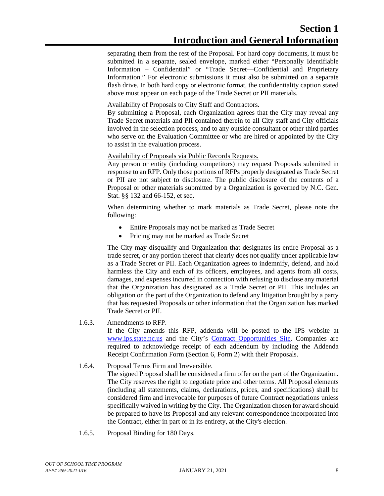separating them from the rest of the Proposal. For hard copy documents, it must be submitted in a separate, sealed envelope, marked either "Personally Identifiable Information – Confidential" or "Trade Secret—Confidential and Proprietary Information." For electronic submissions it must also be submitted on a separate flash drive. In both hard copy or electronic format, the confidentiality caption stated above must appear on each page of the Trade Secret or PII materials.

Availability of Proposals to City Staff and Contractors.

By submitting a Proposal, each Organization agrees that the City may reveal any Trade Secret materials and PII contained therein to all City staff and City officials involved in the selection process, and to any outside consultant or other third parties who serve on the Evaluation Committee or who are hired or appointed by the City to assist in the evaluation process.

# Availability of Proposals via Public Records Requests.

Any person or entity (including competitors) may request Proposals submitted in response to an RFP. Only those portions of RFPs properly designated as Trade Secret or PII are not subject to disclosure. The public disclosure of the contents of a Proposal or other materials submitted by a Organization is governed by N.C. Gen. Stat. §§ 132 and 66-152, et seq.

When determining whether to mark materials as Trade Secret, please note the following:

- Entire Proposals may not be marked as Trade Secret
- Pricing may not be marked as Trade Secret

The City may disqualify and Organization that designates its entire Proposal as a trade secret, or any portion thereof that clearly does not qualify under applicable law as a Trade Secret or PII. Each Organization agrees to indemnify, defend, and hold harmless the City and each of its officers, employees, and agents from all costs, damages, and expenses incurred in connection with refusing to disclose any material that the Organization has designated as a Trade Secret or PII. This includes an obligation on the part of the Organization to defend any litigation brought by a party that has requested Proposals or other information that the Organization has marked Trade Secret or PII.

# 1.6.3. Amendments to RFP.

If the City amends this RFP, addenda will be posted to the IPS website at [www.ips.state.nc.us](http://www.ips.state.nc.us/) and the City's [Contract Opportunities Site.](http://charlottenc.gov/DoingBusiness/Pages/ContractOpportunities.aspx) Companies are required to acknowledge receipt of each addendum by including the Addenda Receipt Confirmation Form (Section 6, Form 2) with their Proposals.

# 1.6.4. Proposal Terms Firm and Irreversible.

The signed Proposal shall be considered a firm offer on the part of the Organization. The City reserves the right to negotiate price and other terms. All Proposal elements (including all statements, claims, declarations, prices, and specifications) shall be considered firm and irrevocable for purposes of future Contract negotiations unless specifically waived in writing by the City. The Organization chosen for award should be prepared to have its Proposal and any relevant correspondence incorporated into the Contract, either in part or in its entirety, at the City's election.

1.6.5. Proposal Binding for 180 Days.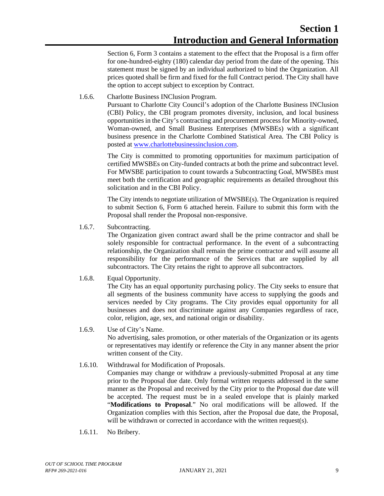Section 6, Form 3 contains a statement to the effect that the Proposal is a firm offer for one-hundred-eighty (180) calendar day period from the date of the opening. This statement must be signed by an individual authorized to bind the Organization. All prices quoted shall be firm and fixed for the full Contract period. The City shall have the option to accept subject to exception by Contract.

# 1.6.6. Charlotte Business INClusion Program.

Pursuant to Charlotte City Council's adoption of the Charlotte Business INClusion (CBI) Policy, the CBI program promotes diversity, inclusion, and local business opportunities in the City's contracting and procurement process for Minority-owned, Woman-owned, and Small Business Enterprises (MWSBEs) with a significant business presence in the Charlotte Combined Statistical Area. The CBI Policy is posted at [www.charlottebusinessinclusion.com.](http://www.charlottebusinessinclusion.com/)

The City is committed to promoting opportunities for maximum participation of certified MWSBEs on City-funded contracts at both the prime and subcontract level. For MWSBE participation to count towards a Subcontracting Goal, MWSBEs must meet both the certification and geographic requirements as detailed throughout this solicitation and in the CBI Policy.

The City intends to negotiate utilization of MWSBE(s). The Organization is required to submit Section 6, Form 6 attached herein. Failure to submit this form with the Proposal shall render the Proposal non-responsive.

1.6.7. Subcontracting.

The Organization given contract award shall be the prime contractor and shall be solely responsible for contractual performance. In the event of a subcontracting relationship, the Organization shall remain the prime contractor and will assume all responsibility for the performance of the Services that are supplied by all subcontractors. The City retains the right to approve all subcontractors.

1.6.8. Equal Opportunity.

The City has an equal opportunity purchasing policy. The City seeks to ensure that all segments of the business community have access to supplying the goods and services needed by City programs. The City provides equal opportunity for all businesses and does not discriminate against any Companies regardless of race, color, religion, age, sex, and national origin or disability.

- 1.6.9. Use of City's Name. No advertising, sales promotion, or other materials of the Organization or its agents or representatives may identify or reference the City in any manner absent the prior written consent of the City.
- 1.6.10. Withdrawal for Modification of Proposals. Companies may change or withdraw a previously-submitted Proposal at any time prior to the Proposal due date. Only formal written requests addressed in the same manner as the Proposal and received by the City prior to the Proposal due date will be accepted. The request must be in a sealed envelope that is plainly marked "**Modifications to Proposal**." No oral modifications will be allowed. If the Organization complies with this Section, after the Proposal due date, the Proposal, will be withdrawn or corrected in accordance with the written request(s).
- 1.6.11. No Bribery.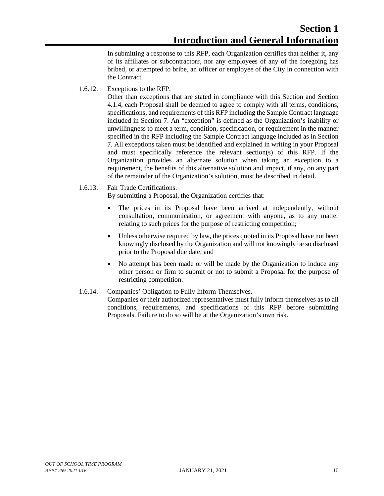In submitting a response to this RFP, each Organization certifies that neither it, any of its affiliates or subcontractor*s*, nor any employees of any of the foregoing has bribed, or attempted to bribe, an officer or employee of the City in connection with the Contract.

1.6.12. Exceptions to the RFP.

Other than exceptions that are stated in compliance with this Section and Section 4.1.4, each Proposal shall be deemed to agree to comply with all terms, conditions, specifications, and requirements of this RFP including the Sample Contract language included in Section 7. An "exception" is defined as the Organization's inability or unwillingness to meet a term, condition, specification, or requirement in the manner specified in the RFP including the Sample Contract language included as in Section 7. All exceptions taken must be identified and explained in writing in your Proposal and must specifically reference the relevant section(s) of this RFP. If the Organization provides an alternate solution when taking an exception to a requirement, the benefits of this alternative solution and impact, if any, on any part of the remainder of the Organization's solution, must be described in detail.

# 1.6.13. Fair Trade Certifications.

By submitting a Proposal, the Organization certifies that:

- The prices in its Proposal have been arrived at independently, without consultation, communication, or agreement with anyone, as to any matter relating to such prices for the purpose of restricting competition;
- Unless otherwise required by law, the prices quoted in its Proposal have not been knowingly disclosed by the Organization and will not knowingly be so disclosed prior to the Proposal due date; and
- No attempt has been made or will be made by the Organization to induce any other person or firm to submit or not to submit a Proposal for the purpose of restricting competition.
- 1.6.14. Companies' Obligation to Fully Inform Themselves. Companies or their authorized representatives must fully inform themselves as to all conditions, requirements, and specifications of this RFP before submitting Proposals. Failure to do so will be at the Organization's own risk.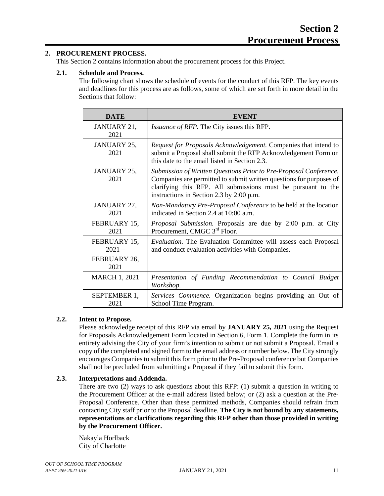# <span id="page-14-0"></span>**2. PROCUREMENT PROCESS.**

This Section 2 contains information about the procurement process for this Project.

# <span id="page-14-1"></span>**2.1. Schedule and Process.**

The following chart shows the schedule of events for the conduct of this RFP. The key events and deadlines for this process are as follows, some of which are set forth in more detail in the Sections that follow:

| <b>DATE</b>                                      | <b>EVENT</b>                                                                                                                                                                                                                                         |
|--------------------------------------------------|------------------------------------------------------------------------------------------------------------------------------------------------------------------------------------------------------------------------------------------------------|
| JANUARY 21,<br>2021                              | <i>Issuance of RFP.</i> The City issues this RFP.                                                                                                                                                                                                    |
| JANUARY 25,<br>2021                              | Request for Proposals Acknowledgement. Companies that intend to<br>submit a Proposal shall submit the RFP Acknowledgement Form on<br>this date to the email listed in Section 2.3.                                                                   |
| JANUARY 25,<br>2021                              | Submission of Written Questions Prior to Pre-Proposal Conference.<br>Companies are permitted to submit written questions for purposes of<br>clarifying this RFP. All submissions must be pursuant to the<br>instructions in Section 2.3 by 2:00 p.m. |
| JANUARY 27,<br>2021                              | Non-Mandatory Pre-Proposal Conference to be held at the location<br>indicated in Section 2.4 at 10:00 a.m.                                                                                                                                           |
| FEBRUARY 15,<br>2021                             | <i>Proposal Submission.</i> Proposals are due by 2:00 p.m. at City<br>Procurement, CMGC 3 <sup>rd</sup> Floor.                                                                                                                                       |
| FEBRUARY 15,<br>$2021 -$<br>FEBRUARY 26,<br>2021 | Evaluation. The Evaluation Committee will assess each Proposal<br>and conduct evaluation activities with Companies.                                                                                                                                  |
| <b>MARCH 1, 2021</b>                             | Presentation of Funding Recommendation to Council Budget<br>Workshop.                                                                                                                                                                                |
| SEPTEMBER 1,<br>2021                             | Services Commence. Organization begins providing an Out of<br>School Time Program.                                                                                                                                                                   |

# <span id="page-14-2"></span>**2.2. Intent to Propose.**

Please acknowledge receipt of this RFP via email by **JANUARY 25, 2021** using the Request for Proposals Acknowledgement Form located in Section 6, Form 1. Complete the form in its entirety advising the City of your firm's intention to submit or not submit a Proposal. Email a copy of the completed and signed form to the email address or number below. The City strongly encourages Companies to submit this form prior to the Pre-Proposal conference but Companies shall not be precluded from submitting a Proposal if they fail to submit this form.

# <span id="page-14-3"></span>**2.3. Interpretations and Addenda.**

There are two (2) ways to ask questions about this RFP: (1) submit a question in writing to the Procurement Officer at the e-mail address listed below; or (2) ask a question at the Pre-Proposal Conference. Other than these permitted methods, Companies should refrain from contacting City staff prior to the Proposal deadline. **The City is not bound by any statements, representations or clarifications regarding this RFP other than those provided in writing by the Procurement Officer.**

Nakayla Horlback City of Charlotte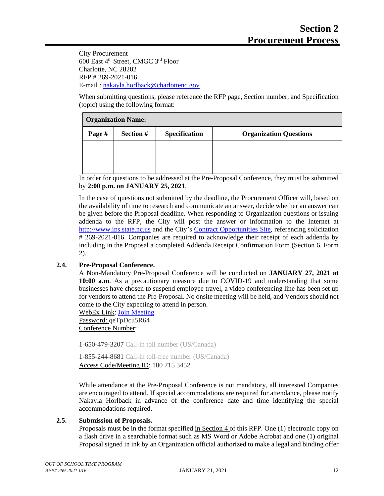City Procurement 600 East 4th Street, CMGC 3rd Floor Charlotte, NC 28202 RFP # 269-2021-016 E-mail : [nakayla.horlback@charlottenc.gov](mailto:nakayla.horlback@charlottenc.gov)

When submitting questions, please reference the RFP page, Section number, and Specification (topic) using the following format:

| <b>Organization Name:</b> |           |                      |                               |
|---------------------------|-----------|----------------------|-------------------------------|
| Page #                    | Section # | <b>Specification</b> | <b>Organization Questions</b> |
|                           |           |                      |                               |
|                           |           |                      |                               |
|                           |           |                      |                               |

In order for questions to be addressed at the Pre-Proposal Conference, they must be submitted by **2:00 p.m. on JANUARY 25, 2021**.

In the case of questions not submitted by the deadline, the Procurement Officer will, based on the availability of time to research and communicate an answer, decide whether an answer can be given before the Proposal deadline. When responding to Organization questions or issuing addenda to the RFP, the City will post the answer or information to the Internet at [http://www.ips.state.nc.us](http://www.ips.state.nc.us/) and the City's [Contract Opportunities Site,](http://charlottenc.gov/DoingBusiness/Pages/ContractOpportunities.aspx) referencing solicitation # 269-2021-016. Companies are required to acknowledge their receipt of each addenda by including in the Proposal a completed Addenda Receipt Confirmation Form (Section 6, Form 2).

# <span id="page-15-1"></span><span id="page-15-0"></span>**2.4. Pre-Proposal Conference.**

A Non-Mandatory Pre-Proposal Conference will be conducted on **JANUARY 27, 2021 at 10:00 a.m**. As a precautionary measure due to COVID-19 and understanding that some businesses have chosen to suspend employee travel, a video conferencing line has been set up for vendors to attend the Pre-Proposal. No onsite meeting will be held, and Vendors should not come to the City expecting to attend in person.

WebEx Link: [Join Meeting](https://charlotte.webex.com/charlotte/j.php?MTID=m9c0cea8dbe934d63666a24f34ec9c8e5) Password: qeTpDcu5R64 Conference Number:

1-650-479-3207 Call-in toll number (US/Canada)

1-855-244-8681 Call-in toll-free number (US/Canada) Access Code/Meeting ID: 180 715 3452

While attendance at the Pre-Proposal Conference is not mandatory, all interested Companies are encouraged to attend. If special accommodations are required for attendance, please notify Nakayla Horlback in advance of the conference date and time identifying the special accommodations required.

# **2.5. Submission of Proposals.**

Proposals must be in the format specified in Section 4 of this RFP. One (1) electronic copy on a flash drive in a searchable format such as MS Word or Adobe Acrobat and one (1) original Proposal signed in ink by an Organization official authorized to make a legal and binding offer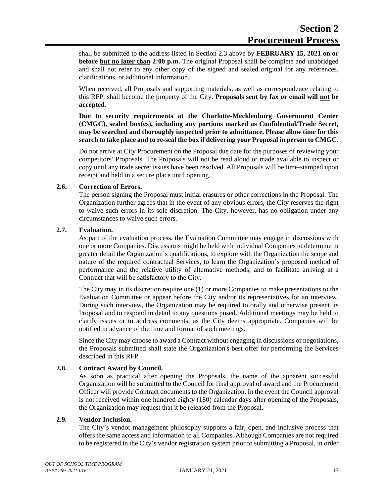shall be submitted to the address listed in Section 2.3 above by **FEBRUARY 15, 2021 on or before but no later than 2:00 p.m.** The original Proposal shall be complete and unabridged and shall not refer to any other copy of the signed and sealed original for any references, clarifications, or additional information.

When received, all Proposals and supporting materials, as well as correspondence relating to this RFP, shall become the property of the City. **Proposals sent by fax or email will not be accepted.**

**Due to security requirements at the Charlotte-Mecklenburg Government Center (CMGC), sealed box(es), including any portions marked as Confidential/Trade Secret, may be searched and thoroughly inspected prior to admittance. Please allow time for this search to take place and to re-seal the box if delivering your Proposal in person to CMGC.**

Do not arrive at City Procurement on the Proposal due date for the purposes of reviewing your competitors' Proposals. The Proposals will not be read aloud or made available to inspect or copy until any trade secret issues have been resolved. All Proposals will be time-stamped upon receipt and held in a secure place until opening.

#### <span id="page-16-0"></span>**2.6. Correction of Errors.**

The person signing the Proposal must initial erasures or other corrections in the Proposal. The Organization further agrees that in the event of any obvious errors, the City reserves the right to waive such errors in its sole discretion. The City, however, has no obligation under any circumstances to waive such errors.

#### <span id="page-16-1"></span>**2.7. Evaluation.**

As part of the evaluation process, the Evaluation Committee may engage in discussions with one or more Companies. Discussions might be held with individual Companies to determine in greater detail the Organization's qualifications, to explore with the Organization the scope and nature of the required contractual Services, to learn the Organization's proposed method of performance and the relative utility of alternative methods, and to facilitate arriving at a Contract that will be satisfactory to the City.

The City may in its discretion require one (1) or more Companies to make presentations to the Evaluation Committee or appear before the City and/or its representatives for an interview. During such interview, the Organization may be required to orally and otherwise present its Proposal and to respond in detail to any questions posed. Additional meetings may be held to clarify issues or to address comments, as the City deems appropriate. Companies will be notified in advance of the time and format of such meetings.

Since the City may choose to award a Contract without engaging in discussions or negotiations, the Proposals submitted shall state the Organization's best offer for performing the Services described in this RFP.

# <span id="page-16-2"></span>**2.8. Contract Award by Council.**

As soon as practical after opening the Proposals, the name of the apparent successful Organization will be submitted to the Council for final approval of award and the Procurement Officer will provide Contract documents to the Organization. In the event the Council approval is not received within one hundred eighty (180) calendar days after opening of the Proposals, the Organization may request that it be released from the Proposal.

#### <span id="page-16-3"></span>**2.9. Vendor Inclusion.**

The City's vendor management philosophy supports a fair, open, and inclusive process that offers the same access and information to all Companies. Although Companies are not required to be registered in the City's vendor registration system prior to submitting a Proposal, in order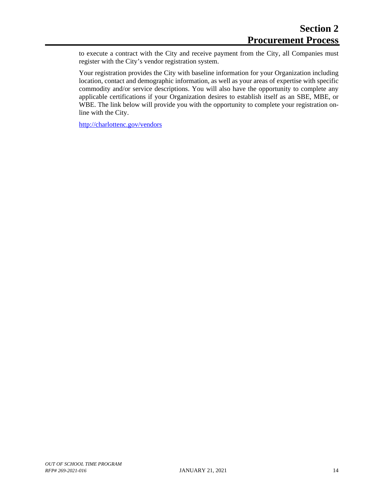to execute a contract with the City and receive payment from the City, all Companies must register with the City's vendor registration system.

Your registration provides the City with baseline information for your Organization including location, contact and demographic information, as well as your areas of expertise with specific commodity and/or service descriptions. You will also have the opportunity to complete any applicable certifications if your Organization desires to establish itself as an SBE, MBE, or WBE. The link below will provide you with the opportunity to complete your registration online with the City.

[http://charl](http://char/)ottenc.gov/vendors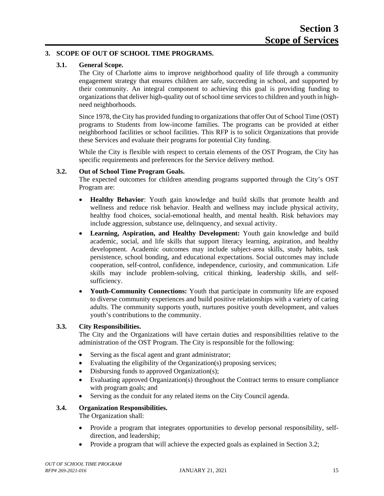# <span id="page-18-0"></span>**3. SCOPE OF OUT OF SCHOOL TIME PROGRAMS.**

# **3.1. General Scope.**

The City of Charlotte aims to improve neighborhood quality of life through a community engagement strategy that ensures children are safe, succeeding in school, and supported by their community. An integral component to achieving this goal is providing funding to organizations that deliver high-quality out of school time services to children and youth in highneed neighborhoods.

Since 1978, the City has provided funding to organizationsthat offer Out of School Time (OST) programs to Students from low-income families. The programs can be provided at either neighborhood facilities or school facilities. This RFP is to solicit Organizations that provide these Services and evaluate their programs for potential City funding.

While the City is flexible with respect to certain elements of the OST Program, the City has specific requirements and preferences for the Service delivery method.

#### **3.2. Out of School Time Program Goals.**

The expected outcomes for children attending programs supported through the City's OST Program are:

- **Healthy Behavior**: Youth gain knowledge and build skills that promote health and wellness and reduce risk behavior. Health and wellness may include physical activity, healthy food choices, social-emotional health, and mental health. Risk behaviors may include aggression, substance use, delinquency, and sexual activity.
- **Learning, Aspiration, and Healthy Development:** Youth gain knowledge and build academic, social, and life skills that support literacy learning, aspiration, and healthy development. Academic outcomes may include subject-area skills, study habits, task persistence, school bonding, and educational expectations. Social outcomes may include cooperation, self-control, confidence, independence, curiosity, and communication. Life skills may include problem-solving, critical thinking, leadership skills, and selfsufficiency.
- **Youth-Community Connections:** Youth that participate in community life are exposed to diverse community experiences and build positive relationships with a variety of caring adults. The community supports youth, nurtures positive youth development, and values youth's contributions to the community.

# **3.3. City Responsibilities.**

The City and the Organizations will have certain duties and responsibilities relative to the administration of the OST Program. The City is responsible for the following:

- Serving as the fiscal agent and grant administrator;
- Evaluating the eligibility of the Organization(s) proposing services;
- Disbursing funds to approved Organization(s);
- Evaluating approved Organization(s) throughout the Contract terms to ensure compliance with program goals; and
- Serving as the conduit for any related items on the City Council agenda.

# **3.4. Organization Responsibilities.**

The Organization shall:

- Provide a program that integrates opportunities to develop personal responsibility, selfdirection, and leadership;
- Provide a program that will achieve the expected goals as explained in Section 3.2;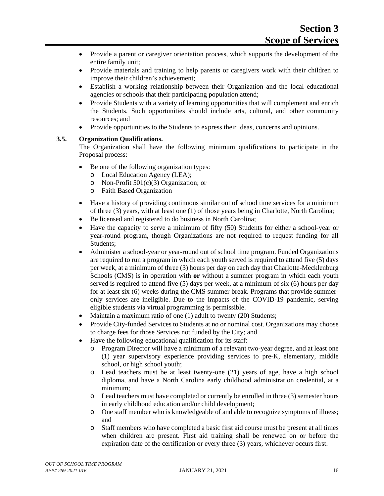- Provide a parent or caregiver orientation process, which supports the development of the entire family unit;
- Provide materials and training to help parents or caregivers work with their children to improve their children's achievement;
- Establish a working relationship between their Organization and the local educational agencies or schools that their participating population attend;
- Provide Students with a variety of learning opportunities that will complement and enrich the Students. Such opportunities should include arts, cultural, and other community resources; and
- Provide opportunities to the Students to express their ideas, concerns and opinions.

# **3.5. Organization Qualifications.**

The Organization shall have the following minimum qualifications to participate in the Proposal process:

- Be one of the following organization types:
	- o Local Education Agency (LEA);
	- o Non-Profit  $501(c)(3)$  Organization; or<br>  $\circ$  Faith Based Organization
	- Faith Based Organization
- Have a history of providing continuous similar out of school time services for a minimum of three (3) years, with at least one (1) of those years being in Charlotte, North Carolina;
- Be licensed and registered to do business in North Carolina;
- Have the capacity to serve a minimum of fifty (50) Students for either a school-year or year-round program, though Organizations are not required to request funding for all Students;
- Administer a school-year or year-round out of school time program. Funded Organizations are required to run a program in which each youth served is required to attend five (5) days per week, at a minimum of three (3) hours per day on each day that Charlotte-Mecklenburg Schools (CMS) is in operation with **or** without a summer program in which each youth served is required to attend five (5) days per week, at a minimum of six (6) hours per day for at least six (6) weeks during the CMS summer break. Programs that provide summeronly services are ineligible. Due to the impacts of the COVID-19 pandemic, serving eligible students via virtual programming is permissible.
- Maintain a maximum ratio of one (1) adult to twenty (20) Students;
- Provide City-funded Services to Students at no or nominal cost. Organizations may choose to charge fees for those Services not funded by the City; and
- Have the following educational qualification for its staff:
	- o Program Director will have a minimum of a relevant two-year degree, and at least one (1) year supervisory experience providing services to pre-K, elementary, middle school, or high school youth;
	- o Lead teachers must be at least twenty-one (21) years of age, have a high school diploma, and have a North Carolina early childhood administration credential, at a minimum;
	- o Lead teachers must have completed or currently be enrolled in three (3) semester hours in early childhood education and/or child development;
	- o One staff member who is knowledgeable of and able to recognize symptoms of illness; and
	- o Staff members who have completed a basic first aid course must be present at all times when children are present. First aid training shall be renewed on or before the expiration date of the certification or every three (3) years, whichever occurs first.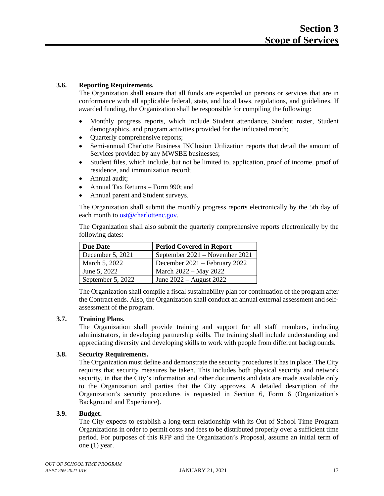# **3.6. Reporting Requirements.**

The Organization shall ensure that all funds are expended on persons or services that are in conformance with all applicable federal, state, and local laws, regulations, and guidelines. If awarded funding, the Organization shall be responsible for compiling the following:

- Monthly progress reports, which include Student attendance, Student roster, Student demographics, and program activities provided for the indicated month;
- Quarterly comprehensive reports;
- Semi-annual Charlotte Business INClusion Utilization reports that detail the amount of Services provided by any MWSBE businesses;
- Student files, which include, but not be limited to, application, proof of income, proof of residence, and immunization record;
- Annual audit;
- Annual Tax Returns Form 990; and
- Annual parent and Student surveys.

The Organization shall submit the monthly progress reports electronically by the 5th day of each month to [ost@charlottenc.gov.](mailto:ost@charlottenc.gov)

The Organization shall also submit the quarterly comprehensive reports electronically by the following dates:

| <b>Due Date</b>   | <b>Period Covered in Report</b> |
|-------------------|---------------------------------|
| December 5, 2021  | September 2021 – November 2021  |
| March 5, 2022     | December 2021 – February 2022   |
| June 5, 2022      | March 2022 – May 2022           |
| September 5, 2022 | June 2022 – August 2022         |

The Organization shall compile a fiscal sustainability plan for continuation of the program after the Contract ends. Also, the Organization shall conduct an annual external assessment and selfassessment of the program.

# **3.7. Training Plans.**

The Organization shall provide training and support for all staff members, including administrators, in developing partnership skills. The training shall include understanding and appreciating diversity and developing skills to work with people from different backgrounds.

# **3.8. Security Requirements.**

The Organization must define and demonstrate the security procedures it has in place. The City requires that security measures be taken. This includes both physical security and network security, in that the City's information and other documents and data are made available only to the Organization and parties that the City approves. A detailed description of the Organization's security procedures is requested in Section 6, Form 6 (Organization's Background and Experience).

# **3.9. Budget.**

The City expects to establish a long-term relationship with its Out of School Time Program Organizations in order to permit costs and fees to be distributed properly over a sufficient time period. For purposes of this RFP and the Organization's Proposal, assume an initial term of one (1) year.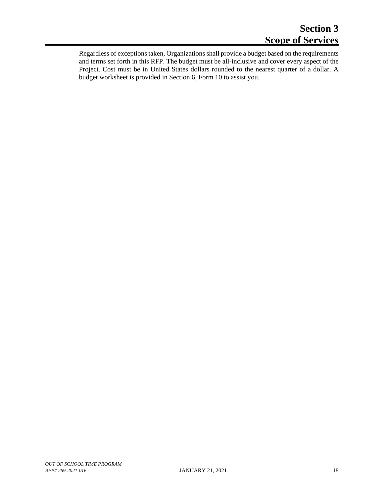Regardless of exceptions taken, Organizations shall provide a budget based on the requirements and terms set forth in this RFP. The budget must be all-inclusive and cover every aspect of the Project. Cost must be in United States dollars rounded to the nearest quarter of a dollar. A budget worksheet is provided in Section 6, Form 10 to assist you.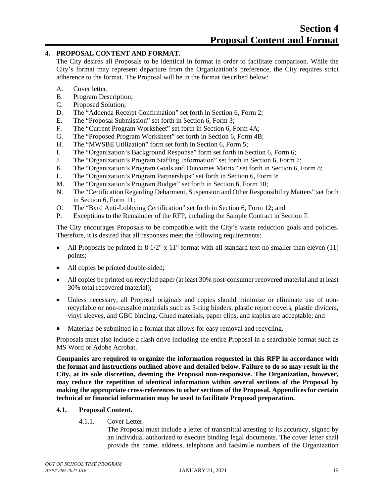# <span id="page-22-0"></span>**4. PROPOSAL CONTENT AND FORMAT.**

The City desires all Proposals to be identical in format in order to facilitate comparison. While the City's format may represent departure from the Organization's preference, the City requires strict adherence to the format. The Proposal will be in the format described below:

- A. Cover letter;
- B. Program Description;
- C. Proposed Solution;
- D. The "Addenda Receipt Confirmation" set forth in Section 6, Form 2;
- E. The "Proposal Submission" set forth in Section 6, Form 3;
- F. The "Current Program Worksheet" set forth in Section 6, Form 4A;
- G. The "Proposed Program Worksheet" set forth in Section 6, Form 4B;
- H. The "MWSBE Utilization" form set forth in Section 6, Form 5;
- I. The "Organization's Background Response" form set forth in Section 6, Form 6;
- J. The "Organization's Program Staffing Information" set forth in Section 6, Form 7;
- K. The "Organization's Program Goals and Outcomes Matrix" set forth in Section 6, Form 8;
- L. The "Organization's Program Partnerships" set forth in Section 6, Form 9;
- M. The "Organization's Program Budget" set forth in Section 6, Form 10;
- N. The "Certification Regarding Debarment, Suspension and Other Responsibility Matters" set forth in Section 6, Form 11;
- O. The "Byrd Anti-Lobbying Certification" set forth in Section 6, Form 12; and
- P. Exceptions to the Remainder of the RFP, including the Sample Contract in Section 7.

The City encourages Proposals to be compatible with the City's waste reduction goals and policies. Therefore, it is desired that all responses meet the following requirements:

- All Proposals be printed in  $8\frac{1}{2}$ " x  $11$ " format with all standard text no smaller than eleven (11) points;
- All copies be printed double-sided;
- All copies be printed on recycled paper (at least 30% post-consumer recovered material and at least 30% total recovered material);
- Unless necessary, all Proposal originals and copies should minimize or eliminate use of nonrecyclable or non-reusable materials such as 3-ring binders, plastic report covers, plastic dividers, vinyl sleeves, and GBC binding. Glued materials, paper clips, and staples are acceptable; and
- Materials be submitted in a format that allows for easy removal and recycling.

Proposals must also include a flash drive including the entire Proposal in a searchable format such as MS Word or Adobe Acrobat.

**Companies are required to organize the information requested in this RFP in accordance with the format and instructions outlined above and detailed below. Failure to do so may result in the City, at its sole discretion, deeming the Proposal non-responsive. The Organization, however, may reduce the repetition of identical information within several sections of the Proposal by making the appropriate cross-references to other sections of the Proposal. Appendices for certain technical or financial information may be used to facilitate Proposal preparation.**

# **4.1. Proposal Content.**

4.1.1. Cover Letter.

The Proposal must include a letter of transmittal attesting to its accuracy, signed by an individual authorized to execute binding legal documents. The cover letter shall provide the name, address, telephone and facsimile numbers of the Organization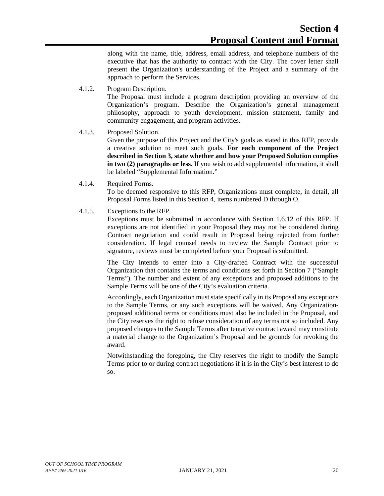along with the name, title, address, email address, and telephone numbers of the executive that has the authority to contract with the City. The cover letter shall present the Organization's understanding of the Project and a summary of the approach to perform the Services.

4.1.2. Program Description.

The Proposal must include a program description providing an overview of the Organization's program. Describe the Organization's general management philosophy, approach to youth development, mission statement, family and community engagement, and program activities.

# 4.1.3. Proposed Solution.

Given the purpose of this Project and the City's goals as stated in this RFP, provide a creative solution to meet such goals. **For each component of the Project described in Section 3, state whether and how your Proposed Solution complies in two (2) paragraphs or less.** If you wish to add supplemental information, it shall be labeled "Supplemental Information."

4.1.4. Required Forms.

To be deemed responsive to this RFP, Organizations must complete, in detail, all Proposal Forms listed in this Section 4, items numbered D through O.

4.1.5. Exceptions to the RFP.

Exceptions must be submitted in accordance with Section 1.6.12 of this RFP. If exceptions are not identified in your Proposal they may not be considered during Contract negotiation and could result in Proposal being rejected from further consideration. If legal counsel needs to review the Sample Contract prior to signature, reviews must be completed before your Proposal is submitted.

The City intends to enter into a City-drafted Contract with the successful Organization that contains the terms and conditions set forth in Section 7 ("Sample Terms"). The number and extent of any exceptions and proposed additions to the Sample Terms will be one of the City's evaluation criteria.

Accordingly, each Organization must state specifically in its Proposal any exceptions to the Sample Terms, or any such exceptions will be waived. Any Organizationproposed additional terms or conditions must also be included in the Proposal, and the City reserves the right to refuse consideration of any terms not so included. Any proposed changes to the Sample Terms after tentative contract award may constitute a material change to the Organization's Proposal and be grounds for revoking the award.

Notwithstanding the foregoing, the City reserves the right to modify the Sample Terms prior to or during contract negotiations if it is in the City's best interest to do so.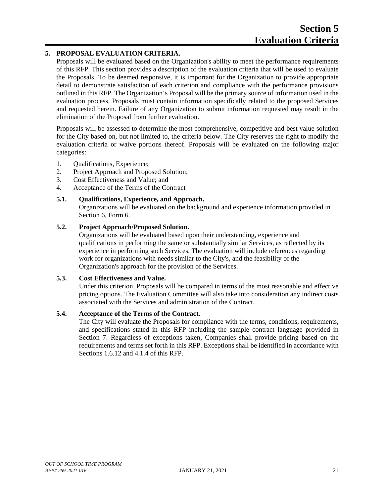# <span id="page-24-0"></span>**5. PROPOSAL EVALUATION CRITERIA.**

Proposals will be evaluated based on the Organization's ability to meet the performance requirements of this RFP. This section provides a description of the evaluation criteria that will be used to evaluate the Proposals. To be deemed responsive, it is important for the Organization to provide appropriate detail to demonstrate satisfaction of each criterion and compliance with the performance provisions outlined in this RFP. The Organization's Proposal will be the primary source of information used in the evaluation process. Proposals must contain information specifically related to the proposed Services and requested herein. Failure of any Organization to submit information requested may result in the elimination of the Proposal from further evaluation.

Proposals will be assessed to determine the most comprehensive, competitive and best value solution for the City based on, but not limited to, the criteria below. The City reserves the right to modify the evaluation criteria or waive portions thereof. Proposals will be evaluated on the following major categories:

- 1. Qualifications, Experience;
- 2. Project Approach and Proposed Solution;
- 3. Cost Effectiveness and Value; and
- 4. Acceptance of the Terms of the Contract

# **5.1. Qualifications, Experience, and Approach.**

Organizations will be evaluated on the background and experience information provided in Section 6, Form 6.

# **5.2. Project Approach/Proposed Solution.**

Organizations will be evaluated based upon their understanding, experience and qualifications in performing the same or substantially similar Services, as reflected by its experience in performing such Services. The evaluation will include references regarding work for organizations with needs similar to the City's, and the feasibility of the Organization's approach for the provision of the Services.

# **5.3. Cost Effectiveness and Value.**

Under this criterion, Proposals will be compared in terms of the most reasonable and effective pricing options. The Evaluation Committee will also take into consideration any indirect costs associated with the Services and administration of the Contract.

# **5.4. Acceptance of the Terms of the Contract.**

The City will evaluate the Proposals for compliance with the terms, conditions, requirements, and specifications stated in this RFP including the sample contract language provided in Section 7. Regardless of exceptions taken, Companies shall provide pricing based on the requirements and terms set forth in this RFP. Exceptions shall be identified in accordance with Sections 1.6.12 and 4.1.4 of this RFP.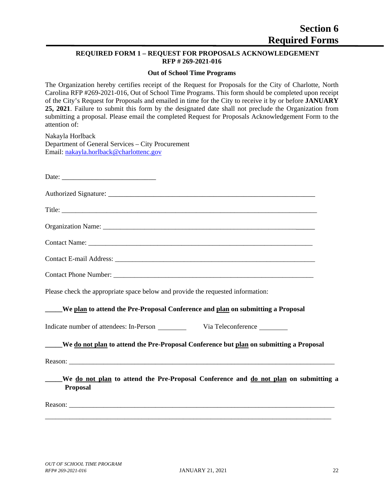# <span id="page-25-0"></span>**REQUIRED FORM 1 – REQUEST FOR PROPOSALS ACKNOWLEDGEMENT RFP # 269-2021-016**

#### **Out of School Time Programs**

The Organization hereby certifies receipt of the Request for Proposals for the City of Charlotte, North Carolina RFP #269-2021-016, Out of School Time Programs. This form should be completed upon receipt of the City's Request for Proposals and emailed in time for the City to receive it by or before **JANUARY 25, 2021**. Failure to submit this form by the designated date shall not preclude the Organization from submitting a proposal. Please email the completed Request for Proposals Acknowledgement Form to the attention of:

Nakayla Horlback Department of General Services – City Procurement Email: [nakayla.horlback@charlottenc.gov](mailto:nakayla.horlback@charlottenc.gov)

Date:

Authorized Signature:

Title:

Organization Name: \_\_\_\_\_\_\_\_\_\_\_\_\_\_\_\_\_\_\_\_\_\_\_\_\_\_\_\_\_\_\_\_\_\_\_\_\_\_\_\_\_\_\_\_\_\_\_\_\_\_\_\_\_\_\_\_\_\_\_\_\_

Contact Name: \_\_\_\_\_\_\_\_\_\_\_\_\_\_\_\_\_\_\_\_\_\_\_\_\_\_\_\_\_\_\_\_\_\_\_\_\_\_\_\_\_\_\_\_\_\_\_\_\_\_\_\_\_\_\_\_\_\_\_\_\_\_\_\_\_

Contact E-mail Address: \_\_\_\_\_\_\_\_\_\_\_\_\_\_\_\_\_\_\_\_\_\_\_\_\_\_\_\_\_\_\_\_\_\_\_\_\_\_\_\_\_\_\_\_\_\_\_\_\_\_\_\_\_\_\_\_\_\_

Contact Phone Number: \_\_\_\_\_\_\_\_\_\_\_\_\_\_\_\_\_\_\_\_\_\_\_\_\_\_\_\_\_\_\_\_\_\_\_\_\_\_\_\_\_\_\_\_\_\_\_\_\_\_\_\_\_\_\_\_\_\_

Please check the appropriate space below and provide the requested information:

# **\_\_\_\_\_We plan to attend the Pre-Proposal Conference and plan on submitting a Proposal**

Indicate number of attendees: In-Person Via Teleconference

# **\_\_\_\_\_We do not plan to attend the Pre-Proposal Conference but plan on submitting a Proposal**

Reason:

**\_\_\_\_\_We do not plan to attend the Pre-Proposal Conference and do not plan on submitting a Proposal**

\_\_\_\_\_\_\_\_\_\_\_\_\_\_\_\_\_\_\_\_\_\_\_\_\_\_\_\_\_\_\_\_\_\_\_\_\_\_\_\_\_\_\_\_\_\_\_\_\_\_\_\_\_\_\_\_\_\_\_\_\_\_\_\_\_\_\_\_\_\_\_\_\_\_\_\_\_\_\_\_\_\_\_

Reason: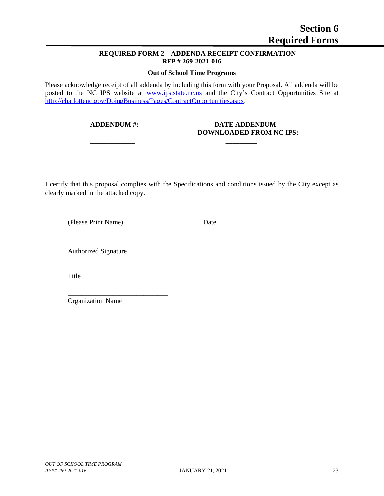# **REQUIRED FORM 2 – ADDENDA RECEIPT CONFIRMATION RFP # 269-2021-016**

### **Out of School Time Programs**

<span id="page-26-0"></span>Please acknowledge receipt of all addenda by including this form with your Proposal. All addenda will be posted to the NC IPS website at [www.ips.state.nc.us](http://www.ips.state.nc.us/) and the City's Contract Opportunities Site at [http://charlottenc.gov/DoingBusiness/Pages/ContractOpportunities.aspx.](http://charlottenc.gov/DoingBusiness/Pages/ContractOpportunities.aspx)

#### **ADDENDUM #: DATE ADDENDUM DOWNLOADED FROM NC IPS:**

I certify that this proposal complies with the Specifications and conditions issued by the City except as clearly marked in the attached copy.

**\_\_\_\_\_\_\_\_\_\_\_\_\_ \_\_\_\_\_\_\_\_\_ \_\_\_\_\_\_\_\_\_\_\_\_\_ \_\_\_\_\_\_\_\_\_ \_\_\_\_\_\_\_\_\_\_\_\_\_ \_\_\_\_\_\_\_\_\_ \_\_\_\_\_\_\_\_\_\_\_\_\_ \_\_\_\_\_\_\_\_\_**

**\_\_\_\_\_\_\_\_\_\_\_\_\_\_\_\_\_\_\_\_\_\_\_\_\_\_\_\_\_ \_\_\_\_\_\_\_\_\_\_\_\_\_\_\_\_\_\_\_\_\_\_**

(Please Print Name) Date

Authorized Signature

**\_\_\_\_\_\_\_\_\_\_\_\_\_\_\_\_\_\_\_\_\_\_\_\_\_\_\_\_\_**

**\_\_\_\_\_\_\_\_\_\_\_\_\_\_\_\_\_\_\_\_\_\_\_\_\_\_\_\_\_**

\_\_\_\_\_\_\_\_\_\_\_\_\_\_\_\_\_\_\_\_\_\_\_\_\_\_\_\_\_

Title

Organization Name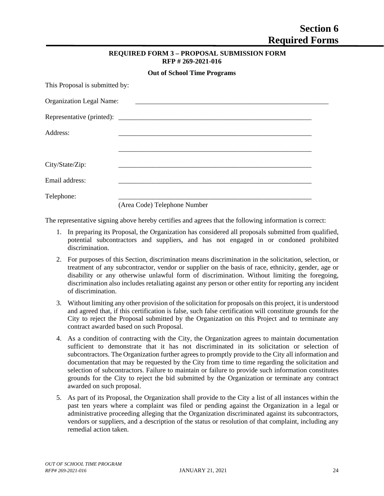| <b>REQUIRED FORM 3 - PROPOSAL SUBMISSION FORM</b> |
|---------------------------------------------------|
| RFP #269-2021-016                                 |

 $\mathbf{C}$  **C**  $\mathbf{C}$  **D**  $\mathbf{C}$  **Propriet Programs** 

<span id="page-27-0"></span>

|                                 | <b>OUL OF SCHOOL THILE PTOGERIES</b> |
|---------------------------------|--------------------------------------|
| This Proposal is submitted by:  |                                      |
| <b>Organization Legal Name:</b> |                                      |
|                                 |                                      |
| Address:                        |                                      |
|                                 |                                      |
| City/State/Zip:                 |                                      |
| Email address:                  |                                      |
| Telephone:                      |                                      |
|                                 | (Area Code) Telephone Number         |

The representative signing above hereby certifies and agrees that the following information is correct:

- 1. In preparing its Proposal, the Organization has considered all proposals submitted from qualified, potential subcontractors and suppliers, and has not engaged in or condoned prohibited discrimination.
- 2. For purposes of this Section, discrimination means discrimination in the solicitation, selection, or treatment of any subcontractor, vendor or supplier on the basis of race, ethnicity, gender, age or disability or any otherwise unlawful form of discrimination. Without limiting the foregoing, discrimination also includes retaliating against any person or other entity for reporting any incident of discrimination.
- 3. Without limiting any other provision of the solicitation for proposals on this project, it is understood and agreed that, if this certification is false, such false certification will constitute grounds for the City to reject the Proposal submitted by the Organization on this Project and to terminate any contract awarded based on such Proposal.
- 4. As a condition of contracting with the City, the Organization agrees to maintain documentation sufficient to demonstrate that it has not discriminated in its solicitation or selection of subcontractors. The Organization further agrees to promptly provide to the City all information and documentation that may be requested by the City from time to time regarding the solicitation and selection of subcontractors. Failure to maintain or failure to provide such information constitutes grounds for the City to reject the bid submitted by the Organization or terminate any contract awarded on such proposal.
- 5. As part of its Proposal, the Organization shall provide to the City a list of all instances within the past ten years where a complaint was filed or pending against the Organization in a legal or administrative proceeding alleging that the Organization discriminated against its subcontractors, vendors or suppliers, and a description of the status or resolution of that complaint, including any remedial action taken.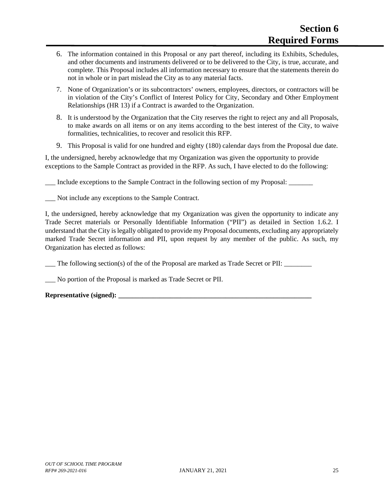- 6. The information contained in this Proposal or any part thereof, including its Exhibits, Schedules, and other documents and instruments delivered or to be delivered to the City, is true, accurate, and complete. This Proposal includes all information necessary to ensure that the statements therein do not in whole or in part mislead the City as to any material facts.
- 7. None of Organization's or its subcontractors' owners, employees, directors, or contractors will be in violation of the City's Conflict of Interest Policy for City, Secondary and Other Employment Relationships (HR 13) if a Contract is awarded to the Organization.
- 8. It is understood by the Organization that the City reserves the right to reject any and all Proposals, to make awards on all items or on any items according to the best interest of the City, to waive formalities, technicalities, to recover and resolicit this RFP.
- 9. This Proposal is valid for one hundred and eighty (180) calendar days from the Proposal due date.

I, the undersigned, hereby acknowledge that my Organization was given the opportunity to provide exceptions to the Sample Contract as provided in the RFP. As such, I have elected to do the following:

Include exceptions to the Sample Contract in the following section of my Proposal:

Not include any exceptions to the Sample Contract.

I, the undersigned, hereby acknowledge that my Organization was given the opportunity to indicate any Trade Secret materials or Personally Identifiable Information ("PII") as detailed in Section 1.6.2. I understand that the City is legally obligated to provide my Proposal documents, excluding any appropriately marked Trade Secret information and PII, upon request by any member of the public. As such, my Organization has elected as follows:

The following section(s) of the of the Proposal are marked as Trade Secret or PII:

\_\_\_ No portion of the Proposal is marked as Trade Secret or PII.

# **Representative (signed): \_\_\_\_\_\_\_\_\_\_\_\_\_\_\_\_\_\_\_\_\_\_\_\_\_\_\_\_\_\_\_\_\_\_\_\_\_\_\_\_\_\_\_\_\_\_\_\_\_\_\_\_\_\_\_\_**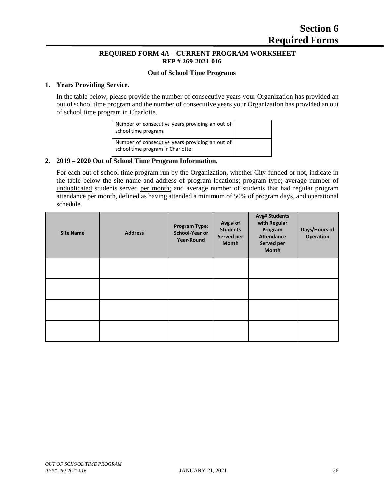# **REQUIRED FORM 4A – CURRENT PROGRAM WORKSHEET RFP # 269-2021-016**

### **Out of School Time Programs**

#### <span id="page-29-0"></span>**1. Years Providing Service.**

In the table below, please provide the number of consecutive years your Organization has provided an out of school time program and the number of consecutive years your Organization has provided an out of school time program in Charlotte.

| Number of consecutive years providing an out of<br>school time program:              |  |
|--------------------------------------------------------------------------------------|--|
| Number of consecutive years providing an out of<br>school time program in Charlotte: |  |

# **2. 2019 – 2020 Out of School Time Program Information.**

For each out of school time program run by the Organization, whether City-funded or not, indicate in the table below the site name and address of program locations; program type; average number of unduplicated students served per month; and average number of students that had regular program attendance per month, defined as having attended a minimum of 50% of program days, and operational schedule.

| <b>Site Name</b> | <b>Address</b> | <b>Program Type:</b><br>School-Year or<br>Year-Round | Avg # of<br><b>Students</b><br>Served per<br><b>Month</b> | <b>Avg# Students</b><br>with Regular<br>Program<br><b>Attendance</b><br>Served per<br><b>Month</b> | Days/Hours of<br><b>Operation</b> |
|------------------|----------------|------------------------------------------------------|-----------------------------------------------------------|----------------------------------------------------------------------------------------------------|-----------------------------------|
|                  |                |                                                      |                                                           |                                                                                                    |                                   |
|                  |                |                                                      |                                                           |                                                                                                    |                                   |
|                  |                |                                                      |                                                           |                                                                                                    |                                   |
|                  |                |                                                      |                                                           |                                                                                                    |                                   |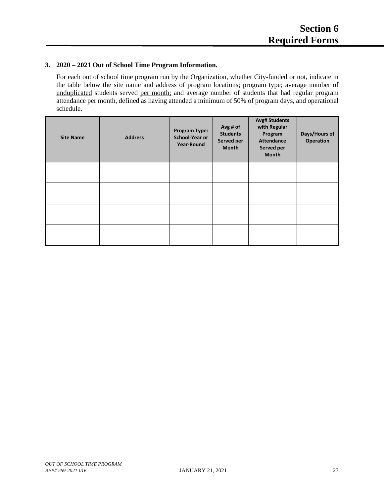# **3. 2020 – 2021 Out of School Time Program Information.**

For each out of school time program run by the Organization, whether City-funded or not, indicate in the table below the site name and address of program locations; program type; average number of unduplicated students served per month; and average number of students that had regular program attendance per month, defined as having attended a minimum of 50% of program days, and operational schedule.

<span id="page-30-0"></span>

| <b>Site Name</b> | <b>Address</b> | <b>Program Type:</b><br>School-Year or<br><b>Year-Round</b> | Avg # of<br><b>Students</b><br>Served per<br>Month | <b>Avg# Students</b><br>with Regular<br>Program<br><b>Attendance</b><br>Served per<br><b>Month</b> | Days/Hours of<br><b>Operation</b> |
|------------------|----------------|-------------------------------------------------------------|----------------------------------------------------|----------------------------------------------------------------------------------------------------|-----------------------------------|
|                  |                |                                                             |                                                    |                                                                                                    |                                   |
|                  |                |                                                             |                                                    |                                                                                                    |                                   |
|                  |                |                                                             |                                                    |                                                                                                    |                                   |
|                  |                |                                                             |                                                    |                                                                                                    |                                   |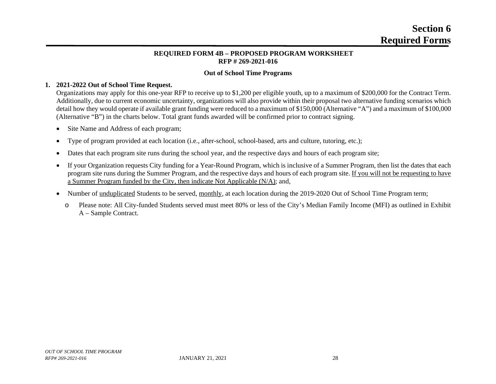# **Section 6 Required Forms**

# **REQUIRED FORM 4B – PROPOSED PROGRAM WORKSHEET RFP # 269-2021-016**

# **Out of School Time Programs**

#### **1. 2021-2022 Out of School Time Request.**

Organizations may apply for this one-year RFP to receive up to \$1,200 per eligible youth, up to a maximum of \$200,000 for the Contract Term. Additionally, due to current economic uncertainty, organizations will also provide within their proposal two alternative funding scenarios which detail how they would operate if available grant funding were reduced to a maximum of \$150,000 (Alternative "A") and a maximum of \$100,000 (Alternative "B") in the charts below. Total grant funds awarded will be confirmed prior to contract signing.

- Site Name and Address of each program;
- Type of program provided at each location (i.e., after-school, school-based, arts and culture, tutoring, etc.);
- Dates that each program site runs during the school year, and the respective days and hours of each program site;
- If your Organization requests City funding for a Year-Round Program, which is inclusive of a Summer Program, then list the dates that each program site runs during the Summer Program, and the respective days and hours of each program site. If you will not be requesting to have a Summer Program funded by the City, then indicate Not Applicable (N/A); and,
- Number of unduplicated Students to be served, monthly, at each location during the 2019-2020 Out of School Time Program term;
	- o Please note: All City-funded Students served must meet 80% or less of the City's Median Family Income (MFI) as outlined in Exhibit A – Sample Contract.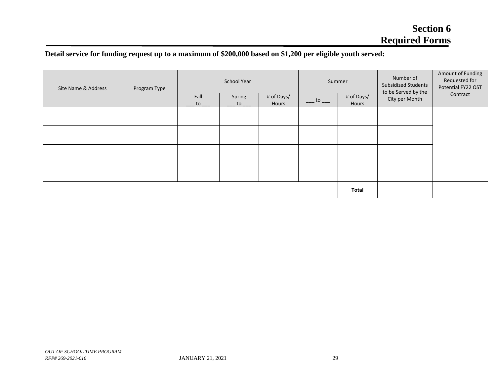# **Detail service for funding request up to a maximum of \$200,000 based on \$1,200 per eligible youth served:**

| Site Name & Address<br>Program Type | School Year                         |                                       |                     | Summer    |                     | Number of<br>Subsidized Students<br>to be Served by the | Amount of Funding<br>Requested for<br>Potential FY22 OST |  |
|-------------------------------------|-------------------------------------|---------------------------------------|---------------------|-----------|---------------------|---------------------------------------------------------|----------------------------------------------------------|--|
|                                     | Fall<br>$\overline{\phantom{a}}$ to | Spring<br>to $\overline{\phantom{a}}$ | # of Days/<br>Hours | $-t0$ $-$ | # of Days/<br>Hours | City per Month                                          | Contract                                                 |  |
|                                     |                                     |                                       |                     |           |                     |                                                         |                                                          |  |
|                                     |                                     |                                       |                     |           |                     |                                                         |                                                          |  |
|                                     |                                     |                                       |                     |           |                     |                                                         |                                                          |  |
|                                     |                                     |                                       |                     |           |                     |                                                         |                                                          |  |
|                                     |                                     |                                       |                     |           |                     |                                                         |                                                          |  |
|                                     |                                     |                                       |                     |           |                     | Total                                                   |                                                          |  |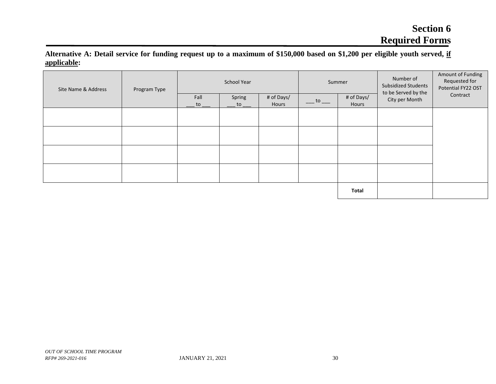# **Section 6 Required Forms**

**Alternative A: Detail service for funding request up to a maximum of \$150,000 based on \$1,200 per eligible youth served, if applicable:**

| Site Name & Address<br>Program Type | <b>School Year</b> |            |              | Summer              |                                                | Number of<br>Subsidized Students<br>to be Served by the | Amount of Funding<br>Requested for<br>Potential FY22 OST |          |
|-------------------------------------|--------------------|------------|--------------|---------------------|------------------------------------------------|---------------------------------------------------------|----------------------------------------------------------|----------|
|                                     |                    | Fall<br>to | Spring<br>to | # of Days/<br>Hours | $\frac{\cdot}{\cdot}$ to $\frac{\cdot}{\cdot}$ | # of Days/<br>Hours                                     | City per Month                                           | Contract |
|                                     |                    |            |              |                     |                                                |                                                         |                                                          |          |
|                                     |                    |            |              |                     |                                                |                                                         |                                                          |          |
|                                     |                    |            |              |                     |                                                |                                                         |                                                          |          |
|                                     |                    |            |              |                     |                                                |                                                         |                                                          |          |
|                                     |                    |            |              |                     |                                                | Total                                                   |                                                          |          |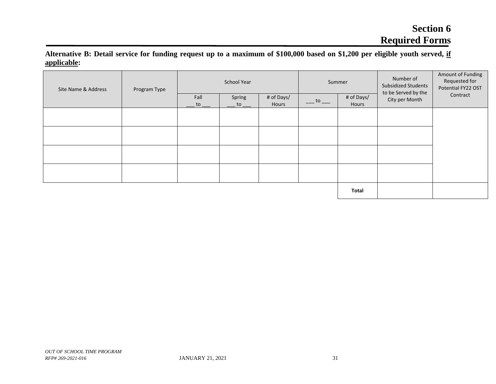# **Section 6 Required Forms**

**Alternative B: Detail service for funding request up to a maximum of \$100,000 based on \$1,200 per eligible youth served, if applicable:**

| Site Name & Address | Program Type |            | School Year                           |                     |                                                      | Summer              |                                       | Amount of Funding<br>Requested for<br>Potential FY22 OST |
|---------------------|--------------|------------|---------------------------------------|---------------------|------------------------------------------------------|---------------------|---------------------------------------|----------------------------------------------------------|
|                     |              | Fall<br>to | Spring<br>to $\overline{\phantom{a}}$ | # of Days/<br>Hours | $\overline{\phantom{a}}$ to $\overline{\phantom{a}}$ | # of Days/<br>Hours | to be Served by the<br>City per Month | Contract                                                 |
|                     |              |            |                                       |                     |                                                      |                     |                                       |                                                          |
|                     |              |            |                                       |                     |                                                      |                     |                                       |                                                          |
|                     |              |            |                                       |                     |                                                      |                     |                                       |                                                          |
|                     |              |            |                                       |                     |                                                      |                     |                                       |                                                          |
|                     |              |            |                                       |                     |                                                      |                     |                                       |                                                          |
|                     |              |            |                                       |                     |                                                      | Total               |                                       |                                                          |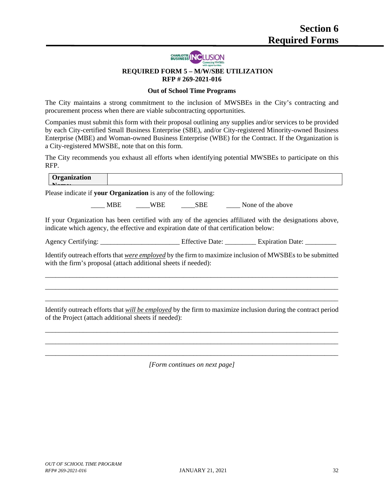

#### **REQUIRED FORM 5 – M/W/SBE UTILIZATION RFP # 269-2021-016**

# **Out of School Time Programs**

The City maintains a strong commitment to the inclusion of MWSBEs in the City's contracting and procurement process when there are viable subcontracting opportunities.

Companies must submit this form with their proposal outlining any supplies and/or services to be provided by each City-certified Small Business Enterprise (SBE), and/or City-registered Minority-owned Business Enterprise (MBE) and Woman-owned Business Enterprise (WBE) for the Contract. If the Organization is a City-registered MWSBE, note that on this form.

The City recommends you exhaust all efforts when identifying potential MWSBEs to participate on this RFP.

| Organization                                                                          |  |                                                                                                              |
|---------------------------------------------------------------------------------------|--|--------------------------------------------------------------------------------------------------------------|
| Please indicate if your Organization is any of the following:                         |  |                                                                                                              |
|                                                                                       |  | ____ MBE _____WBE ______SBE _______ None of the above                                                        |
| indicate which agency, the effective and expiration date of that certification below: |  | If your Organization has been certified with any of the agencies affiliated with the designations above,     |
|                                                                                       |  |                                                                                                              |
| with the firm's proposal (attach additional sheets if needed):                        |  | Identify outreach efforts that were employed by the firm to maximize inclusion of MWSBEs to be submitted     |
|                                                                                       |  |                                                                                                              |
| of the Project (attach additional sheets if needed):                                  |  | Identify outreach efforts that will be employed by the firm to maximize inclusion during the contract period |
|                                                                                       |  |                                                                                                              |

\_\_\_\_\_\_\_\_\_\_\_\_\_\_\_\_\_\_\_\_\_\_\_\_\_\_\_\_\_\_\_\_\_\_\_\_\_\_\_\_\_\_\_\_\_\_\_\_\_\_\_\_\_\_\_\_\_\_\_\_\_\_\_\_\_\_\_\_\_\_\_\_\_\_\_\_\_\_\_\_\_\_\_\_\_ *[Form continues on next page]*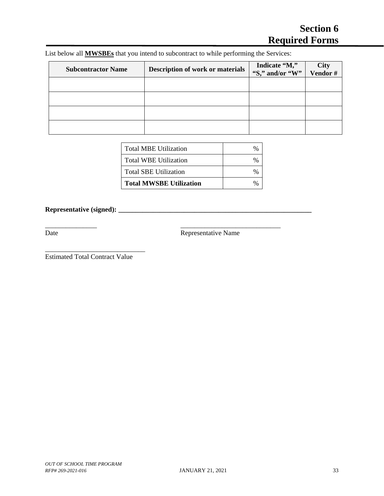List below all **MWSBEs** that you intend to subcontract to while performing the Services:

\_\_\_\_\_\_\_\_\_\_\_\_\_\_\_ \_\_\_\_\_\_\_\_\_\_\_\_\_\_\_\_\_\_\_\_\_\_\_\_\_\_\_\_\_

| <b>Subcontractor Name</b> | <b>Description of work or materials</b> | Indicate "M,"<br>"S," and/or "W" | <b>City</b><br>Vendor# |
|---------------------------|-----------------------------------------|----------------------------------|------------------------|
|                           |                                         |                                  |                        |
|                           |                                         |                                  |                        |
|                           |                                         |                                  |                        |
|                           |                                         |                                  |                        |

| <b>Total MBE Utilization</b>   |  |
|--------------------------------|--|
| Total WBE Utilization          |  |
| <b>Total SBE Utilization</b>   |  |
| <b>Total MWSBE Utilization</b> |  |

**Representative (signed): \_\_\_\_\_\_\_\_\_\_\_\_\_\_\_\_\_\_\_\_\_\_\_\_\_\_\_\_\_\_\_\_\_\_\_\_\_\_\_\_\_\_\_\_\_\_\_\_\_\_\_\_\_\_\_\_**

Date Representative Name

Estimated Total Contract Value

\_\_\_\_\_\_\_\_\_\_\_\_\_\_\_\_\_\_\_\_\_\_\_\_\_\_\_\_\_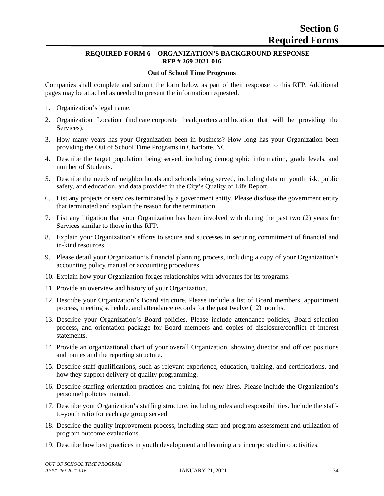#### **REQUIRED FORM 6 – ORGANIZATION'S BACKGROUND RESPONSE RFP # 269-2021-016**

#### **Out of School Time Programs**

Companies shall complete and submit the form below as part of their response to this RFP. Additional pages may be attached as needed to present the information requested.

- 1. Organization's legal name.
- 2. Organization Location (indicate corporate headquarters and location that will be providing the Services).
- 3. How many years has your Organization been in business? How long has your Organization been providing the Out of School Time Programs in Charlotte, NC?
- 4. Describe the target population being served, including demographic information, grade levels, and number of Students.
- 5. Describe the needs of neighborhoods and schools being served, including data on youth risk, public safety, and education, and data provided in the City's Quality of Life Report.
- 6. List any projects or services terminated by a government entity. Please disclose the government entity that terminated and explain the reason for the termination.
- 7. List any litigation that your Organization has been involved with during the past two (2) years for Services similar to those in this RFP.
- 8. Explain your Organization's efforts to secure and successes in securing commitment of financial and in-kind resources.
- 9. Please detail your Organization's financial planning process, including a copy of your Organization's accounting policy manual or accounting procedures.
- 10. Explain how your Organization forges relationships with advocates for its programs.
- 11. Provide an overview and history of your Organization.
- 12. Describe your Organization's Board structure. Please include a list of Board members, appointment process, meeting schedule, and attendance records for the past twelve (12) months.
- 13. Describe your Organization's Board policies. Please include attendance policies, Board selection process, and orientation package for Board members and copies of disclosure/conflict of interest statements.
- 14. Provide an organizational chart of your overall Organization, showing director and officer positions and names and the reporting structure.
- 15. Describe staff qualifications, such as relevant experience, education, training, and certifications, and how they support delivery of quality programming.
- 16. Describe staffing orientation practices and training for new hires. Please include the Organization's personnel policies manual.
- 17. Describe your Organization's staffing structure, including roles and responsibilities. Include the staffto-youth ratio for each age group served.
- 18. Describe the quality improvement process, including staff and program assessment and utilization of program outcome evaluations.
- 19. Describe how best practices in youth development and learning are incorporated into activities.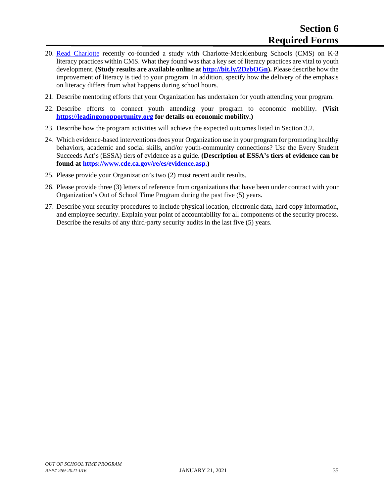- 20. [Read Charlotte](https://readcharlotte.org/) recently co-founded a study with Charlotte-Mecklenburg Schools (CMS) on K-3 literacy practices within CMS. What they found was that a key set of literacy practices are vital to youth development. **(Study results are available online at [http://bit.ly/2DzbOGn\)](http://bit.ly/2DzbOGn).** Please describe how the improvement of literacy is tied to your program. In addition, specify how the delivery of the emphasis on literacy differs from what happens during school hours.
- 21. Describe mentoring efforts that your Organization has undertaken for youth attending your program.
- 22. Describe efforts to connect youth attending your program to economic mobility. **(Visit [https://leadingonopportunity.org](https://leadingonopportunity.org/) for details on economic mobility.)**
- 23. Describe how the program activities will achieve the expected outcomes listed in Section 3.2.
- 24. Which evidence-based interventions does your Organization use in your program for promoting healthy behaviors, academic and social skills, and/or youth-community connections? Use the Every Student Succeeds Act's (ESSA) tiers of evidence as a guide. **(Description of ESSA's tiers of evidence can be found at [https://www.cde.ca.gov/re/es/evidence.asp.](https://www.cde.ca.gov/re/es/evidence.asp))**
- 25. Please provide your Organization's two (2) most recent audit results.
- 26. Please provide three (3) letters of reference from organizations that have been under contract with your Organization's Out of School Time Program during the past five (5) years.
- 27. Describe your security procedures to include physical location, electronic data, hard copy information, and employee security. Explain your point of accountability for all components of the security process. Describe the results of any third-party security audits in the last five (5) years.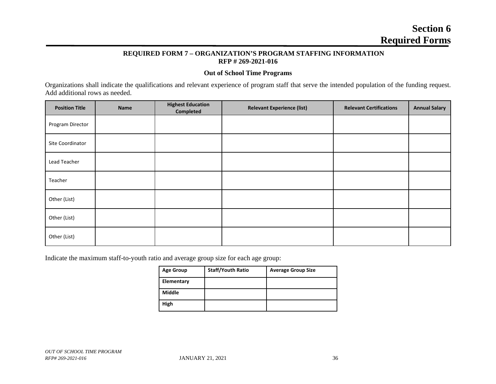# **Section 6 Required Forms**

#### **REQUIRED FORM 7 – ORGANIZATION'S PROGRAM STAFFING INFORMATION RFP # 269-2021-016**

#### **Out of School Time Programs**

Organizations shall indicate the qualifications and relevant experience of program staff that serve the intended population of the funding request. Add additional rows as needed.

| <b>Position Title</b> | Name | <b>Highest Education</b><br>Completed | <b>Relevant Experience (list)</b> | <b>Relevant Certifications</b> | <b>Annual Salary</b> |
|-----------------------|------|---------------------------------------|-----------------------------------|--------------------------------|----------------------|
| Program Director      |      |                                       |                                   |                                |                      |
| Site Coordinator      |      |                                       |                                   |                                |                      |
| Lead Teacher          |      |                                       |                                   |                                |                      |
| Teacher               |      |                                       |                                   |                                |                      |
| Other (List)          |      |                                       |                                   |                                |                      |
| Other (List)          |      |                                       |                                   |                                |                      |
| Other (List)          |      |                                       |                                   |                                |                      |

Indicate the maximum staff-to-youth ratio and average group size for each age group:

| <b>Age Group</b> | <b>Staff/Youth Ratio</b> | <b>Average Group Size</b> |
|------------------|--------------------------|---------------------------|
| Elementary       |                          |                           |
| Middle           |                          |                           |
| High             |                          |                           |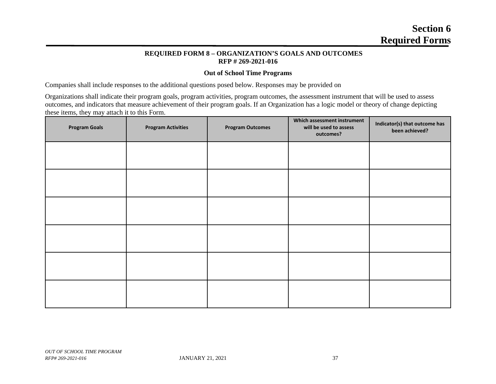# **Section 6 Required Forms**

#### **REQUIRED FORM 8 – ORGANIZATION'S GOALS AND OUTCOMES RFP # 269-2021-016**

#### **Out of School Time Programs**

Companies shall include responses to the additional questions posed below. Responses may be provided on

Organizations shall indicate their program goals, program activities, program outcomes, the assessment instrument that will be used to assess outcomes, and indicators that measure achievement of their program goals. If an Organization has a logic model or theory of change depicting these items, they may attach it to this Form.

| <b>Program Goals</b> | <b>Program Activities</b> | <b>Program Outcomes</b> | Which assessment instrument<br>will be used to assess<br>outcomes? | Indicator(s) that outcome has<br>been achieved? |
|----------------------|---------------------------|-------------------------|--------------------------------------------------------------------|-------------------------------------------------|
|                      |                           |                         |                                                                    |                                                 |
|                      |                           |                         |                                                                    |                                                 |
|                      |                           |                         |                                                                    |                                                 |
|                      |                           |                         |                                                                    |                                                 |
|                      |                           |                         |                                                                    |                                                 |
|                      |                           |                         |                                                                    |                                                 |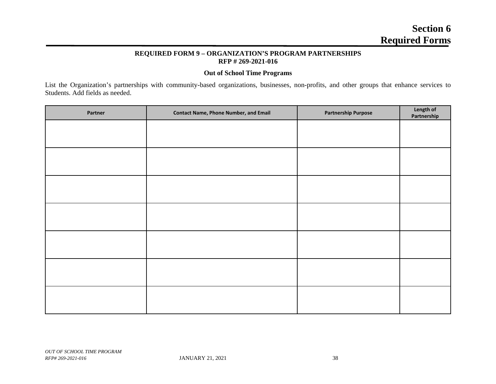#### **REQUIRED FORM 9 – ORGANIZATION'S PROGRAM PARTNERSHIPS RFP # 269-2021-016**

#### **Out of School Time Programs**

List the Organization's partnerships with community-based organizations, businesses, non-profits, and other groups that enhance services to Students. Add fields as needed.

| Partner | <b>Contact Name, Phone Number, and Email</b> | <b>Partnership Purpose</b> | Length of<br>Partnership |
|---------|----------------------------------------------|----------------------------|--------------------------|
|         |                                              |                            |                          |
|         |                                              |                            |                          |
|         |                                              |                            |                          |
|         |                                              |                            |                          |
|         |                                              |                            |                          |
|         |                                              |                            |                          |
|         |                                              |                            |                          |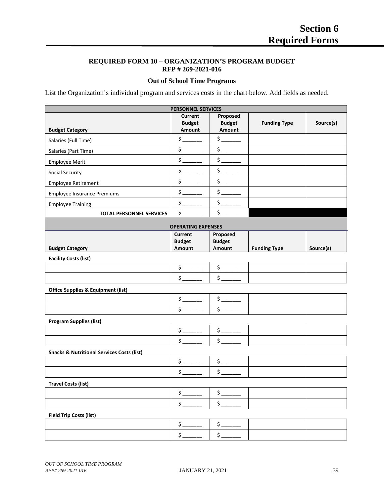#### **REQUIRED FORM 10 – ORGANIZATION'S PROGRAM BUDGET RFP # 269-2021-016**

#### **Out of School Time Programs**

List the Organization's individual program and services costs in the chart below. Add fields as needed.

| <b>PERSONNEL SERVICES</b>          |                                    |                                     |                     |           |  |
|------------------------------------|------------------------------------|-------------------------------------|---------------------|-----------|--|
| <b>Budget Category</b>             | Current<br><b>Budget</b><br>Amount | Proposed<br><b>Budget</b><br>Amount | <b>Funding Type</b> | Source(s) |  |
| Salaries (Full Time)               |                                    |                                     |                     |           |  |
| Salaries (Part Time)               |                                    |                                     |                     |           |  |
| <b>Employee Merit</b>              |                                    |                                     |                     |           |  |
| Social Security                    |                                    |                                     |                     |           |  |
| <b>Employee Retirement</b>         |                                    |                                     |                     |           |  |
| <b>Employee Insurance Premiums</b> |                                    |                                     |                     |           |  |
| <b>Employee Training</b>           |                                    |                                     |                     |           |  |
| <b>TOTAL PERSONNEL SERVICES</b>    |                                    |                                     |                     |           |  |

| <b>OPERATING EXPENSES</b>      |        |        |                     |           |  |  |
|--------------------------------|--------|--------|---------------------|-----------|--|--|
| Proposed<br>Current            |        |        |                     |           |  |  |
| <b>Budget</b><br><b>Budget</b> |        |        |                     |           |  |  |
| <b>Budget Category</b>         | Amount | Amount | <b>Funding Type</b> | Source(s) |  |  |
|                                |        |        |                     |           |  |  |

**Facility Costs (list)**

**Office Supplies & Equipment (list)**

**Program Supplies (list)**

**Snacks & Nutritional Services Costs (list)**

**Travel Costs (list)**

#### **Field Trip Costs (list)**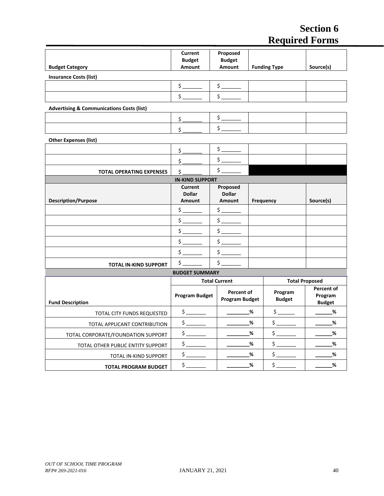# **Section 6 Required Forms**

|                                                      | <b>Current</b><br><b>Budget</b>                                                                                                                                                                                                                                                                                                                                              | Proposed<br><b>Budget</b>                                                                 |   |                                                                                                                                                                                                                                                                                                                                                                                                                                                                                                                                                                                                                                                                                                                                                 |                                               |
|------------------------------------------------------|------------------------------------------------------------------------------------------------------------------------------------------------------------------------------------------------------------------------------------------------------------------------------------------------------------------------------------------------------------------------------|-------------------------------------------------------------------------------------------|---|-------------------------------------------------------------------------------------------------------------------------------------------------------------------------------------------------------------------------------------------------------------------------------------------------------------------------------------------------------------------------------------------------------------------------------------------------------------------------------------------------------------------------------------------------------------------------------------------------------------------------------------------------------------------------------------------------------------------------------------------------|-----------------------------------------------|
| <b>Budget Category</b>                               | Amount                                                                                                                                                                                                                                                                                                                                                                       | Amount                                                                                    |   | <b>Funding Type</b>                                                                                                                                                                                                                                                                                                                                                                                                                                                                                                                                                                                                                                                                                                                             | Source(s)                                     |
| <b>Insurance Costs (list)</b>                        |                                                                                                                                                                                                                                                                                                                                                                              |                                                                                           |   |                                                                                                                                                                                                                                                                                                                                                                                                                                                                                                                                                                                                                                                                                                                                                 |                                               |
|                                                      | $\frac{1}{2}$                                                                                                                                                                                                                                                                                                                                                                | $\frac{1}{\sqrt{2}}$                                                                      |   |                                                                                                                                                                                                                                                                                                                                                                                                                                                                                                                                                                                                                                                                                                                                                 |                                               |
|                                                      | $\frac{1}{2}$                                                                                                                                                                                                                                                                                                                                                                | $\frac{1}{2}$                                                                             |   |                                                                                                                                                                                                                                                                                                                                                                                                                                                                                                                                                                                                                                                                                                                                                 |                                               |
| <b>Advertising &amp; Communications Costs (list)</b> |                                                                                                                                                                                                                                                                                                                                                                              |                                                                                           |   |                                                                                                                                                                                                                                                                                                                                                                                                                                                                                                                                                                                                                                                                                                                                                 |                                               |
|                                                      | \$                                                                                                                                                                                                                                                                                                                                                                           | $\frac{\sin \frac{1}{2} \cdot \sin \frac{1}{2}}{\sin \frac{1}{2} \cdot \sin \frac{1}{2}}$ |   |                                                                                                                                                                                                                                                                                                                                                                                                                                                                                                                                                                                                                                                                                                                                                 |                                               |
|                                                      | \$                                                                                                                                                                                                                                                                                                                                                                           | $\frac{1}{2}$                                                                             |   |                                                                                                                                                                                                                                                                                                                                                                                                                                                                                                                                                                                                                                                                                                                                                 |                                               |
| <b>Other Expenses (list)</b>                         |                                                                                                                                                                                                                                                                                                                                                                              |                                                                                           |   |                                                                                                                                                                                                                                                                                                                                                                                                                                                                                                                                                                                                                                                                                                                                                 |                                               |
|                                                      | $\frac{1}{2}$                                                                                                                                                                                                                                                                                                                                                                | $\frac{1}{2}$                                                                             |   |                                                                                                                                                                                                                                                                                                                                                                                                                                                                                                                                                                                                                                                                                                                                                 |                                               |
|                                                      | \$                                                                                                                                                                                                                                                                                                                                                                           | $$\overline{\hspace{-.1cm}.\hspace{-.1cm}.\hspace{-.1cm}}$$                               |   |                                                                                                                                                                                                                                                                                                                                                                                                                                                                                                                                                                                                                                                                                                                                                 |                                               |
| <b>TOTAL OPERATING EXPENSES</b>                      | \$                                                                                                                                                                                                                                                                                                                                                                           | $$\mathsf{S}$                                                                             |   |                                                                                                                                                                                                                                                                                                                                                                                                                                                                                                                                                                                                                                                                                                                                                 |                                               |
|                                                      | <b>IN-KIND SUPPORT</b>                                                                                                                                                                                                                                                                                                                                                       |                                                                                           |   |                                                                                                                                                                                                                                                                                                                                                                                                                                                                                                                                                                                                                                                                                                                                                 |                                               |
|                                                      | <b>Current</b><br><b>Dollar</b>                                                                                                                                                                                                                                                                                                                                              | Proposed<br><b>Dollar</b>                                                                 |   |                                                                                                                                                                                                                                                                                                                                                                                                                                                                                                                                                                                                                                                                                                                                                 |                                               |
| <b>Description/Purpose</b>                           | Amount                                                                                                                                                                                                                                                                                                                                                                       | Amount                                                                                    |   | Frequency                                                                                                                                                                                                                                                                                                                                                                                                                                                                                                                                                                                                                                                                                                                                       | Source(s)                                     |
|                                                      | $\frac{1}{2}$                                                                                                                                                                                                                                                                                                                                                                | $\frac{1}{2}$                                                                             |   |                                                                                                                                                                                                                                                                                                                                                                                                                                                                                                                                                                                                                                                                                                                                                 |                                               |
|                                                      | $\frac{1}{2}$                                                                                                                                                                                                                                                                                                                                                                | $\frac{1}{2}$                                                                             |   |                                                                                                                                                                                                                                                                                                                                                                                                                                                                                                                                                                                                                                                                                                                                                 |                                               |
|                                                      | $\frac{1}{2}$                                                                                                                                                                                                                                                                                                                                                                | $$\mathsf{S} \_\mathsf{max}$$                                                             |   |                                                                                                                                                                                                                                                                                                                                                                                                                                                                                                                                                                                                                                                                                                                                                 |                                               |
|                                                      | $$\mathsf{S} \hspace{-1pt} \begin{picture}(15,20) \put(-7,0){\line(1,0){10}} \put(-7,0){\line(1,0){10}} \put(-7,0){\line(1,0){10}} \put(-7,0){\line(1,0){10}} \put(-7,0){\line(1,0){10}} \put(-7,0){\line(1,0){10}} \put(-7,0){\line(1,0){10}} \put(-7,0){\line(1,0){10}} \put(-7,0){\line(1,0){10}} \put(-7,0){\line(1,0){10}} \put(-7,0){\line(1,0){10}} \put(-7,0){\line$ | $\frac{1}{2}$                                                                             |   |                                                                                                                                                                                                                                                                                                                                                                                                                                                                                                                                                                                                                                                                                                                                                 |                                               |
|                                                      | $\frac{1}{2}$                                                                                                                                                                                                                                                                                                                                                                | $$\mathsf{S} \xspace$                                                                     |   |                                                                                                                                                                                                                                                                                                                                                                                                                                                                                                                                                                                                                                                                                                                                                 |                                               |
| <b>TOTAL IN-KIND SUPPORT</b>                         | $\frac{1}{2}$                                                                                                                                                                                                                                                                                                                                                                | $\frac{1}{2}$                                                                             |   |                                                                                                                                                                                                                                                                                                                                                                                                                                                                                                                                                                                                                                                                                                                                                 |                                               |
|                                                      | <b>BUDGET SUMMARY</b>                                                                                                                                                                                                                                                                                                                                                        |                                                                                           |   |                                                                                                                                                                                                                                                                                                                                                                                                                                                                                                                                                                                                                                                                                                                                                 |                                               |
|                                                      |                                                                                                                                                                                                                                                                                                                                                                              | <b>Total Current</b>                                                                      |   |                                                                                                                                                                                                                                                                                                                                                                                                                                                                                                                                                                                                                                                                                                                                                 | <b>Total Proposed</b>                         |
| <b>Fund Description</b>                              | <b>Program Budget</b>                                                                                                                                                                                                                                                                                                                                                        | Percent of<br><b>Program Budget</b>                                                       |   | Program<br><b>Budget</b>                                                                                                                                                                                                                                                                                                                                                                                                                                                                                                                                                                                                                                                                                                                        | <b>Percent of</b><br>Program<br><b>Budget</b> |
| TOTAL CITY FUNDS REQUESTED                           | $\frac{1}{2}$                                                                                                                                                                                                                                                                                                                                                                |                                                                                           | % | $\frac{1}{2}$                                                                                                                                                                                                                                                                                                                                                                                                                                                                                                                                                                                                                                                                                                                                   | %                                             |
| TOTAL APPLICANT CONTRIBUTION                         | $\frac{1}{2}$                                                                                                                                                                                                                                                                                                                                                                |                                                                                           | % | $\frac{1}{2}$                                                                                                                                                                                                                                                                                                                                                                                                                                                                                                                                                                                                                                                                                                                                   | $\%$                                          |
| TOTAL CORPORATE/FOUNDATION SUPPORT                   | $\frac{1}{2}$                                                                                                                                                                                                                                                                                                                                                                |                                                                                           | % | $\frac{1}{2}$                                                                                                                                                                                                                                                                                                                                                                                                                                                                                                                                                                                                                                                                                                                                   | %                                             |
| TOTAL OTHER PUBLIC ENTITY SUPPORT                    | $$\mathsf{S} \hspace{-1pt} \begin{picture}(150,20) \put(0,0){\dashbox{0.5}(100,0){ }} \end{picture}$}$                                                                                                                                                                                                                                                                       |                                                                                           | % | $\begin{array}{c} \n \uparrow \quad \quad \quad \downarrow \quad \quad \quad \downarrow \quad \quad \quad \downarrow \quad \quad \quad \downarrow \quad \quad \downarrow \quad \quad \downarrow \quad \quad \downarrow \quad \quad \downarrow \quad \quad \downarrow \quad \quad \downarrow \quad \quad \downarrow \quad \quad \downarrow \quad \quad \downarrow \quad \quad \downarrow \quad \quad \downarrow \quad \downarrow \quad \quad \downarrow \quad \quad \downarrow \quad \downarrow \quad \downarrow \quad \downarrow \quad \downarrow \quad \downarrow \quad \downarrow \quad \downarrow \quad \downarrow \quad \downarrow \quad \downarrow \quad \downarrow \quad \downarrow \quad \downarrow \quad \downarrow \quad \downarrow \$ | %                                             |
| TOTAL IN-KIND SUPPORT                                | $$\mathsf{S}$                                                                                                                                                                                                                                                                                                                                                                |                                                                                           | % | $$\mathsf{S} \xspace$                                                                                                                                                                                                                                                                                                                                                                                                                                                                                                                                                                                                                                                                                                                           | %                                             |
| <b>TOTAL PROGRAM BUDGET</b>                          | $\frac{1}{2}$                                                                                                                                                                                                                                                                                                                                                                |                                                                                           | % | $\frac{1}{2}$                                                                                                                                                                                                                                                                                                                                                                                                                                                                                                                                                                                                                                                                                                                                   | %                                             |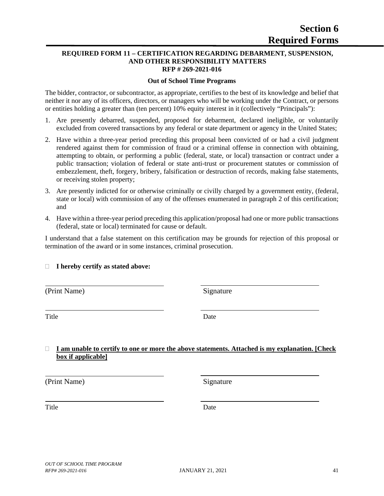#### **REQUIRED FORM 11 – CERTIFICATION REGARDING DEBARMENT, SUSPENSION, AND OTHER RESPONSIBILITY MATTERS RFP # 269-2021-016**

#### **Out of School Time Programs**

The bidder, contractor, or subcontractor, as appropriate, certifies to the best of its knowledge and belief that neither it nor any of its officers, directors, or managers who will be working under the Contract, or persons or entities holding a greater than (ten percent) 10% equity interest in it (collectively "Principals"):

- 1. Are presently debarred, suspended, proposed for debarment, declared ineligible, or voluntarily excluded from covered transactions by any federal or state department or agency in the United States;
- 2. Have within a three-year period preceding this proposal been convicted of or had a civil judgment rendered against them for commission of fraud or a criminal offense in connection with obtaining, attempting to obtain, or performing a public (federal, state, or local) transaction or contract under a public transaction; violation of federal or state anti-trust or procurement statutes or commission of embezzlement, theft, forgery, bribery, falsification or destruction of records, making false statements, or receiving stolen property;
- 3. Are presently indicted for or otherwise criminally or civilly charged by a government entity, (federal, state or local) with commission of any of the offenses enumerated in paragraph 2 of this certification; and
- 4. Have within a three-year period preceding this application/proposal had one or more public transactions (federal, state or local) terminated for cause or default.

I understand that a false statement on this certification may be grounds for rejection of this proposal or termination of the award or in some instances, criminal prosecution.

### **I hereby certify as stated above:**

(Print Name) Signature

Title Date

#### **I am unable to certify to one or more the above statements. Attached is my explanation. [Check box if applicable]**

(Print Name) Signature

Title Date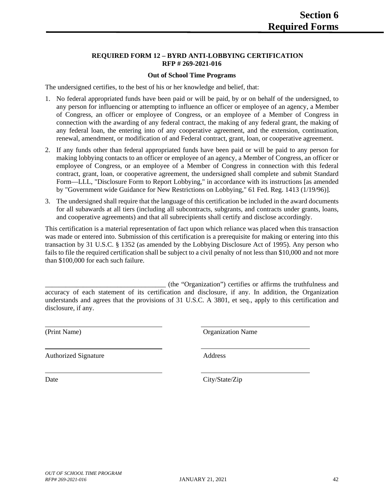#### **REQUIRED FORM 12 – BYRD ANTI-LOBBYING CERTIFICATION RFP # 269-2021-016**

#### **Out of School Time Programs**

The undersigned certifies, to the best of his or her knowledge and belief, that:

- 1. No federal appropriated funds have been paid or will be paid, by or on behalf of the undersigned, to any person for influencing or attempting to influence an officer or employee of an agency, a Member of Congress, an officer or employee of Congress, or an employee of a Member of Congress in connection with the awarding of any federal contract, the making of any federal grant, the making of any federal loan, the entering into of any cooperative agreement, and the extension, continuation, renewal, amendment, or modification of and Federal contract, grant, loan, or cooperative agreement.
- 2. If any funds other than federal appropriated funds have been paid or will be paid to any person for making lobbying contacts to an officer or employee of an agency, a Member of Congress, an officer or employee of Congress, or an employee of a Member of Congress in connection with this federal contract, grant, loan, or cooperative agreement, the undersigned shall complete and submit Standard Form—LLL, "Disclosure Form to Report Lobbying," in accordance with its instructions [as amended by "Government wide Guidance for New Restrictions on Lobbying," 61 Fed. Reg. 1413 (1/19/96)].
- 3. The undersigned shall require that the language of this certification be included in the award documents for all subawards at all tiers (including all subcontracts, subgrants, and contracts under grants, loans, and cooperative agreements) and that all subrecipients shall certify and disclose accordingly.

This certification is a material representation of fact upon which reliance was placed when this transaction was made or entered into. Submission of this certification is a prerequisite for making or entering into this transaction by 31 U.S.C. § 1352 (as amended by the Lobbying Disclosure Act of 1995). Any person who fails to file the required certification shall be subject to a civil penalty of not less than \$10,000 and not more than \$100,000 for each such failure.

\_\_\_\_\_\_\_\_\_\_\_\_\_\_\_\_\_\_\_\_\_\_\_\_\_\_\_\_\_\_\_\_\_\_\_ (the "Organization") certifies or affirms the truthfulness and accuracy of each statement of its certification and disclosure, if any. In addition, the Organization understands and agrees that the provisions of 31 U.S.C. A 3801, et seq., apply to this certification and disclosure, if any.

Authorized Signature Address

(Print Name) Organization Name

Date City/State/Zip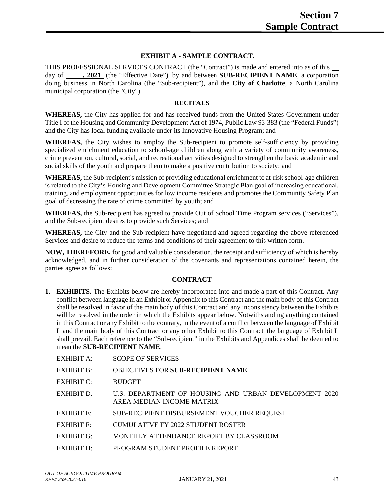#### **EXHIBIT A - SAMPLE CONTRACT.**

THIS PROFESSIONAL SERVICES CONTRACT (the "Contract") is made and entered into as of this **\_\_** day of **\_\_\_\_\_, 2021** (the "Effective Date"), by and between **SUB-RECIPIENT NAME**, a corporation doing business in North Carolina (the "Sub-recipient"), and the **City of Charlotte**, a North Carolina municipal corporation (the "City").

#### **RECITALS**

**WHEREAS,** the City has applied for and has received funds from the United States Government under Title I of the Housing and Community Development Act of 1974, Public Law 93-383 (the "Federal Funds") and the City has local funding available under its Innovative Housing Program; and

**WHEREAS,** the City wishes to employ the Sub-recipient to promote self-sufficiency by providing specialized enrichment education to school-age children along with a variety of community awareness, crime prevention, cultural, social, and recreational activities designed to strengthen the basic academic and social skills of the youth and prepare them to make a positive contribution to society; and

**WHEREAS,** the Sub-recipient's mission of providing educational enrichment to at-risk school-age children is related to the City's Housing and Development Committee Strategic Plan goal of increasing educational, training, and employment opportunities for low income residents and promotes the Community Safety Plan goal of decreasing the rate of crime committed by youth; and

**WHEREAS,** the Sub-recipient has agreed to provide Out of School Time Program services ("Services"), and the Sub-recipient desires to provide such Services; and

**WHEREAS,** the City and the Sub-recipient have negotiated and agreed regarding the above-referenced Services and desire to reduce the terms and conditions of their agreement to this written form.

**NOW, THEREFORE,** for good and valuable consideration, the receipt and sufficiency of which is hereby acknowledged, and in further consideration of the covenants and representations contained herein, the parties agree as follows:

#### **CONTRACT**

**1. EXHIBITS.** The Exhibits below are hereby incorporated into and made a part of this Contract. Any conflict between language in an Exhibit or Appendix to this Contract and the main body of this Contract shall be resolved in favor of the main body of this Contract and any inconsistency between the Exhibits will be resolved in the order in which the Exhibits appear below. Notwithstanding anything contained in this Contract or any Exhibit to the contrary, in the event of a conflict between the language of Exhibit L and the main body of this Contract or any other Exhibit to this Contract, the language of Exhibit L shall prevail. Each reference to the "Sub-recipient" in the Exhibits and Appendices shall be deemed to mean the **SUB-RECIPIENT NAME**.

| EXHIBIT A:        | <b>SCOPE OF SERVICES</b>                                                           |
|-------------------|------------------------------------------------------------------------------------|
| <b>EXHIBIT B:</b> | <b>OBJECTIVES FOR SUB-RECIPIENT NAME</b>                                           |
| EXHIBIT $C$ :     | <b>BUDGET</b>                                                                      |
| EXHIBIT D:        | U.S. DEPARTMENT OF HOUSING AND URBAN DEVELOPMENT 2020<br>AREA MEDIAN INCOME MATRIX |
| EXHIBIT E:        | SUB-RECIPIENT DISBURSEMENT VOUCHER REQUEST                                         |
| <b>EXHIBIT F:</b> | CUMULATIVE FY 2022 STUDENT ROSTER                                                  |
| EXHIBIT G:        | MONTHLY ATTENDANCE REPORT BY CLASSROOM                                             |
| EXHIBIT H:        | PROGRAM STUDENT PROFILE REPORT                                                     |
|                   |                                                                                    |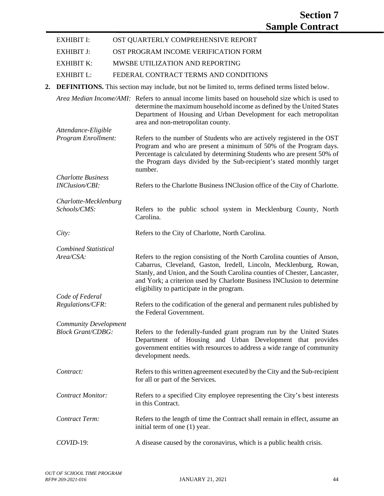- EXHIBIT I: OST QUARTERLY COMPREHENSIVE REPORT
- EXHIBIT J: OST PROGRAM INCOME VERIFICATION FORM
- EXHIBIT K: MWSBE UTILIZATION AND REPORTING
- EXHIBIT L: FEDERAL CONTRACT TERMS AND CONDITIONS
- **2. DEFINITIONS.** This section may include, but not be limited to, terms defined terms listed below.

*Area Median Income/AMI:* Refers to annual income limits based on household size which is used to determine the maximum household income as defined by the United States Department of Housing and Urban Development for each metropolitan area and non-metropolitan county. *Attendance-Eligible Program Enrollment:* Refers to the number of Students who are actively registered in the OST Program and who are present a minimum of 50% of the Program days. Percentage is calculated by determining Students who are present 50% of the Program days divided by the Sub-recipient's stated monthly target number. *Charlotte Business INClusion/CBI:* Refers to the Charlotte Business INClusion office of the City of Charlotte. *Charlotte-Mecklenburg Schools/CMS:* Refers to the public school system in Mecklenburg County, North Carolina. *City:* Refers to the City of Charlotte, North Carolina. *Combined Statistical Area/CSA:* Refers to the region consisting of the North Carolina counties of Anson, Cabarrus, Cleveland, Gaston, Iredell, Lincoln, Mecklenburg, Rowan, Stanly, and Union, and the South Carolina counties of Chester, Lancaster, and York; a criterion used by Charlotte Business INClusion to determine eligibility to participate in the program. *Code of Federal Regulations/CFR:* Refers to the codification of the general and permanent rules published by the Federal Government. *Community Development Block Grant/CDBG:* Refers to the federally-funded grant program run by the United States Department of Housing and Urban Development that provides government entities with resources to address a wide range of community development needs. *Contract:* Refers to this written agreement executed by the City and the Sub-recipient for all or part of the Services. *Contract Monitor:* Refers to a specified City employee representing the City's best interests in this Contract. *Contract Term:* Refers to the length of time the Contract shall remain in effect, assume an initial term of one (1) year. *COVID-*19: A disease caused by the coronavirus, which is a public health crisis.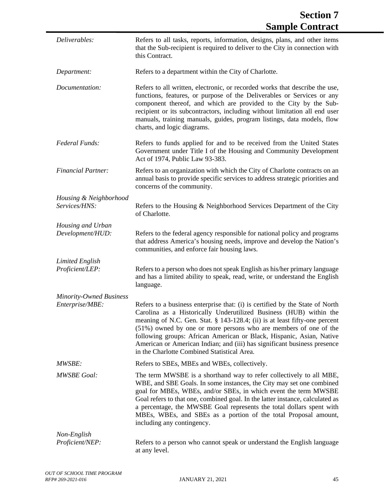| Deliverables:                                     | Refers to all tasks, reports, information, designs, plans, and other items<br>that the Sub-recipient is required to deliver to the City in connection with<br>this Contract.                                                                                                                                                                                                                                                                                                                            |
|---------------------------------------------------|---------------------------------------------------------------------------------------------------------------------------------------------------------------------------------------------------------------------------------------------------------------------------------------------------------------------------------------------------------------------------------------------------------------------------------------------------------------------------------------------------------|
| Department:                                       | Refers to a department within the City of Charlotte.                                                                                                                                                                                                                                                                                                                                                                                                                                                    |
| Documentation:                                    | Refers to all written, electronic, or recorded works that describe the use,<br>functions, features, or purpose of the Deliverables or Services or any<br>component thereof, and which are provided to the City by the Sub-<br>recipient or its subcontractors, including without limitation all end user<br>manuals, training manuals, guides, program listings, data models, flow<br>charts, and logic diagrams.                                                                                       |
| Federal Funds:                                    | Refers to funds applied for and to be received from the United States<br>Government under Title I of the Housing and Community Development<br>Act of 1974, Public Law 93-383.                                                                                                                                                                                                                                                                                                                           |
| <b>Financial Partner:</b>                         | Refers to an organization with which the City of Charlotte contracts on an<br>annual basis to provide specific services to address strategic priorities and<br>concerns of the community.                                                                                                                                                                                                                                                                                                               |
| Housing & Neighborhood<br>Services/HNS:           | Refers to the Housing & Neighborhood Services Department of the City<br>of Charlotte.                                                                                                                                                                                                                                                                                                                                                                                                                   |
| Housing and Urban<br>Development/HUD:             | Refers to the federal agency responsible for national policy and programs<br>that address America's housing needs, improve and develop the Nation's<br>communities, and enforce fair housing laws.                                                                                                                                                                                                                                                                                                      |
| <b>Limited English</b><br>Proficient/LEP:         | Refers to a person who does not speak English as his/her primary language<br>and has a limited ability to speak, read, write, or understand the English<br>language.                                                                                                                                                                                                                                                                                                                                    |
| <b>Minority-Owned Business</b><br>Enterprise/MBE: | Refers to a business enterprise that: (i) is certified by the State of North<br>Carolina as a Historically Underutilized Business (HUB) within the<br>meaning of N.C. Gen. Stat. § 143-128.4; (ii) is at least fifty-one percent<br>(51%) owned by one or more persons who are members of one of the<br>following groups: African American or Black, Hispanic, Asian, Native<br>American or American Indian; and (iii) has significant business presence<br>in the Charlotte Combined Statistical Area. |
| <b>MWSBE:</b>                                     | Refers to SBEs, MBEs and WBEs, collectively.                                                                                                                                                                                                                                                                                                                                                                                                                                                            |
| <b>MWSBE</b> Goal:                                | The term MWSBE is a shorthand way to refer collectively to all MBE,<br>WBE, and SBE Goals. In some instances, the City may set one combined<br>goal for MBEs, WBEs, and/or SBEs, in which event the term MWSBE<br>Goal refers to that one, combined goal. In the latter instance, calculated as<br>a percentage, the MWSBE Goal represents the total dollars spent with<br>MBEs, WBEs, and SBEs as a portion of the total Proposal amount,<br>including any contingency.                                |
| Non-English<br>Proficient/NEP:                    | Refers to a person who cannot speak or understand the English language<br>at any level.                                                                                                                                                                                                                                                                                                                                                                                                                 |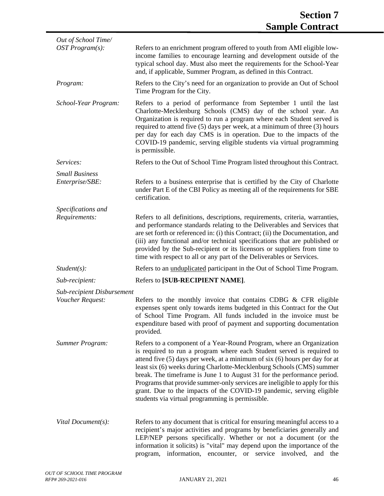| Out of School Time/               |                                                                                                                                                                                                                                                                                                                                                                                                                                                                                                                                                                                             |
|-----------------------------------|---------------------------------------------------------------------------------------------------------------------------------------------------------------------------------------------------------------------------------------------------------------------------------------------------------------------------------------------------------------------------------------------------------------------------------------------------------------------------------------------------------------------------------------------------------------------------------------------|
| OST Program(s):                   | Refers to an enrichment program offered to youth from AMI eligible low-<br>income families to encourage learning and development outside of the<br>typical school day. Must also meet the requirements for the School-Year<br>and, if applicable, Summer Program, as defined in this Contract.                                                                                                                                                                                                                                                                                              |
| Program:                          | Refers to the City's need for an organization to provide an Out of School<br>Time Program for the City.                                                                                                                                                                                                                                                                                                                                                                                                                                                                                     |
| School-Year Program:              | Refers to a period of performance from September 1 until the last<br>Charlotte-Mecklenburg Schools (CMS) day of the school year. An<br>Organization is required to run a program where each Student served is<br>required to attend five (5) days per week, at a minimum of three (3) hours<br>per day for each day CMS is in operation. Due to the impacts of the<br>COVID-19 pandemic, serving eligible students via virtual programming<br>is permissible.                                                                                                                               |
| Services:                         | Refers to the Out of School Time Program listed throughout this Contract.                                                                                                                                                                                                                                                                                                                                                                                                                                                                                                                   |
| <b>Small Business</b>             |                                                                                                                                                                                                                                                                                                                                                                                                                                                                                                                                                                                             |
| Enterprise/SBE:                   | Refers to a business enterprise that is certified by the City of Charlotte<br>under Part E of the CBI Policy as meeting all of the requirements for SBE<br>certification.                                                                                                                                                                                                                                                                                                                                                                                                                   |
| Specifications and                |                                                                                                                                                                                                                                                                                                                                                                                                                                                                                                                                                                                             |
| Requirements:                     | Refers to all definitions, descriptions, requirements, criteria, warranties,<br>and performance standards relating to the Deliverables and Services that<br>are set forth or referenced in: (i) this Contract; (ii) the Documentation, and<br>(iii) any functional and/or technical specifications that are published or<br>provided by the Sub-recipient or its licensors or suppliers from time to<br>time with respect to all or any part of the Deliverables or Services.                                                                                                               |
| $Student(s)$ :                    | Refers to an <i>unduplicated</i> participant in the Out of School Time Program.                                                                                                                                                                                                                                                                                                                                                                                                                                                                                                             |
| Sub-recipient:                    | Refers to [SUB-RECIPIENT NAME].                                                                                                                                                                                                                                                                                                                                                                                                                                                                                                                                                             |
| <b>Sub-recipient Disbursement</b> |                                                                                                                                                                                                                                                                                                                                                                                                                                                                                                                                                                                             |
| Voucher Request:                  | Refers to the monthly invoice that contains CDBG & CFR eligible<br>expenses spent only towards items budgeted in this Contract for the Out<br>of School Time Program. All funds included in the invoice must be<br>expenditure based with proof of payment and supporting documentation<br>provided.                                                                                                                                                                                                                                                                                        |
| <b>Summer Program:</b>            | Refers to a component of a Year-Round Program, where an Organization<br>is required to run a program where each Student served is required to<br>attend five (5) days per week, at a minimum of six (6) hours per day for at<br>least six (6) weeks during Charlotte-Mecklenburg Schools (CMS) summer<br>break. The timeframe is June 1 to August 31 for the performance period.<br>Programs that provide summer-only services are ineligible to apply for this<br>grant. Due to the impacts of the COVID-19 pandemic, serving eligible<br>students via virtual programming is permissible. |
| Vital Document(s):                | Refers to any document that is critical for ensuring meaningful access to a<br>recipient's major activities and programs by beneficiaries generally and<br>LEP/NEP persons specifically. Whether or not a document (or the<br>information it solicits) is "vital" may depend upon the importance of the<br>program, information, encounter, or service involved,<br>and<br>the                                                                                                                                                                                                              |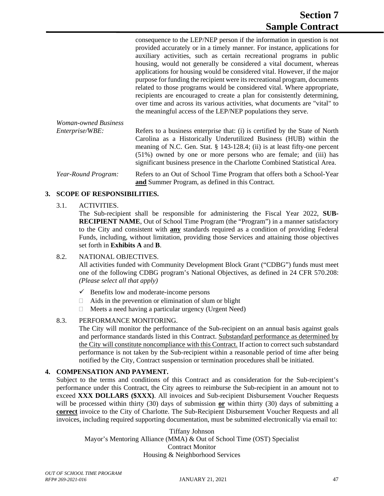consequence to the LEP/NEP person if the information in question is not provided accurately or in a timely manner. For instance, applications for auxiliary activities, such as certain recreational programs in public housing, would not generally be considered a vital document, whereas applications for housing would be considered vital. However, if the major purpose for funding the recipient were its recreational program, documents related to those programs would be considered vital. Where appropriate, recipients are encouraged to create a plan for consistently determining, over time and across its various activities, what documents are "vital" to the meaningful access of the LEP/NEP populations they serve.

*Woman-owned Business Enterprise/WBE:* Refers to a business enterprise that: (i) is certified by the State of North Carolina as a Historically Underutilized Business (HUB) within the meaning of N.C. Gen. Stat. § 143-128.4; (ii) is at least fifty-one percent (51%) owned by one or more persons who are female; and (iii) has significant business presence in the Charlotte Combined Statistical Area. *Year-Round Program:* Refers to an Out of School Time Program that offers both a School-Year

**and** Summer Program, as defined in this Contract.

#### **3. SCOPE OF RESPONSIBILITIES.**

#### 3.1. ACTIVITIES.

The Sub-recipient shall be responsible for administering the Fiscal Year 2022, **SUB-RECIPIENT NAME**, Out of School Time Program (the "Program") in a manner satisfactory to the City and consistent with **any** standards required as a condition of providing Federal Funds, including, without limitation, providing those Services and attaining those objectives set forth in **Exhibits A** and **B**.

#### 8.2. NATIONAL OBJECTIVES.

All activities funded with Community Development Block Grant ("CDBG") funds must meet one of the following CDBG program's National Objectives, as defined in 24 CFR 570.208: *(Please select all that apply)*

- $\checkmark$  Benefits low and moderate-income persons
- $\Box$  Aids in the prevention or elimination of slum or blight
- $\Box$  Meets a need having a particular urgency (Urgent Need)

#### 8.3. PERFORMANCE MONITORING.

The City will monitor the performance of the Sub-recipient on an annual basis against goals and performance standards listed in this Contract. Substandard performance as determined by the City will constitute noncompliance with this Contract. If action to correct such substandard performance is not taken by the Sub-recipient within a reasonable period of time after being notified by the City, Contract suspension or termination procedures shall be initiated.

#### **4. COMPENSATION AND PAYMENT.**

Subject to the terms and conditions of this Contract and as consideration for the Sub-recipient's performance under this Contract, the City agrees to reimburse the Sub-recipient in an amount not to exceed **XXX DOLLARS (\$XXX)**. All invoices and Sub-recipient Disbursement Voucher Requests will be processed within thirty (30) days of submission **or** within thirty (30) days of submitting a **correct** invoice to the City of Charlotte. The Sub-Recipient Disbursement Voucher Requests and all invoices, including required supporting documentation, must be submitted electronically via email to:

Tiffany Johnson Mayor's Mentoring Alliance (MMA) & Out of School Time (OST) Specialist Contract Monitor Housing & Neighborhood Services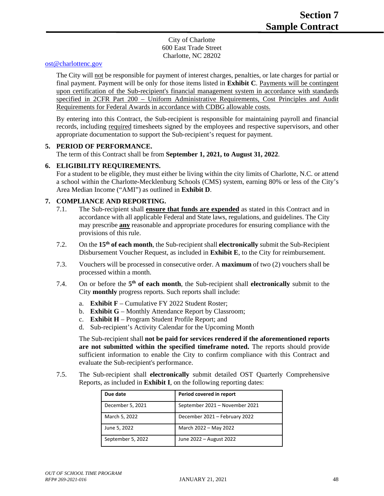City of Charlotte 600 East Trade Street Charlotte, NC 28202

#### [ost@charlottenc.gov](mailto:ost@charlottenc.gov)

The City will not be responsible for payment of interest charges, penalties, or late charges for partial or final payment. Payment will be only for those items listed in **Exhibit C**. Payments will be contingent upon certification of the Sub-recipient's financial management system in accordance with standards specified in 2CFR Part 200 – Uniform Administrative Requirements, Cost Principles and Audit Requirements for Federal Awards in accordance with CDBG allowable costs.

By entering into this Contract, the Sub-recipient is responsible for maintaining payroll and financial records, including required timesheets signed by the employees and respective supervisors, and other appropriate documentation to support the Sub-recipient's request for payment.

#### **5. PERIOD OF PERFORMANCE.**

The term of this Contract shall be from **September 1, 2021, to August 31, 2022**.

#### **6. ELIGIBILITY REQUIREMENTS.**

For a student to be eligible, they must either be living within the city limits of Charlotte, N.C. or attend a school within the Charlotte-Mecklenburg Schools (CMS) system, earning 80% or less of the City's Area Median Income ("AMI") as outlined in **Exhibit D**.

#### **7. COMPLIANCE AND REPORTING.**

- 7.1. The Sub-recipient shall **ensure that funds are expended** as stated in this Contract and in accordance with all applicable Federal and State laws, regulations, and guidelines. The City may prescribe **any** reasonable and appropriate procedures for ensuring compliance with the provisions of this rule.
- 7.2. On the **15th of each month**, the Sub-recipient shall **electronically** submit the Sub-Recipient Disbursement Voucher Request, as included in **Exhibit E**, to the City for reimbursement.
- 7.3. Vouchers will be processed in consecutive order. A **maximum** of two (2) vouchers shall be processed within a month.
- 7.4. On or before the **5th of each month**, the Sub-recipient shall **electronically** submit to the City **monthly** progress reports. Such reports shall include:
	- a. **Exhibit F** Cumulative FY 2022 Student Roster;
	- b. **Exhibit G** Monthly Attendance Report by Classroom;
	- c. **Exhibit H** Program Student Profile Report; and
	- d. Sub-recipient's Activity Calendar for the Upcoming Month

The Sub-recipient shall **not be paid for services rendered if the aforementioned reports are not submitted within the specified timeframe noted.** The reports should provide sufficient information to enable the City to confirm compliance with this Contract and evaluate the Sub-recipient's performance.

7.5. The Sub-recipient shall **electronically** submit detailed OST Quarterly Comprehensive Reports, as included in **Exhibit I**, on the following reporting dates:

| Due date          | Period covered in report       |
|-------------------|--------------------------------|
| December 5, 2021  | September 2021 - November 2021 |
| March 5, 2022     | December 2021 - February 2022  |
| June 5, 2022      | March 2022 - May 2022          |
| September 5, 2022 | June 2022 – August 2022        |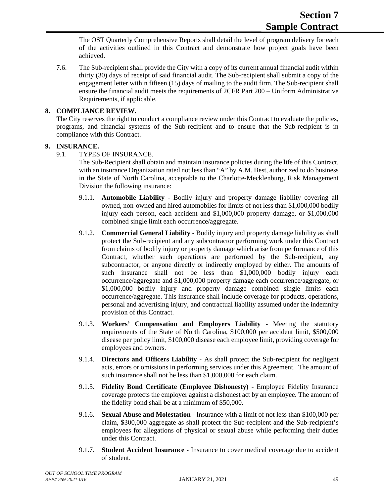The OST Quarterly Comprehensive Reports shall detail the level of program delivery for each of the activities outlined in this Contract and demonstrate how project goals have been achieved.

7.6. The Sub-recipient shall provide the City with a copy of its current annual financial audit within thirty (30) days of receipt of said financial audit. The Sub-recipient shall submit a copy of the engagement letter within fifteen (15) days of mailing to the audit firm. The Sub-recipient shall ensure the financial audit meets the requirements of 2CFR Part 200 – Uniform Administrative Requirements, if applicable.

#### **8. COMPLIANCE REVIEW.**

The City reserves the right to conduct a compliance review under this Contract to evaluate the policies, programs, and financial systems of the Sub-recipient and to ensure that the Sub-recipient is in compliance with this Contract.

#### **9. INSURANCE.**

9.1. TYPES OF INSURANCE.

The Sub-Recipient shall obtain and maintain insurance policies during the life of this Contract, with an insurance Organization rated not less than "A" by A.M. Best, authorized to do business in the State of North Carolina, acceptable to the Charlotte-Mecklenburg, Risk Management Division the following insurance:

- 9.1.1. **Automobile Liability** Bodily injury and property damage liability covering all owned, non-owned and hired automobiles for limits of not less than \$1,000,000 bodily injury each person, each accident and \$1,000,000 property damage, or \$1,000,000 combined single limit each occurrence/aggregate.
- 9.1.2. **Commercial General Liability** Bodily injury and property damage liability as shall protect the Sub-recipient and any subcontractor performing work under this Contract from claims of bodily injury or property damage which arise from performance of this Contract, whether such operations are performed by the Sub-recipient, any subcontractor, or anyone directly or indirectly employed by either. The amounts of such insurance shall not be less than \$1,000,000 bodily injury each occurrence/aggregate and \$1,000,000 property damage each occurrence/aggregate, or \$1,000,000 bodily injury and property damage combined single limits each occurrence/aggregate. This insurance shall include coverage for products, operations, personal and advertising injury, and contractual liability assumed under the indemnity provision of this Contract.
- 9.1.3. **Workers' Compensation and Employers Liability** Meeting the statutory requirements of the State of North Carolina, \$100,000 per accident limit, \$500,000 disease per policy limit, \$100,000 disease each employee limit, providing coverage for employees and owners.
- 9.1.4. **Directors and Officers Liability** As shall protect the Sub-recipient for negligent acts, errors or omissions in performing services under this Agreement. The amount of such insurance shall not be less than \$1,000,000 for each claim.
- 9.1.5. **Fidelity Bond Certificate (Employee Dishonesty)** Employee Fidelity Insurance coverage protects the employer against a dishonest act by an employee. The amount of the fidelity bond shall be at a minimum of \$50,000.
- 9.1.6. **Sexual Abuse and Molestation** Insurance with a limit of not less than \$100,000 per claim, \$300,000 aggregate as shall protect the Sub-recipient and the Sub-recipient's employees for allegations of physical or sexual abuse while performing their duties under this Contract.
- 9.1.7. **Student Accident Insurance** Insurance to cover medical coverage due to accident of student.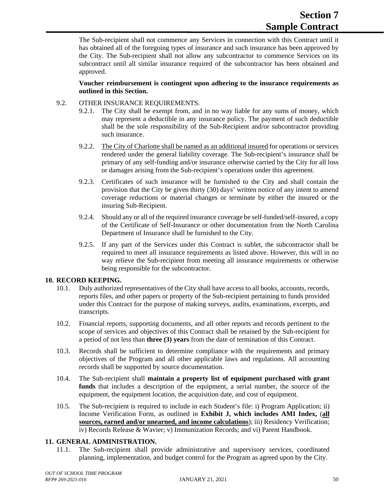The Sub-recipient shall not commence any Services in connection with this Contract until it has obtained all of the foregoing types of insurance and such insurance has been approved by the City. The Sub-recipient shall not allow any subcontractor to commence Services on its subcontract until all similar insurance required of the subcontractor has been obtained and approved.

#### **Voucher reimbursement is contingent upon adhering to the insurance requirements as outlined in this Section.**

#### 9.2. OTHER INSURANCE REQUIREMENTS.

- 9.2.1. The City shall be exempt from, and in no way liable for any sums of money, which may represent a deductible in any insurance policy. The payment of such deductible shall be the sole responsibility of the Sub-Recipient and/or subcontractor providing such insurance.
- 9.2.2. The City of Charlotte shall be named as an additional insured for operations or services rendered under the general liability coverage. The Sub-recipient's insurance shall be primary of any self-funding and/or insurance otherwise carried by the City for all loss or damages arising from the Sub-recipient's operations under this agreement.
- 9.2.3. Certificates of such insurance will be furnished to the City and shall contain the provision that the City be given thirty (30) days' written notice of any intent to amend coverage reductions or material changes or terminate by either the insured or the insuring Sub-Recipient.
- 9.2.4. Should any or all of the required insurance coverage be self-funded/self-insured, a copy of the Certificate of Self-Insurance or other documentation from the North Carolina Department of Insurance shall be furnished to the City.
- 9.2.5. If any part of the Services under this Contract is sublet, the subcontractor shall be required to meet all insurance requirements as listed above. However, this will in no way relieve the Sub-recipient from meeting all insurance requirements or otherwise being responsible for the subcontractor.

#### **10. RECORD KEEPING.**

- 10.1. Duly authorized representatives of the City shall have access to all books, accounts, records, reports files, and other papers or property of the Sub-recipient pertaining to funds provided under this Contract for the purpose of making surveys, audits, examinations, excerpts, and transcripts.
- 10.2. Financial reports, supporting documents, and all other reports and records pertinent to the scope of services and objectives of this Contract shall be retained by the Sub-recipient for a period of not less than **three (3) years** from the date of termination of this Contract.
- 10.3. Records shall be sufficient to determine compliance with the requirements and primary objectives of the Program and all other applicable laws and regulations. All accounting records shall be supported by source documentation.
- 10.4. The Sub-recipient shall **maintain a property list of equipment purchased with grant funds** that includes a description of the equipment, a serial number, the source of the equipment, the equipment location, the acquisition date, and cost of equipment.
- 10.5. The Sub-recipient is required to include in each Student's file: i) Program Application; ii) Income Verification Form, as outlined in **Exhibit J, which includes AMI Index,** (**all sources, earned and/or unearned, and income calculations**); iii) Residency Verification; iv) Records Release & Wavier; v) Immunization Records; and vi) Parent Handbook.

#### **11. GENERAL ADMINISTRATION.**

11.1. The Sub-recipient shall provide administrative and supervisory services, coordinated planning, implementation, and budget control for the Program as agreed upon by the City.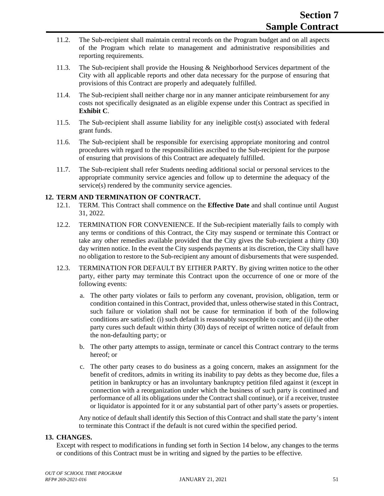- 11.2. The Sub-recipient shall maintain central records on the Program budget and on all aspects of the Program which relate to management and administrative responsibilities and reporting requirements.
- 11.3. The Sub-recipient shall provide the Housing & Neighborhood Services department of the City with all applicable reports and other data necessary for the purpose of ensuring that provisions of this Contract are properly and adequately fulfilled.
- 11.4. The Sub-recipient shall neither charge nor in any manner anticipate reimbursement for any costs not specifically designated as an eligible expense under this Contract as specified in **Exhibit C**.
- 11.5. The Sub-recipient shall assume liability for any ineligible cost(s) associated with federal grant funds.
- 11.6. The Sub-recipient shall be responsible for exercising appropriate monitoring and control procedures with regard to the responsibilities ascribed to the Sub-recipient for the purpose of ensuring that provisions of this Contract are adequately fulfilled.
- 11.7. The Sub-recipient shall refer Students needing additional social or personal services to the appropriate community service agencies and follow up to determine the adequacy of the service(s) rendered by the community service agencies.

#### **12. TERM AND TERMINATION OF CONTRACT.**

- 12.1. TERM. This Contract shall commence on the **Effective Date** and shall continue until August 31, 2022.
- 12.2. TERMINATION FOR CONVENIENCE. If the Sub-recipient materially fails to comply with any terms or conditions of this Contract, the City may suspend or terminate this Contract or take any other remedies available provided that the City gives the Sub-recipient a thirty (30) day written notice. In the event the City suspends payments at its discretion, the City shall have no obligation to restore to the Sub-recipient any amount of disbursements that were suspended.
- 12.3. TERMINATION FOR DEFAULT BY EITHER PARTY. By giving written notice to the other party, either party may terminate this Contract upon the occurrence of one or more of the following events:
	- a. The other party violates or fails to perform any covenant, provision, obligation, term or condition contained in this Contract, provided that, unless otherwise stated in this Contract, such failure or violation shall not be cause for termination if both of the following conditions are satisfied: (i) such default is reasonably susceptible to cure; and (ii) the other party cures such default within thirty (30) days of receipt of written notice of default from the non-defaulting party; or
	- b. The other party attempts to assign, terminate or cancel this Contract contrary to the terms hereof; or
	- c. The other party ceases to do business as a going concern, makes an assignment for the benefit of creditors, admits in writing its inability to pay debts as they become due, files a petition in bankruptcy or has an involuntary bankruptcy petition filed against it (except in connection with a reorganization under which the business of such party is continued and performance of all its obligations under the Contract shall continue), or if a receiver, trustee or liquidator is appointed for it or any substantial part of other party's assets or properties.

Any notice of default shall identify this Section of this Contract and shall state the party's intent to terminate this Contract if the default is not cured within the specified period.

#### **13. CHANGES.**

Except with respect to modifications in funding set forth in Section 14 below, any changes to the terms or conditions of this Contract must be in writing and signed by the parties to be effective.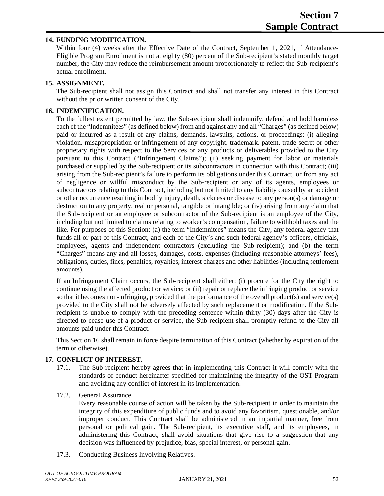#### **14. FUNDING MODIFICATION.**

Within four (4) weeks after the Effective Date of the Contract, September 1, 2021, if Attendance-Eligible Program Enrollment is not at eighty (80) percent of the Sub-recipient's stated monthly target number, the City may reduce the reimbursement amount proportionately to reflect the Sub-recipient's actual enrollment.

#### **15. ASSIGNMENT.**

The Sub-recipient shall not assign this Contract and shall not transfer any interest in this Contract without the prior written consent of the City.

#### **16. INDEMNIFICATION.**

To the fullest extent permitted by law, the Sub-recipient shall indemnify, defend and hold harmless each of the "Indemnitees" (as defined below) from and against any and all "Charges" (as defined below) paid or incurred as a result of any claims, demands, lawsuits, actions, or proceedings: (i) alleging violation, misappropriation or infringement of any copyright, trademark, patent, trade secret or other proprietary rights with respect to the Services or any products or deliverables provided to the City pursuant to this Contract ("Infringement Claims"); (ii) seeking payment for labor or materials purchased or supplied by the Sub-recipient or its subcontractors in connection with this Contract; (iii) arising from the Sub-recipient's failure to perform its obligations under this Contract, or from any act of negligence or willful misconduct by the Sub-recipient or any of its agents, employees or subcontractors relating to this Contract, including but not limited to any liability caused by an accident or other occurrence resulting in bodily injury, death, sickness or disease to any person(s) or damage or destruction to any property, real or personal, tangible or intangible; or (iv) arising from any claim that the Sub-recipient or an employee or subcontractor of the Sub-recipient is an employee of the City, including but not limited to claims relating to worker's compensation, failure to withhold taxes and the like. For purposes of this Section: (a) the term "Indemnitees" means the City, any federal agency that funds all or part of this Contract, and each of the City's and such federal agency's officers, officials, employees, agents and independent contractors (excluding the Sub-recipient); and (b) the term "Charges" means any and all losses, damages, costs, expenses (including reasonable attorneys' fees), obligations, duties, fines, penalties, royalties, interest charges and other liabilities (including settlement amounts).

If an Infringement Claim occurs, the Sub-recipient shall either: (i) procure for the City the right to continue using the affected product or service; or (ii) repair or replace the infringing product or service so that it becomes non-infringing, provided that the performance of the overall product(s) and service(s) provided to the City shall not be adversely affected by such replacement or modification. If the Subrecipient is unable to comply with the preceding sentence within thirty (30) days after the City is directed to cease use of a product or service, the Sub-recipient shall promptly refund to the City all amounts paid under this Contract.

This Section 16 shall remain in force despite termination of this Contract (whether by expiration of the term or otherwise).

#### **17. CONFLICT OF INTEREST.**

- 17.1. The Sub-recipient hereby agrees that in implementing this Contract it will comply with the standards of conduct hereinafter specified for maintaining the integrity of the OST Program and avoiding any conflict of interest in its implementation.
- 17.2. General Assurance.

Every reasonable course of action will be taken by the Sub-recipient in order to maintain the integrity of this expenditure of public funds and to avoid any favoritism, questionable, and/or improper conduct. This Contract shall be administered in an impartial manner, free from personal or political gain. The Sub-recipient, its executive staff, and its employees, in administering this Contract, shall avoid situations that give rise to a suggestion that any decision was influenced by prejudice, bias, special interest, or personal gain.

17.3. Conducting Business Involving Relatives.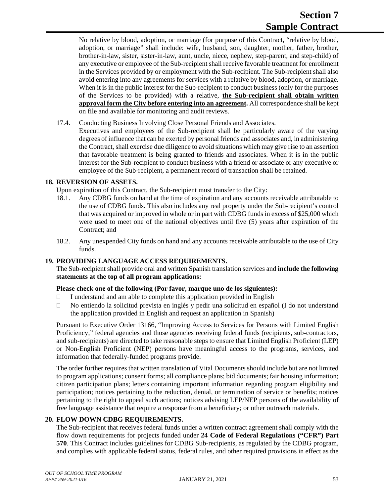No relative by blood, adoption, or marriage (for purpose of this Contract, "relative by blood, adoption, or marriage" shall include: wife, husband, son, daughter, mother, father, brother, brother-in-law, sister, sister-in-law, aunt, uncle, niece, nephew, step-parent, and step-child) of any executive or employee of the Sub-recipient shall receive favorable treatment for enrollment in the Services provided by or employment with the Sub-recipient. The Sub-recipient shall also avoid entering into any agreements for services with a relative by blood, adoption, or marriage. When it is in the public interest for the Sub-recipient to conduct business (only for the purposes of the Services to be provided) with a relative, **the Sub-recipient shall obtain written approval form the City before entering into an agreement.** All correspondence shall be kept on file and available for monitoring and audit reviews.

17.4. Conducting Business Involving Close Personal Friends and Associates.

Executives and employees of the Sub-recipient shall be particularly aware of the varying degrees of influence that can be exerted by personal friends and associates and, in administering the Contract, shall exercise due diligence to avoid situations which may give rise to an assertion that favorable treatment is being granted to friends and associates. When it is in the public interest for the Sub-recipient to conduct business with a friend or associate or any executive or employee of the Sub-recipient, a permanent record of transaction shall be retained.

#### **18. REVERSION OF ASSETS.**

Upon expiration of this Contract, the Sub-recipient must transfer to the City:

- 18.1. Any CDBG funds on hand at the time of expiration and any accounts receivable attributable to the use of CDBG funds. This also includes any real property under the Sub-recipient's control that was acquired or improved in whole or in part with CDBG funds in excess of \$25,000 which were used to meet one of the national objectives until five (5) years after expiration of the Contract; and
- 18.2. Any unexpended City funds on hand and any accounts receivable attributable to the use of City funds.

#### **19. PROVIDING LANGUAGE ACCESS REQUIREMENTS.**

The Sub-recipient shall provide oral and written Spanish translation services and **include the following statements at the top of all program applications:**

#### **Please check one of the following (Por favor, marque uno de los siguientes):**

- $\Box$  I understand and am able to complete this application provided in English
- $\Box$  No entiendo la solicitud prevista en inglés y pedir una solicitud en español (I do not understand the application provided in English and request an application in Spanish)

Pursuant to Executive Order 13166, "Improving Access to Services for Persons with Limited English Proficiency," federal agencies and those agencies receiving federal funds (recipients, sub-contractors, and sub-recipients) are directed to take reasonable steps to ensure that Limited English Proficient (LEP) or Non-English Proficient (NEP) persons have meaningful access to the programs, services, and information that federally-funded programs provide.

The order further requires that written translation of Vital Documents should include but are not limited to program applications; consent forms; all compliance plans; bid documents; fair housing information; citizen participation plans; letters containing important information regarding program eligibility and participation; notices pertaining to the reduction, denial, or termination of service or benefits; notices pertaining to the right to appeal such actions; notices advising LEP/NEP persons of the availability of free language assistance that require a response from a beneficiary; or other outreach materials.

#### **20. FLOW DOWN CDBG REQUIREMENTS.**

The Sub-recipient that receives federal funds under a written contract agreement shall comply with the flow down requirements for projects funded under **24 Code of Federal Regulations ("CFR") Part 570**. This Contract includes guidelines for CDBG Sub-recipients, as regulated by the CDBG program, and complies with applicable federal status, federal rules, and other required provisions in effect as the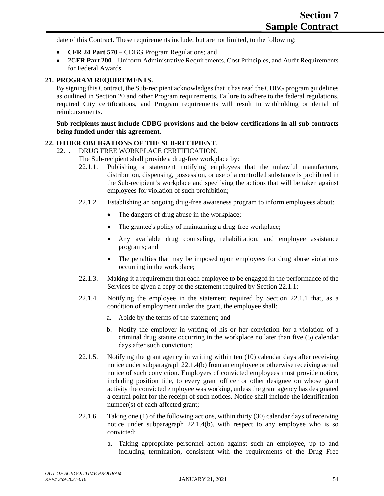date of this Contract. These requirements include, but are not limited, to the following:

- **CFR 24 Part 570** CDBG Program Regulations; and
- **2CFR Part 200** Uniform Administrative Requirements, Cost Principles, and Audit Requirements for Federal Awards.

#### **21. PROGRAM REQUIREMENTS.**

By signing this Contract, the Sub-recipient acknowledges that it has read the CDBG program guidelines as outlined in Section 20 and other Program requirements. Failure to adhere to the federal regulations, required City certifications, and Program requirements will result in withholding or denial of reimbursements.

#### **Sub-recipients must include CDBG provisions and the below certifications in all sub-contracts being funded under this agreement.**

#### **22. OTHER OBLIGATIONS OF THE SUB-RECIPIENT.**

22.1. DRUG FREE WORKPLACE CERTIFICATION.

The Sub-recipient shall provide a drug-free workplace by:

- 22.1.1. Publishing a statement notifying employees that the unlawful manufacture, distribution, dispensing, possession, or use of a controlled substance is prohibited in the Sub-recipient's workplace and specifying the actions that will be taken against employees for violation of such prohibition;
- 22.1.2. Establishing an ongoing drug-free awareness program to inform employees about:
	- The dangers of drug abuse in the workplace;
	- The grantee's policy of maintaining a drug-free workplace;
	- Any available drug counseling, rehabilitation, and employee assistance programs; and
	- The penalties that may be imposed upon employees for drug abuse violations occurring in the workplace;
- 22.1.3. Making it a requirement that each employee to be engaged in the performance of the Services be given a copy of the statement required by Section 22.1.1;
- 22.1.4. Notifying the employee in the statement required by Section 22.1.1 that, as a condition of employment under the grant, the employee shall:
	- a. Abide by the terms of the statement; and
	- b. Notify the employer in writing of his or her conviction for a violation of a criminal drug statute occurring in the workplace no later than five (5) calendar days after such conviction;
- 22.1.5. Notifying the grant agency in writing within ten (10) calendar days after receiving notice under subparagraph 22.1.4(b) from an employee or otherwise receiving actual notice of such conviction. Employers of convicted employees must provide notice, including position title, to every grant officer or other designee on whose grant activity the convicted employee was working, unless the grant agency has designated a central point for the receipt of such notices. Notice shall include the identification number(s) of each affected grant;
- 22.1.6. Taking one (1) of the following actions, within thirty (30) calendar days of receiving notice under subparagraph 22.1.4(b), with respect to any employee who is so convicted:
	- a. Taking appropriate personnel action against such an employee, up to and including termination, consistent with the requirements of the Drug Free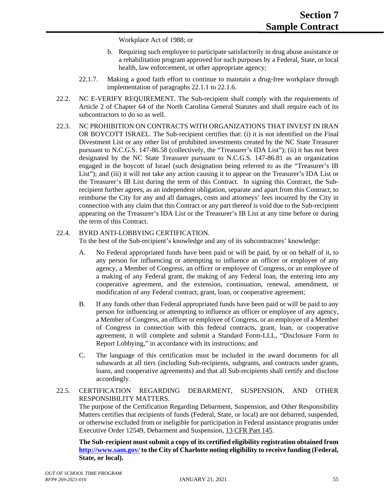Workplace Act of 1988; or

- b. Requiring such employee to participate satisfactorily in drug abuse assistance or a rehabilitation program approved for such purposes by a Federal, State, or local health, law enforcement, or other appropriate agency;
- 22.1.7. Making a good faith effort to continue to maintain a drug-free workplace through implementation of paragraphs 22.1.1 to 22.1.6.
- 22.2. NC E-VERIFY REQUIREMENT. The Sub-recipient shall comply with the requirements of Article 2 of Chapter 64 of the North Carolina General Statutes and shall require each of its subcontractors to do so as well.
- 22.3. NC PROHIBITION ON CONTRACTS WITH ORGANIZATIONS THAT INVEST IN IRAN OR BOYCOTT ISRAEL. The Sub-recipient certifies that: (i) it is not identified on the Final Divestment List or any other list of prohibited investments created by the NC State Treasurer pursuant to N.C.G.S. 147-86.58 (collectively, the "Treasurer's IDA List"); (ii) it has not been designated by the NC State Treasurer pursuant to N.C.G.S. 147-86.81 as an organization engaged in the boycott of Israel (such designation being referred to as the "Treasurer's IB List"); and (iii) it will not take any action causing it to appear on the Treasurer's IDA List or the Treasurer's IB List during the term of this Contract. In signing this Contract, the Subrecipient further agrees, as an independent obligation, separate and apart from this Contract, to reimburse the City for any and all damages, costs and attorneys' fees incurred by the City in connection with any claim that this Contract or any part thereof is void due to the Sub-recipient appearing on the Treasurer's IDA List or the Treasurer's IB List at any time before or during the term of this Contract.

#### 22.4. BYRD ANTI-LOBBYING CERTIFICATION.

To the best of the Sub-recipient's knowledge and any of its subcontractors' knowledge:

- A. No Federal appropriated funds have been paid or will be paid, by or on behalf of it, to any person for influencing or attempting to influence an officer or employee of any agency, a Member of Congress, an officer or employee of Congress, or an employee of a making of any Federal grant, the making of any Federal loan, the entering into any cooperative agreement, and the extension, continuation, renewal, amendment, or modification of any Federal contract, grant, loan, or cooperative agreement;
- B. If any funds other than Federal appropriated funds have been paid or will be paid to any person for influencing or attempting to influence an officer or employee of any agency, a Member of Congress, an officer or employee of Congress, or an employee of a Member of Congress in connection with this federal contracts, grant, loan, or cooperative agreement, it will complete and submit a Standard Form-LLL, "Disclosure Form to Report Lobbying," in accordance with its instructions; and
- C. The language of this certification must be included in the award documents for all subawards at all tiers (including Sub-recipients, subgrants, and contracts under grants, loans, and cooperative agreements) and that all Sub-recipients shall certify and disclose accordingly.

#### 22.5. CERTIFICATION REGARDING DEBARMENT, SUSPENSION, AND OTHER RESPONSIBILITY MATTERS.

The purpose of the Certification Regarding Debarment, Suspension, and Other Responsibility Matters certifies that recipients of funds (Federal, State, or local) are not debarred, suspended, or otherwise excluded from or ineligible for participation in Federal assistance programs under Executive Order 12549, Debarment and Suspension, 13 CFR Part 145.

**The Sub-recipient must submit a copy of its certified eligibility registration obtained from <http://www.sam.gov/> to the City of Charlotte noting eligibility to receive funding (Federal, State, or local).**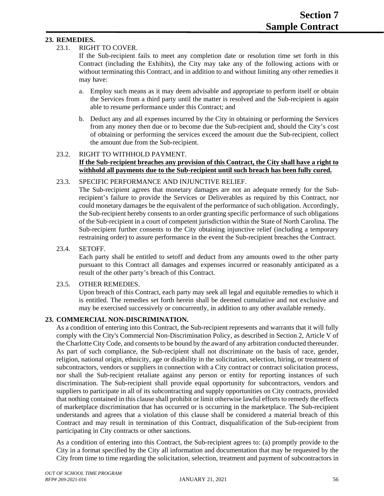#### **23. REMEDIES.**

#### 23.1. RIGHT TO COVER.

If the Sub-recipient fails to meet any completion date or resolution time set forth in this Contract (including the Exhibits), the City may take any of the following actions with or without terminating this Contract, and in addition to and without limiting any other remedies it may have:

- a. Employ such means as it may deem advisable and appropriate to perform itself or obtain the Services from a third party until the matter is resolved and the Sub-recipient is again able to resume performance under this Contract; and
- b. Deduct any and all expenses incurred by the City in obtaining or performing the Services from any money then due or to become due the Sub-recipient and, should the City's cost of obtaining or performing the services exceed the amount due the Sub-recipient, collect the amount due from the Sub-recipient.

#### 23.2. RIGHT TO WITHHOLD PAYMENT. **If the Sub-recipient breaches any provision of this Contract, the City shall have a right to withhold all payments due to the Sub-recipient until such breach has been fully cured.**

#### 23.3. SPECIFIC PERFORMANCE AND INJUNCTIVE RELIEF.

The Sub-recipient agrees that monetary damages are not an adequate remedy for the Subrecipient's failure to provide the Services or Deliverables as required by this Contract, nor could monetary damages be the equivalent of the performance of such obligation. Accordingly, the Sub-recipient hereby consents to an order granting specific performance of such obligations of the Sub-recipient in a court of competent jurisdiction within the State of North Carolina. The Sub-recipient further consents to the City obtaining injunctive relief (including a temporary restraining order) to assure performance in the event the Sub-recipient breaches the Contract.

23.4. SETOFF.

Each party shall be entitled to setoff and deduct from any amounts owed to the other party pursuant to this Contract all damages and expenses incurred or reasonably anticipated as a result of the other party's breach of this Contract.

#### 23.5. OTHER REMEDIES.

Upon breach of this Contract, each party may seek all legal and equitable remedies to which it is entitled. The remedies set forth herein shall be deemed cumulative and not exclusive and may be exercised successively or concurrently, in addition to any other available remedy.

#### **23. COMMERCIAL NON-DISCRIMINATION.**

As a condition of entering into this Contract, the Sub-recipient represents and warrants that it will fully comply with the City's Commercial Non-Discrimination Policy, as described in Section 2, Article V of the Charlotte City Code, and consents to be bound by the award of any arbitration conducted thereunder. As part of such compliance, the Sub-recipient shall not discriminate on the basis of race, gender, religion, national origin, ethnicity, age or disability in the solicitation, selection, hiring, or treatment of subcontractors, vendors or suppliers in connection with a City contract or contract solicitation process, nor shall the Sub-recipient retaliate against any person or entity for reporting instances of such discrimination. The Sub-recipient shall provide equal opportunity for subcontractors, vendors and suppliers to participate in all of its subcontracting and supply opportunities on City contracts, provided that nothing contained in this clause shall prohibit or limit otherwise lawful efforts to remedy the effects of marketplace discrimination that has occurred or is occurring in the marketplace. The Sub-recipient understands and agrees that a violation of this clause shall be considered a material breach of this Contract and may result in termination of this Contract, disqualification of the Sub-recipient from participating in City contracts or other sanctions.

As a condition of entering into this Contract, the Sub-recipient agrees to: (a) promptly provide to the City in a format specified by the City all information and documentation that may be requested by the City from time to time regarding the solicitation, selection, treatment and payment of subcontractors in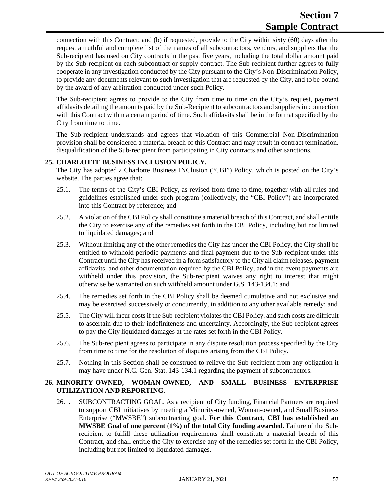connection with this Contract; and (b) if requested, provide to the City within sixty (60) days after the request a truthful and complete list of the names of all subcontractors, vendors, and suppliers that the Sub-recipient has used on City contracts in the past five years, including the total dollar amount paid by the Sub-recipient on each subcontract or supply contract. The Sub-recipient further agrees to fully cooperate in any investigation conducted by the City pursuant to the City's Non-Discrimination Policy, to provide any documents relevant to such investigation that are requested by the City, and to be bound by the award of any arbitration conducted under such Policy.

The Sub-recipient agrees to provide to the City from time to time on the City's request, payment affidavits detailing the amounts paid by the Sub-Recipient to subcontractors and suppliers in connection with this Contract within a certain period of time. Such affidavits shall be in the format specified by the City from time to time.

The Sub-recipient understands and agrees that violation of this Commercial Non-Discrimination provision shall be considered a material breach of this Contract and may result in contract termination, disqualification of the Sub-recipient from participating in City contracts and other sanctions.

#### **25. CHARLOTTE BUSINESS INCLUSION POLICY.**

The City has adopted a Charlotte Business INClusion ("CBI") Policy, which is posted on the City's website. The parties agree that:

- 25.1. The terms of the City's CBI Policy, as revised from time to time, together with all rules and guidelines established under such program (collectively, the "CBI Policy") are incorporated into this Contract by reference; and
- 25.2. A violation of the CBI Policy shall constitute a material breach of this Contract, and shall entitle the City to exercise any of the remedies set forth in the CBI Policy, including but not limited to liquidated damages; and
- 25.3. Without limiting any of the other remedies the City has under the CBI Policy, the City shall be entitled to withhold periodic payments and final payment due to the Sub-recipient under this Contract until the City has received in a form satisfactory to the City all claim releases, payment affidavits, and other documentation required by the CBI Policy, and in the event payments are withheld under this provision, the Sub-recipient waives any right to interest that might otherwise be warranted on such withheld amount under G.S. 143-134.1; and
- 25.4. The remedies set forth in the CBI Policy shall be deemed cumulative and not exclusive and may be exercised successively or concurrently, in addition to any other available remedy; and
- 25.5. The City will incur costs if the Sub-recipient violates the CBI Policy, and such costs are difficult to ascertain due to their indefiniteness and uncertainty. Accordingly, the Sub-recipient agrees to pay the City liquidated damages at the rates set forth in the CBI Policy.
- 25.6. The Sub-recipient agrees to participate in any dispute resolution process specified by the City from time to time for the resolution of disputes arising from the CBI Policy.
- 25.7. Nothing in this Section shall be construed to relieve the Sub-recipient from any obligation it may have under N.C. Gen. Stat. 143-134.1 regarding the payment of subcontractors.

#### **26. MINORITY-OWNED, WOMAN-OWNED, AND SMALL BUSINESS ENTERPRISE UTILIZATION AND REPORTING.**

26.1. SUBCONTRACTING GOAL. As a recipient of City funding, Financial Partners are required to support CBI initiatives by meeting a Minority-owned, Woman-owned, and Small Business Enterprise ("MWSBE") subcontracting goal. **For this Contract, CBI has established an MWSBE Goal of one percent (1%) of the total City funding awarded.** Failure of the Subrecipient to fulfill these utilization requirements shall constitute a material breach of this Contract, and shall entitle the City to exercise any of the remedies set forth in the CBI Policy, including but not limited to liquidated damages.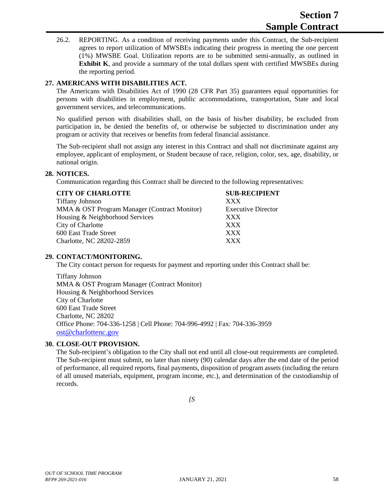26.2. REPORTING. As a condition of receiving payments under this Contract, the Sub-recipient agrees to report utilization of MWSBEs indicating their progress in meeting the one percent (1%) MWSBE Goal. Utilization reports are to be submitted semi-annually, as outlined in **Exhibit K**, and provide a summary of the total dollars spent with certified MWSBEs during the reporting period.

#### **27. AMERICANS WITH DISABILITIES ACT.**

The Americans with Disabilities Act of 1990 (28 CFR Part 35) guarantees equal opportunities for persons with disabilities in employment, public accommodations, transportation, State and local government services, and telecommunications.

No qualified person with disabilities shall, on the basis of his/her disability, be excluded from participation in, be denied the benefits of, or otherwise be subjected to discrimination under any program or activity that receives or benefits from federal financial assistance.

The Sub-recipient shall not assign any interest in this Contract and shall not discriminate against any employee, applicant of employment, or Student because of race, religion, color, sex, age, disability, or national origin.

#### **28. NOTICES.**

Communication regarding this Contract shall be directed to the following representatives:

#### **CITY OF CHARLOTTE SUB-RECIPIENT**

| <b>Tiffany Johnson</b>                       | <b>XXX</b> |
|----------------------------------------------|------------|
| MMA & OST Program Manager (Contract Monitor) | Execu      |
| Housing & Neighborhood Services              | <b>XXX</b> |
| City of Charlotte                            | <b>XXX</b> |
| 600 East Trade Street                        | XXX        |
| Charlotte, NC 28202-2859                     | XXX.       |

**Executive Director** 

#### **29. CONTACT/MONITORING.**

The City contact person for requests for payment and reporting under this Contract shall be:

Tiffany Johnson MMA & OST Program Manager (Contract Monitor) Housing & Neighborhood Services City of Charlotte 600 East Trade Street Charlotte, NC 28202 Office Phone: 704-336-1258 | Cell Phone: 704-996-4992 | Fax: 704-336-3959 [ost@charlottenc.gov](mailto:ost@charlottenc.gov)

#### **30. CLOSE-OUT PROVISION.**

The Sub-recipient's obligation to the City shall not end until all close-out requirements are completed. The Sub-recipient must submit, no later than ninety (90) calendar days after the end date of the period of performance, all required reports, final payments, disposition of program assets (including the return of all unused materials, equipment, program income, etc.), and determination of the custodianship of records.

*[S*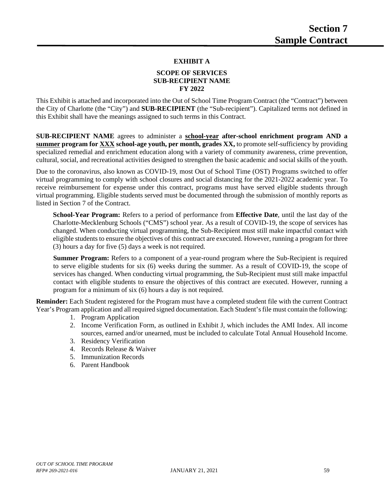#### **EXHIBIT A**

#### **SCOPE OF SERVICES SUB-RECIPIENT NAME FY 2022**

This Exhibit is attached and incorporated into the Out of School Time Program Contract (the "Contract") between the City of Charlotte (the "City") and **SUB-RECIPIENT** (the "Sub-recipient"). Capitalized terms not defined in this Exhibit shall have the meanings assigned to such terms in this Contract.

**SUB-RECIPIENT NAME** agrees to administer a **school-year after-school enrichment program AND a summer program for XXX school-age youth, per month, grades XX,** to promote self-sufficiency by providing specialized remedial and enrichment education along with a variety of community awareness, crime prevention, cultural, social, and recreational activities designed to strengthen the basic academic and social skills of the youth.

Due to the coronavirus, also known as COVID-19, most Out of School Time (OST) Programs switched to offer virtual programming to comply with school closures and social distancing for the 2021-2022 academic year. To receive reimbursement for expense under this contract, programs must have served eligible students through virtual programming. Eligible students served must be documented through the submission of monthly reports as listed in Section 7 of the Contract.

**School-Year Program:** Refers to a period of performance from **Effective Date**, until the last day of the Charlotte-Mecklenburg Schools ("CMS") school year. As a result of COVID-19, the scope of services has changed. When conducting virtual programming, the Sub-Recipient must still make impactful contact with eligible students to ensure the objectives of this contract are executed. However, running a program for three (3) hours a day for five (5) days a week is not required.

**Summer Program:** Refers to a component of a year-round program where the Sub-Recipient is required to serve eligible students for six (6) weeks during the summer. As a result of COVID-19, the scope of services has changed. When conducting virtual programming, the Sub-Recipient must still make impactful contact with eligible students to ensure the objectives of this contract are executed. However, running a program for a minimum of six (6) hours a day is not required.

**Reminder:** Each Student registered for the Program must have a completed student file with the current Contract Year's Program application and all required signed documentation. Each Student's file must contain the following:

- 1. Program Application
- 2. Income Verification Form, as outlined in Exhibit J, which includes the AMI Index. All income sources, earned and/or unearned, must be included to calculate Total Annual Household Income.
- 3. Residency Verification
- 4. Records Release & Waiver
- 5. Immunization Records
- 6. Parent Handbook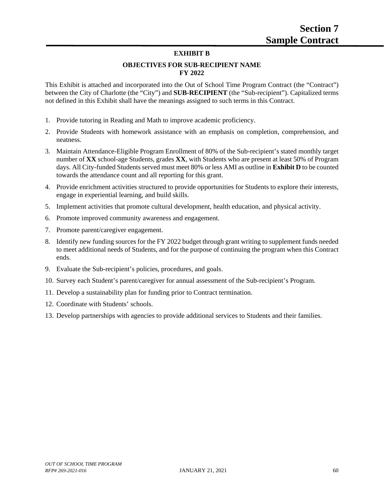#### **EXHIBIT B**

#### **OBJECTIVES FOR SUB-RECIPIENT NAME FY 2022**

This Exhibit is attached and incorporated into the Out of School Time Program Contract (the "Contract") between the City of Charlotte (the "City") and **SUB-RECIPIENT** (the "Sub-recipient"). Capitalized terms not defined in this Exhibit shall have the meanings assigned to such terms in this Contract.

- 1. Provide tutoring in Reading and Math to improve academic proficiency.
- 2. Provide Students with homework assistance with an emphasis on completion, comprehension, and neatness.
- 3. Maintain Attendance-Eligible Program Enrollment of 80% of the Sub-recipient's stated monthly target number of **XX** school-age Students, grades **XX**, with Students who are present at least 50% of Program days. All City-funded Students served must meet 80% or less AMI as outline in **Exhibit D** to be counted towards the attendance count and all reporting for this grant.
- 4. Provide enrichment activities structured to provide opportunities for Students to explore their interests, engage in experiential learning, and build skills.
- 5. Implement activities that promote cultural development, health education, and physical activity.
- 6. Promote improved community awareness and engagement.
- 7. Promote parent/caregiver engagement.
- 8. Identify new funding sources for the FY 2022 budget through grant writing to supplement funds needed to meet additional needs of Students, and for the purpose of continuing the program when this Contract ends.
- 9. Evaluate the Sub-recipient's policies, procedures, and goals.
- 10. Survey each Student's parent/caregiver for annual assessment of the Sub-recipient's Program.
- 11. Develop a sustainability plan for funding prior to Contract termination.
- 12. Coordinate with Students' schools.
- 13. Develop partnerships with agencies to provide additional services to Students and their families.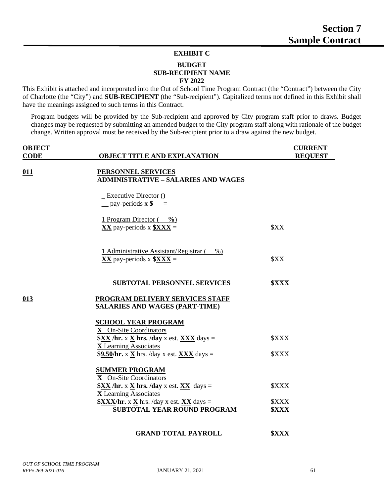#### **EXHIBIT C**

#### **BUDGET SUB-RECIPIENT NAME FY 2022**

This Exhibit is attached and incorporated into the Out of School Time Program Contract (the "Contract") between the City of Charlotte (the "City") and **SUB-RECIPIENT** (the "Sub-recipient"). Capitalized terms not defined in this Exhibit shall have the meanings assigned to such terms in this Contract.

Program budgets will be provided by the Sub-recipient and approved by City program staff prior to draws. Budget changes may be requested by submitting an amended budget to the City program staff along with rationale of the budget change. Written approval must be received by the Sub-recipient prior to a draw against the new budget.

| <b>OBJECT</b> |                                                                                  | <b>CURRENT</b>     |
|---------------|----------------------------------------------------------------------------------|--------------------|
| <b>CODE</b>   | <b>OBJECT TITLE AND EXPLANATION</b>                                              | <b>REQUEST</b>     |
|               |                                                                                  |                    |
| 011           | <b>PERSONNEL SERVICES</b>                                                        |                    |
|               | <b>ADMINISTRATIVE - SALARIES AND WAGES</b>                                       |                    |
|               | <b>Executive Director ()</b>                                                     |                    |
|               | $\frac{\text{pay-periods}}{s} \times \text{$s$}$ =                               |                    |
|               |                                                                                  |                    |
|               | 1 Program Director $(\frac{\theta_0}{\theta_0})$                                 |                    |
|               | $XX$ pay-periods x $XX =$                                                        | \$XX               |
|               |                                                                                  |                    |
|               | 1 Administrative Assistant/Registrar (%)                                         |                    |
|               | $XX$ pay-periods x $XX =$                                                        | \$XX               |
|               |                                                                                  |                    |
|               |                                                                                  |                    |
|               | <b>SUBTOTAL PERSONNEL SERVICES</b>                                               | <b><i>SXXX</i></b> |
| 013           | PROGRAM DELIVERY SERVICES STAFF                                                  |                    |
|               | <b>SALARIES AND WAGES (PART-TIME)</b>                                            |                    |
|               |                                                                                  |                    |
|               | <b>SCHOOL YEAR PROGRAM</b><br>X On-Site Coordinators                             |                    |
|               | $\frac{SXX}{X}$ /hr. x $\underline{X}$ hrs. /day x est. $\underline{XXX}$ days = | <b><i>SXXX</i></b> |
|               | <b>X</b> Learning Associates                                                     |                    |
|               | \$9.50/hr. x X hrs. /day x est. XXX days =                                       | <b><i>SXXX</i></b> |
|               |                                                                                  |                    |
|               | <b>SUMMER PROGRAM</b><br>X On-Site Coordinators                                  |                    |
|               | $XX / hr. x X hrs. / day x est. XX days =$                                       | <b><i>SXXX</i></b> |
|               | <b>X</b> Learning Associates                                                     |                    |
|               | $\frac{XXX}{h}$ r. x $\underline{X}$ hrs. /day x est. $\underline{XX}$ days =    | \$XXX              |
|               | SUBTOTAL YEAR ROUND PROGRAM                                                      | <b><i>SXXX</i></b> |
|               |                                                                                  |                    |
|               | <b>GRAND TOTAL PAYROLL</b>                                                       | <b><i>SXXX</i></b> |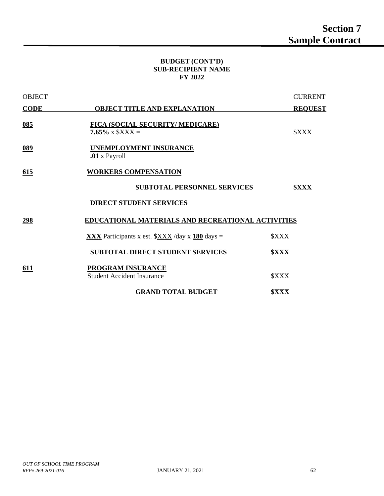#### **BUDGET (CONT'D) SUB-RECIPIENT NAME FY 2022**

| <b>OBJECT</b>     |                                                                  | <b>CURRENT</b>     |
|-------------------|------------------------------------------------------------------|--------------------|
| <b>CODE</b>       | <b>OBJECT TITLE AND EXPLANATION</b>                              | <b>REQUEST</b>     |
| $\underline{085}$ | FICA (SOCIAL SECURITY/ MEDICARE)<br>7.65% x $$XXX =$             | <b><i>SXXX</i></b> |
| $089$             | UNEMPLOYMENT INSURANCE<br>.01 x Payroll                          |                    |
| 615               | <b>WORKERS COMPENSATION</b>                                      |                    |
|                   | <b>SUBTOTAL PERSONNEL SERVICES</b>                               | <b><i>SXXX</i></b> |
|                   | <b>DIRECT STUDENT SERVICES</b>                                   |                    |
| <u>298</u>        | <b>EDUCATIONAL MATERIALS AND RECREATIONAL ACTIVITIES</b>         |                    |
|                   | <b>XXX</b> Participants x est. $\frac{XXX}{X}$ /day x 180 days = | <b><i>SXXX</i></b> |
|                   | <b>SUBTOTAL DIRECT STUDENT SERVICES</b>                          | <b><i>SXXX</i></b> |
| 611               | PROGRAM INSURANCE<br><b>Student Accident Insurance</b>           | <b><i>SXXX</i></b> |
|                   | <b>GRAND TOTAL BUDGET</b>                                        | <b><i>SXXX</i></b> |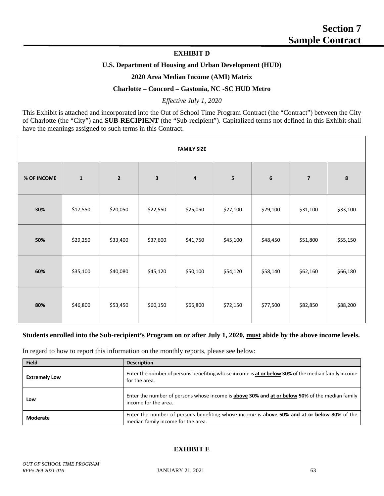#### **EXHIBIT D**

#### **U.S. Department of Housing and Urban Development (HUD)**

#### **2020 Area Median Income (AMI) Matrix**

#### **Charlotte – Concord – Gastonia, NC -SC HUD Metro**

#### *Effective July 1, 2020*

This Exhibit is attached and incorporated into the Out of School Time Program Contract (the "Contract") between the City of Charlotte (the "City") and **SUB-RECIPIENT** (the "Sub-recipient"). Capitalized terms not defined in this Exhibit shall have the meanings assigned to such terms in this Contract.

|             |              |                |          | <b>FAMILY SIZE</b> |          |                 |                         |          |
|-------------|--------------|----------------|----------|--------------------|----------|-----------------|-------------------------|----------|
| % OF INCOME | $\mathbf{1}$ | $\overline{2}$ | 3        | 4                  | 5        | $6\phantom{1}6$ | $\overline{\mathbf{z}}$ | 8        |
| 30%         | \$17,550     | \$20,050       | \$22,550 | \$25,050           | \$27,100 | \$29,100        | \$31,100                | \$33,100 |
| 50%         | \$29,250     | \$33,400       | \$37,600 | \$41,750           | \$45,100 | \$48,450        | \$51,800                | \$55,150 |
| 60%         | \$35,100     | \$40,080       | \$45,120 | \$50,100           | \$54,120 | \$58,140        | \$62,160                | \$66,180 |
| 80%         | \$46,800     | \$53,450       | \$60,150 | \$66,800           | \$72,150 | \$77,500        | \$82,850                | \$88,200 |

#### **Students enrolled into the Sub-recipient's Program on or after July 1, 2020, must abide by the above income levels.**

In regard to how to report this information on the monthly reports, please see below:

| <b>Field</b>         | <b>Description</b>                                                                                                                |
|----------------------|-----------------------------------------------------------------------------------------------------------------------------------|
| <b>Extremely Low</b> | Enter the number of persons benefiting whose income is at or below 30% of the median family income<br>for the area.               |
| Low                  | Enter the number of persons whose income is above 30% and at or below 50% of the median family<br>income for the area.            |
| Moderate             | Enter the number of persons benefiting whose income is above 50% and at or below 80% of the<br>median family income for the area. |

#### **EXHIBIT E**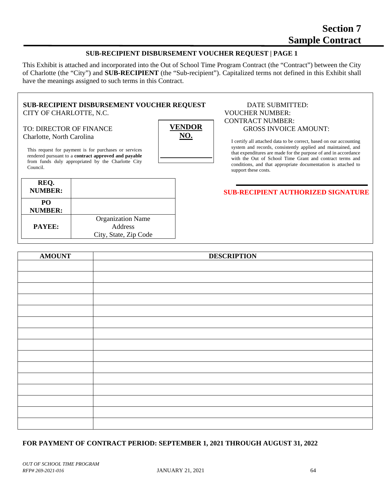#### **SUB-RECIPIENT DISBURSEMENT VOUCHER REQUEST | PAGE 1**

This Exhibit is attached and incorporated into the Out of School Time Program Contract (the "Contract") between the City of Charlotte (the "City") and **SUB-RECIPIENT** (the "Sub-recipient"). Capitalized terms not defined in this Exhibit shall have the meanings assigned to such terms in this Contract.

> **VENDOR NO.**

#### **SUB-RECIPIENT DISBURSEMENT VOUCHER REQUEST** DATE SUBMITTED: CITY OF CHARLOTTE, N.C. VOUCHER NUMBER:

# Charlotte, North Carolina

This request for payment is for purchases or services rendered pursuant to a **contract approved and payable** from funds duly appropriated by the Charlotte City Council.

| REQ.<br><b>NUMBER:</b>            |                                                              |
|-----------------------------------|--------------------------------------------------------------|
| PO <sub>1</sub><br><b>NUMBER:</b> |                                                              |
| <b>PAYEE:</b>                     | <b>Organization Name</b><br>Address<br>City, State, Zip Code |

# CONTRACT NUMBER: TO: DIRECTOR OF FINANCE  $\overline{V}$ **ENDOR** | GROSS INVOICE AMOUNT:

I certify all attached data to be correct, based on our accounting system and records, consistently applied and maintained, and that expenditures are made for the purpose of and in accordance with the Out of School Time Grant and contract terms and conditions, and that appropriate documentation is attached to support these costs.

#### **SUB-RECIPIENT AUTHORIZED SIGNATURE**

| <b>AMOUNT</b> | <b>DESCRIPTION</b> |
|---------------|--------------------|
|               |                    |
|               |                    |
|               |                    |
|               |                    |
|               |                    |
|               |                    |
|               |                    |
|               |                    |
|               |                    |
|               |                    |
|               |                    |
|               |                    |
|               |                    |
|               |                    |
|               |                    |

#### **FOR PAYMENT OF CONTRACT PERIOD: SEPTEMBER 1, 2021 THROUGH AUGUST 31, 2022**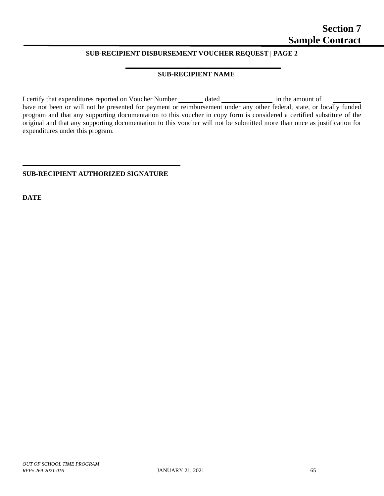#### **SUB-RECIPIENT DISBURSEMENT VOUCHER REQUEST | PAGE 2**

#### **SUB-RECIPIENT NAME**

**\_\_\_\_\_\_\_\_\_\_\_\_\_\_\_\_\_\_\_\_\_\_\_\_\_\_\_\_\_\_\_\_\_\_\_\_\_\_\_\_\_\_\_\_\_**

I certify that expenditures reported on Voucher Number dated in the amount of have not been or will not be presented for payment or reimbursement under any other federal, state, or locally funded program and that any supporting documentation to this voucher in copy form is considered a certified substitute of the original and that any supporting documentation to this voucher will not be submitted more than once as justification for expenditures under this program.

#### **SUB-RECIPIENT AUTHORIZED SIGNATURE**

**DATE**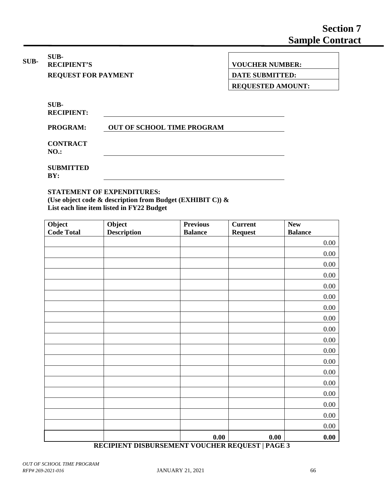**SUB-SUB-**<br>**RECIPIENT'S** 

**RECIPIENT'S VOUCHER NUMBER:**

**REQUEST FOR PAYMENT DATE SUBMITTED:** 

**REQUESTED AMOUNT:** 

**SUB-RECIPIENT:**

**PROGRAM: OUT OF SCHOOL TIME PROGRAM**

**CONTRACT NO.:**

**SUBMITTED BY:**

#### **STATEMENT OF EXPENDITURES:**

**(Use object code & description from Budget (EXHIBIT C)) & List each line item listed in FY22 Budget**

| Object            | Object             | <b>Previous</b> | <b>Current</b> | ${\bf New}$    |
|-------------------|--------------------|-----------------|----------------|----------------|
| <b>Code Total</b> | <b>Description</b> | <b>Balance</b>  | <b>Request</b> | <b>Balance</b> |
|                   |                    |                 |                | 0.00           |
|                   |                    |                 |                | $0.00\,$       |
|                   |                    |                 |                | $0.00\,$       |
|                   |                    |                 |                | $0.00\,$       |
|                   |                    |                 |                | $0.00\,$       |
|                   |                    |                 |                | $0.00\,$       |
|                   |                    |                 |                | $0.00\,$       |
|                   |                    |                 |                | $0.00\,$       |
|                   |                    |                 |                | $0.00\,$       |
|                   |                    |                 |                | $0.00\,$       |
|                   |                    |                 |                | $0.00\,$       |
|                   |                    |                 |                | $0.00\,$       |
|                   |                    |                 |                | $0.00\,$       |
|                   |                    |                 |                | $0.00\,$       |
|                   |                    |                 |                | $0.00\,$       |
|                   |                    |                 |                | $0.00\,$       |
|                   |                    |                 |                | $0.00\,$       |
|                   |                    |                 |                | $0.00\,$       |
|                   |                    | 0.00            | 0.00           | 0.00           |

#### **RECIPIENT DISBURSEMENT VOUCHER REQUEST | PAGE 3**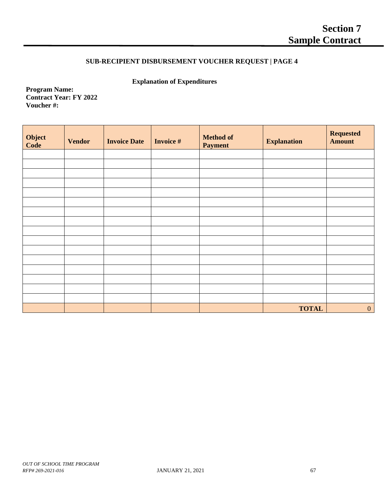### **SUB-RECIPIENT DISBURSEMENT VOUCHER REQUEST | PAGE 4**

**Explanation of Expenditures**

**Program Name: Contract Year: FY 2022 Voucher #:** 

| Object<br>Code | <b>Vendor</b> | <b>Invoice Date</b> | <b>Invoice #</b> | <b>Method of</b><br><b>Payment</b> | <b>Explanation</b> | <b>Requested</b><br><b>Amount</b> |
|----------------|---------------|---------------------|------------------|------------------------------------|--------------------|-----------------------------------|
|                |               |                     |                  |                                    |                    |                                   |
|                |               |                     |                  |                                    |                    |                                   |
|                |               |                     |                  |                                    |                    |                                   |
|                |               |                     |                  |                                    |                    |                                   |
|                |               |                     |                  |                                    |                    |                                   |
|                |               |                     |                  |                                    |                    |                                   |
|                |               |                     |                  |                                    |                    |                                   |
|                |               |                     |                  |                                    |                    |                                   |
|                |               |                     |                  |                                    |                    |                                   |
|                |               |                     |                  |                                    |                    |                                   |
|                |               |                     |                  |                                    |                    |                                   |
|                |               |                     |                  |                                    |                    |                                   |
|                |               |                     |                  |                                    |                    |                                   |
|                |               |                     |                  |                                    |                    |                                   |
|                |               |                     |                  |                                    |                    |                                   |
|                |               |                     |                  |                                    |                    |                                   |
|                |               |                     |                  |                                    | <b>TOTAL</b>       | $\mathbf{0}$                      |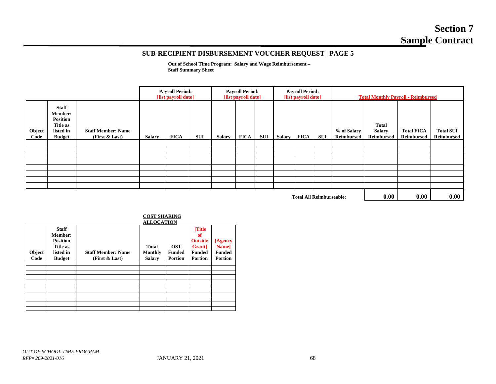# **Section 7 Sample Contract**

#### **SUB-RECIPIENT DISBURSEMENT VOUCHER REQUEST | PAGE 5**

**Out of School Time Program: Salary and Wage Reimbursement – Staff Summary Sheet**

|                |                                                                                             |                                               | <b>Payroll Period:</b><br>[list payroll date] |             |            | <b>Payroll Period:</b><br><b>Payroll Period:</b><br>[list payroll date]<br>[list payroll date] |             |            | <b>Total Monthly Payroll - Reimbursed</b> |             |     |                           |                                             |                                 |                                       |
|----------------|---------------------------------------------------------------------------------------------|-----------------------------------------------|-----------------------------------------------|-------------|------------|------------------------------------------------------------------------------------------------|-------------|------------|-------------------------------------------|-------------|-----|---------------------------|---------------------------------------------|---------------------------------|---------------------------------------|
| Object<br>Code | <b>Staff</b><br><b>Member:</b><br><b>Position</b><br>Title as<br>listed in<br><b>Budget</b> | <b>Staff Member: Name</b><br>(First $&$ Last) | <b>Salary</b>                                 | <b>FICA</b> | <b>SUI</b> | <b>Salary</b>                                                                                  | <b>FICA</b> | <b>SUI</b> | Salary                                    | <b>FICA</b> | SUI | % of Salary<br>Reimbursed | <b>Total</b><br><b>Salary</b><br>Reimbursed | <b>Total FICA</b><br>Reimbursed | <b>Total SUI</b><br><b>Reimbursed</b> |
|                |                                                                                             |                                               |                                               |             |            |                                                                                                |             |            |                                           |             |     |                           |                                             |                                 |                                       |
|                |                                                                                             |                                               |                                               |             |            |                                                                                                |             |            |                                           |             |     |                           |                                             |                                 |                                       |
|                |                                                                                             |                                               |                                               |             |            |                                                                                                |             |            |                                           |             |     |                           |                                             |                                 |                                       |
|                |                                                                                             |                                               |                                               |             |            |                                                                                                |             |            |                                           |             |     |                           |                                             |                                 |                                       |
|                |                                                                                             |                                               |                                               |             |            |                                                                                                |             |            |                                           |             |     |                           |                                             |                                 |                                       |
|                |                                                                                             |                                               |                                               |             |            |                                                                                                |             |            |                                           |             |     |                           |                                             |                                 |                                       |
|                |                                                                                             |                                               |                                               |             |            |                                                                                                |             |            |                                           |             |     |                           |                                             |                                 |                                       |
|                |                                                                                             |                                               |                                               |             |            |                                                                                                |             |            |                                           |             |     |                           |                                             |                                 |                                       |
|                |                                                                                             |                                               |                                               |             |            |                                                                                                | 0.00        | 0.00       | 0.00                                      |             |     |                           |                                             |                                 |                                       |

**Total All Reimburseable: 0.00 0.00 0.00**

|                |                                                                                             | <b>ALLOCATION</b>                             |                                                 |                                               |                                                                                     |                                                     |  |  |
|----------------|---------------------------------------------------------------------------------------------|-----------------------------------------------|-------------------------------------------------|-----------------------------------------------|-------------------------------------------------------------------------------------|-----------------------------------------------------|--|--|
| Object<br>Code | <b>Staff</b><br><b>Member:</b><br><b>Position</b><br>Title as<br>listed in<br><b>Budget</b> | <b>Staff Member: Name</b><br>(First $&$ Last) | <b>Total</b><br><b>Monthly</b><br><b>Salary</b> | <b>OST</b><br><b>Funded</b><br><b>Portion</b> | [Title<br>of<br><b>Outside</b><br><b>Grant</b> ]<br><b>Funded</b><br><b>Portion</b> | [Agency<br>Name]<br><b>Funded</b><br><b>Portion</b> |  |  |
|                |                                                                                             |                                               |                                                 |                                               |                                                                                     |                                                     |  |  |
|                |                                                                                             |                                               |                                                 |                                               |                                                                                     |                                                     |  |  |
|                |                                                                                             |                                               |                                                 |                                               |                                                                                     |                                                     |  |  |
|                |                                                                                             |                                               |                                                 |                                               |                                                                                     |                                                     |  |  |
|                |                                                                                             |                                               |                                                 |                                               |                                                                                     |                                                     |  |  |
|                |                                                                                             |                                               |                                                 |                                               |                                                                                     |                                                     |  |  |
|                |                                                                                             |                                               |                                                 |                                               |                                                                                     |                                                     |  |  |
|                |                                                                                             |                                               |                                                 |                                               |                                                                                     |                                                     |  |  |
|                |                                                                                             |                                               |                                                 |                                               |                                                                                     |                                                     |  |  |

### **COST SHARING**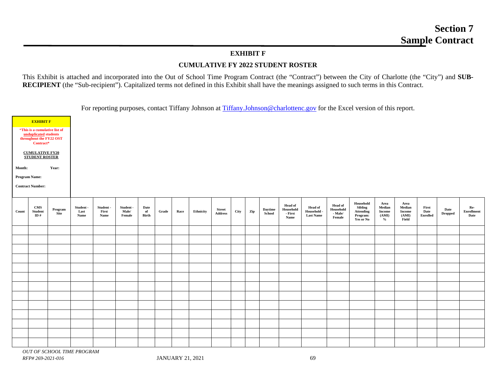### **EXHIBIT F**

# **CUMULATIVE FY 2022 STUDENT ROSTER**

This Exhibit is attached and incorporated into the Out of School Time Program Contract (the "Contract") between the City of Charlotte (the "City") and **SUB-RECIPIENT** (the "Sub-recipient"). Capitalized terms not defined in this Exhibit shall have the meanings assigned to such terms in this Contract.

For reporting purposes, contact Tiffany Johnson at [Tiffany.Johnson@charlottenc.gov](mailto:Tiffany.Johnson@charlottenc.gov) for the Excel version of this report.

| Month: | <b>EXHIBIT F</b><br>*This is a cumulative list of<br>unduplicated students<br>throughout the FY22 OST<br>Contract*<br><b>CUMULATIVE FY20</b><br><b>STUDENT ROSTER</b><br><b>Program Name:</b><br><b>Contract Number:</b> | Year:           |                           |                            |                              |                     |       |      |           |                          |      |     |                          |                                                |                                                   |                                                  |                                                                          |                                                           |                                                   |                                  |                        |                                  |
|--------|--------------------------------------------------------------------------------------------------------------------------------------------------------------------------------------------------------------------------|-----------------|---------------------------|----------------------------|------------------------------|---------------------|-------|------|-----------|--------------------------|------|-----|--------------------------|------------------------------------------------|---------------------------------------------------|--------------------------------------------------|--------------------------------------------------------------------------|-----------------------------------------------------------|---------------------------------------------------|----------------------------------|------------------------|----------------------------------|
| Count  | CMS<br>Student<br>ID#                                                                                                                                                                                                    | Program<br>Site | Student -<br>Last<br>Name | Student -<br>First<br>Name | Student -<br>Male/<br>Female | Date<br>of<br>Birth | Grade | Race | Ethnicity | <b>Street</b><br>Address | City | Zip | <b>Daytime</b><br>School | <b>Head of</b><br>Household<br>- First<br>Name | <b>Head of</b><br>Household -<br><b>Last Name</b> | <b>Head of</b><br>Household<br>- Male/<br>Female | Household<br><b>Sibling</b><br><b>Attending</b><br>Program:<br>Yes or No | Area<br>Median<br><b>Income</b><br>(AMI)<br>$\frac{0}{0}$ | Area<br>Median<br><b>Income</b><br>(AMI)<br>Field | First<br>Date<br><b>Enrolled</b> | Date<br><b>Dropped</b> | Re-<br><b>Enrollment</b><br>Date |
|        |                                                                                                                                                                                                                          |                 |                           |                            |                              |                     |       |      |           |                          |      |     |                          |                                                |                                                   |                                                  |                                                                          |                                                           |                                                   |                                  |                        |                                  |
|        |                                                                                                                                                                                                                          |                 |                           |                            |                              |                     |       |      |           |                          |      |     |                          |                                                |                                                   |                                                  |                                                                          |                                                           |                                                   |                                  |                        |                                  |
|        |                                                                                                                                                                                                                          |                 |                           |                            |                              |                     |       |      |           |                          |      |     |                          |                                                |                                                   |                                                  |                                                                          |                                                           |                                                   |                                  |                        |                                  |
|        |                                                                                                                                                                                                                          |                 |                           |                            |                              |                     |       |      |           |                          |      |     |                          |                                                |                                                   |                                                  |                                                                          |                                                           |                                                   |                                  |                        |                                  |
|        |                                                                                                                                                                                                                          |                 |                           |                            |                              |                     |       |      |           |                          |      |     |                          |                                                |                                                   |                                                  |                                                                          |                                                           |                                                   |                                  |                        |                                  |
|        |                                                                                                                                                                                                                          |                 |                           |                            |                              |                     |       |      |           |                          |      |     |                          |                                                |                                                   |                                                  |                                                                          |                                                           |                                                   |                                  |                        |                                  |
|        |                                                                                                                                                                                                                          |                 |                           |                            |                              |                     |       |      |           |                          |      |     |                          |                                                |                                                   |                                                  |                                                                          |                                                           |                                                   |                                  |                        |                                  |
|        |                                                                                                                                                                                                                          |                 |                           |                            |                              |                     |       |      |           |                          |      |     |                          |                                                |                                                   |                                                  |                                                                          |                                                           |                                                   |                                  |                        |                                  |
|        |                                                                                                                                                                                                                          |                 |                           |                            |                              |                     |       |      |           |                          |      |     |                          |                                                |                                                   |                                                  |                                                                          |                                                           |                                                   |                                  |                        |                                  |
|        |                                                                                                                                                                                                                          |                 |                           |                            |                              |                     |       |      |           |                          |      |     |                          |                                                |                                                   |                                                  |                                                                          |                                                           |                                                   |                                  |                        |                                  |
|        |                                                                                                                                                                                                                          |                 |                           |                            |                              |                     |       |      |           |                          |      |     |                          |                                                |                                                   |                                                  |                                                                          |                                                           |                                                   |                                  |                        |                                  |
|        |                                                                                                                                                                                                                          |                 |                           |                            |                              |                     |       |      |           |                          |      |     |                          |                                                |                                                   |                                                  |                                                                          |                                                           |                                                   |                                  |                        |                                  |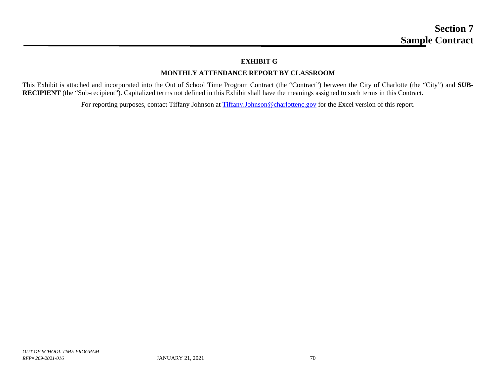# **EXHIBIT G**

# **MONTHLY ATTENDANCE REPORT BY CLASSROOM**

This Exhibit is attached and incorporated into the Out of School Time Program Contract (the "Contract") between the City of Charlotte (the "City") and **SUB-RECIPIENT** (the "Sub-recipient"). Capitalized terms not defined in this Exhibit shall have the meanings assigned to such terms in this Contract.

For reporting purposes, contact Tiffany Johnson at [Tiffany.Johnson@charlottenc.gov](mailto:Tiffany.Johnson@charlottenc.gov) for the Excel version of this report.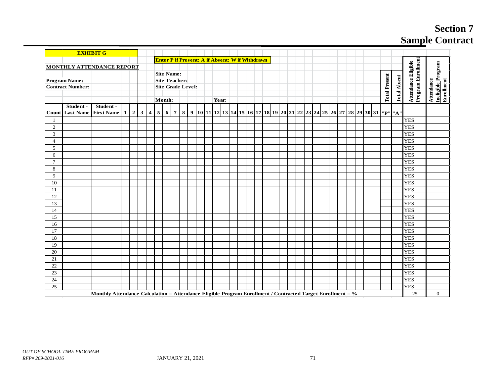# **Section 7 Sample Contract**

|                |                         | <b>EXHIBIT G</b>                                                                                           |   |                         |                         |                |                   |                |                          |                |  |       |  |                                                        |  |  |  |  |  |  |  |                      |                                                                                                            |                                           |                                                        |
|----------------|-------------------------|------------------------------------------------------------------------------------------------------------|---|-------------------------|-------------------------|----------------|-------------------|----------------|--------------------------|----------------|--|-------|--|--------------------------------------------------------|--|--|--|--|--|--|--|----------------------|------------------------------------------------------------------------------------------------------------|-------------------------------------------|--------------------------------------------------------|
|                |                         |                                                                                                            |   |                         |                         |                |                   |                |                          |                |  |       |  | <b>Enter P if Present; A if Absent; W if Withdrawn</b> |  |  |  |  |  |  |  |                      |                                                                                                            |                                           |                                                        |
|                |                         | <b>MONTHLY ATTENDANCE REPORT</b>                                                                           |   |                         |                         |                |                   |                |                          |                |  |       |  |                                                        |  |  |  |  |  |  |  |                      |                                                                                                            |                                           |                                                        |
|                |                         |                                                                                                            |   |                         |                         |                | <b>Site Name:</b> |                |                          |                |  |       |  |                                                        |  |  |  |  |  |  |  |                      |                                                                                                            |                                           |                                                        |
|                | Program Name:           |                                                                                                            |   |                         |                         |                |                   |                | <b>Site Teacher:</b>     |                |  |       |  |                                                        |  |  |  |  |  |  |  |                      |                                                                                                            |                                           |                                                        |
|                | <b>Contract Number:</b> |                                                                                                            |   |                         |                         |                |                   |                | <b>Site Grade Level:</b> |                |  |       |  |                                                        |  |  |  |  |  |  |  |                      |                                                                                                            |                                           |                                                        |
|                |                         |                                                                                                            |   |                         |                         |                |                   |                |                          |                |  |       |  |                                                        |  |  |  |  |  |  |  | <b>Total Present</b> | <b>Total Absent</b>                                                                                        | Program Enrollment<br>Attendance Eligible | <u>Ineligible P</u> rogram<br>Enrollment<br>Attendance |
|                |                         |                                                                                                            |   |                         |                         |                | Month:            |                |                          |                |  | Year: |  |                                                        |  |  |  |  |  |  |  |                      |                                                                                                            |                                           |                                                        |
|                | Student -               | Student -                                                                                                  |   |                         |                         |                |                   |                |                          |                |  |       |  |                                                        |  |  |  |  |  |  |  |                      |                                                                                                            |                                           |                                                        |
| Count          |                         | Last Name First Name                                                                                       | 1 | $\vert 2 \vert 3 \vert$ | $\overline{\mathbf{4}}$ | 5 <sup>1</sup> | 6                 | $\overline{7}$ |                          | 8 <sup>1</sup> |  |       |  |                                                        |  |  |  |  |  |  |  |                      | 9  10  11  12  13  14  15  16  17  18  19  20  21  22  23  24  25   26   27  28   29   30   31   "P"   "A" |                                           |                                                        |
| 1              |                         |                                                                                                            |   |                         |                         |                |                   |                |                          |                |  |       |  |                                                        |  |  |  |  |  |  |  |                      |                                                                                                            | <b>YES</b>                                |                                                        |
| $\overline{2}$ |                         |                                                                                                            |   |                         |                         |                |                   |                |                          |                |  |       |  |                                                        |  |  |  |  |  |  |  |                      |                                                                                                            | <b>YES</b>                                |                                                        |
| 3              |                         |                                                                                                            |   |                         |                         |                |                   |                |                          |                |  |       |  |                                                        |  |  |  |  |  |  |  |                      |                                                                                                            | <b>YES</b>                                |                                                        |
| $\overline{4}$ |                         |                                                                                                            |   |                         |                         |                |                   |                |                          |                |  |       |  |                                                        |  |  |  |  |  |  |  |                      |                                                                                                            | <b>YES</b>                                |                                                        |
| 5              |                         |                                                                                                            |   |                         |                         |                |                   |                |                          |                |  |       |  |                                                        |  |  |  |  |  |  |  |                      |                                                                                                            | <b>YES</b>                                |                                                        |
| 6              |                         |                                                                                                            |   |                         |                         |                |                   |                |                          |                |  |       |  |                                                        |  |  |  |  |  |  |  |                      |                                                                                                            | <b>YES</b>                                |                                                        |
| $\tau$         |                         |                                                                                                            |   |                         |                         |                |                   |                |                          |                |  |       |  |                                                        |  |  |  |  |  |  |  |                      |                                                                                                            | <b>YES</b>                                |                                                        |
| $\,8\,$        |                         |                                                                                                            |   |                         |                         |                |                   |                |                          |                |  |       |  |                                                        |  |  |  |  |  |  |  |                      |                                                                                                            | <b>YES</b>                                |                                                        |
| 9              |                         |                                                                                                            |   |                         |                         |                |                   |                |                          |                |  |       |  |                                                        |  |  |  |  |  |  |  |                      |                                                                                                            | <b>YES</b>                                |                                                        |
| 10             |                         |                                                                                                            |   |                         |                         |                |                   |                |                          |                |  |       |  |                                                        |  |  |  |  |  |  |  |                      |                                                                                                            | <b>YES</b>                                |                                                        |
| 11             |                         |                                                                                                            |   |                         |                         |                |                   |                |                          |                |  |       |  |                                                        |  |  |  |  |  |  |  |                      |                                                                                                            | <b>YES</b>                                |                                                        |
| 12             |                         |                                                                                                            |   |                         |                         |                |                   |                |                          |                |  |       |  |                                                        |  |  |  |  |  |  |  |                      |                                                                                                            | <b>YES</b>                                |                                                        |
| 13             |                         |                                                                                                            |   |                         |                         |                |                   |                |                          |                |  |       |  |                                                        |  |  |  |  |  |  |  |                      |                                                                                                            | <b>YES</b>                                |                                                        |
| 14             |                         |                                                                                                            |   |                         |                         |                |                   |                |                          |                |  |       |  |                                                        |  |  |  |  |  |  |  |                      |                                                                                                            | <b>YES</b>                                |                                                        |
| 15             |                         |                                                                                                            |   |                         |                         |                |                   |                |                          |                |  |       |  |                                                        |  |  |  |  |  |  |  |                      |                                                                                                            | <b>YES</b>                                |                                                        |
| 16             |                         |                                                                                                            |   |                         |                         |                |                   |                |                          |                |  |       |  |                                                        |  |  |  |  |  |  |  |                      |                                                                                                            | <b>YES</b>                                |                                                        |
| 17             |                         |                                                                                                            |   |                         |                         |                |                   |                |                          |                |  |       |  |                                                        |  |  |  |  |  |  |  |                      |                                                                                                            | <b>YES</b>                                |                                                        |
| 18             |                         |                                                                                                            |   |                         |                         |                |                   |                |                          |                |  |       |  |                                                        |  |  |  |  |  |  |  |                      |                                                                                                            | <b>YES</b>                                |                                                        |
| 19             |                         |                                                                                                            |   |                         |                         |                |                   |                |                          |                |  |       |  |                                                        |  |  |  |  |  |  |  |                      |                                                                                                            | <b>YES</b>                                |                                                        |
| 20             |                         |                                                                                                            |   |                         |                         |                |                   |                |                          |                |  |       |  |                                                        |  |  |  |  |  |  |  |                      |                                                                                                            | <b>YES</b>                                |                                                        |
| 21             |                         |                                                                                                            |   |                         |                         |                |                   |                |                          |                |  |       |  |                                                        |  |  |  |  |  |  |  |                      |                                                                                                            | <b>YES</b>                                |                                                        |
| 22             |                         |                                                                                                            |   |                         |                         |                |                   |                |                          |                |  |       |  |                                                        |  |  |  |  |  |  |  |                      |                                                                                                            | <b>YES</b>                                |                                                        |
| 23             |                         |                                                                                                            |   |                         |                         |                |                   |                |                          |                |  |       |  |                                                        |  |  |  |  |  |  |  |                      |                                                                                                            | <b>YES</b>                                |                                                        |
| 24             |                         |                                                                                                            |   |                         |                         |                |                   |                |                          |                |  |       |  |                                                        |  |  |  |  |  |  |  |                      |                                                                                                            | <b>YES</b>                                |                                                        |
| 25             |                         |                                                                                                            |   |                         |                         |                |                   |                |                          |                |  |       |  |                                                        |  |  |  |  |  |  |  |                      |                                                                                                            | <b>YES</b>                                |                                                        |
|                |                         | Monthly Attendance Calculation = Attendance Eligible Program Enrollment / Contracted Target Enrollment = % |   |                         |                         |                |                   |                |                          |                |  |       |  |                                                        |  |  |  |  |  |  |  |                      |                                                                                                            | 25                                        | $\overline{0}$                                         |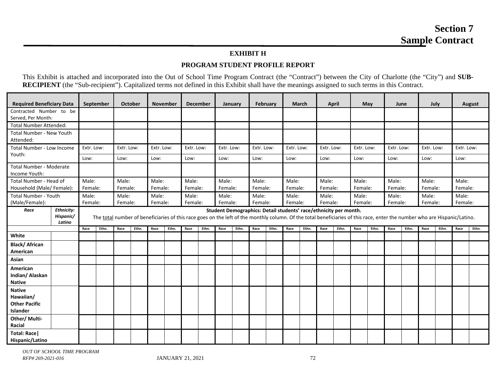# **EXHIBIT H**

# **PROGRAM STUDENT PROFILE REPORT**

This Exhibit is attached and incorporated into the Out of School Time Program Contract (the "Contract") between the City of Charlotte (the "City") and **SUB-RECIPIENT** (the "Sub-recipient"). Capitalized terms not defined in this Exhibit shall have the meanings assigned to such terms in this Contract.

| <b>Required Beneficiary Data</b>                               |                                          |            | September |                                                                                                                                                                                                                                                                                                                                                                        | October |            | <b>November</b> |            | <b>December</b> |            | January |            | <b>February</b> |            | <b>March</b> |            | April |            | May   |            | June  |            | July  |            | <b>August</b> |
|----------------------------------------------------------------|------------------------------------------|------------|-----------|------------------------------------------------------------------------------------------------------------------------------------------------------------------------------------------------------------------------------------------------------------------------------------------------------------------------------------------------------------------------|---------|------------|-----------------|------------|-----------------|------------|---------|------------|-----------------|------------|--------------|------------|-------|------------|-------|------------|-------|------------|-------|------------|---------------|
| Contracted Number to be<br>Served, Per Month:                  |                                          |            |           |                                                                                                                                                                                                                                                                                                                                                                        |         |            |                 |            |                 |            |         |            |                 |            |              |            |       |            |       |            |       |            |       |            |               |
| <b>Total Number Attended:</b>                                  |                                          |            |           |                                                                                                                                                                                                                                                                                                                                                                        |         |            |                 |            |                 |            |         |            |                 |            |              |            |       |            |       |            |       |            |       |            |               |
| Total Number - New Youth<br>Attended:                          |                                          |            |           |                                                                                                                                                                                                                                                                                                                                                                        |         |            |                 |            |                 |            |         |            |                 |            |              |            |       |            |       |            |       |            |       |            |               |
| <b>Total Number - Low Income</b>                               |                                          | Extr. Low: |           | Extr. Low:                                                                                                                                                                                                                                                                                                                                                             |         | Extr. Low: |                 | Extr. Low: |                 | Extr. Low: |         | Extr. Low: |                 | Extr. Low: |              | Extr. Low: |       | Extr. Low: |       | Extr. Low: |       | Extr. Low: |       | Extr. Low: |               |
| Youth:                                                         |                                          | Low:       |           | Low:                                                                                                                                                                                                                                                                                                                                                                   |         | Low:       |                 | Low:       |                 | Low:       |         | Low:       |                 | Low:       |              | Low:       |       | Low:       |       | Low:       |       | Low:       |       | Low:       |               |
| Total Number - Moderate<br>Income Youth:                       |                                          |            |           |                                                                                                                                                                                                                                                                                                                                                                        |         |            |                 |            |                 |            |         |            |                 |            |              |            |       |            |       |            |       |            |       |            |               |
| Total Number - Head of                                         |                                          | Male:      |           | Male:                                                                                                                                                                                                                                                                                                                                                                  |         | Male:      |                 | Male:      |                 | Male:      |         | Male:      |                 | Male:      |              | Male:      |       | Male:      |       | Male:      |       | Male:      |       | Male:      |               |
| Household (Male/ Female):                                      |                                          | Female:    |           | Female:                                                                                                                                                                                                                                                                                                                                                                |         | Female:    |                 | Female:    |                 | Female:    |         | Female:    |                 | Female:    |              | Female:    |       | Female:    |       | Female:    |       | Female:    |       | Female:    |               |
| Total Number - Youth                                           |                                          | Male:      |           | Male:                                                                                                                                                                                                                                                                                                                                                                  |         | Male:      |                 | Male:      |                 | Male:      |         | Male:      |                 | Male:      |              | Male:      |       | Male:      |       | Male:      |       | Male:      |       | Male:      |               |
| (Male/Female):                                                 |                                          | Female:    |           |                                                                                                                                                                                                                                                                                                                                                                        |         |            |                 |            |                 |            |         |            |                 |            |              |            |       |            |       |            |       |            |       |            |               |
| Race                                                           | <b>Ethnicity:</b><br>Hispanic/<br>Latino |            |           | Female:<br>Female:<br>Female:<br>Female:<br>Female:<br>Female:<br>Female:<br>Female:<br>Female:<br>Female:<br>Female:<br>Student Demographics: Detail students' race/ethnicity per month.<br>The total number of beneficiaries of this race goes on the left of the monthly column. Of the total beneficiaries of this race, enter the number who are Hispanic/Latino. |         |            |                 |            |                 |            |         |            |                 |            |              |            |       |            |       |            |       |            |       |            |               |
|                                                                |                                          |            |           |                                                                                                                                                                                                                                                                                                                                                                        |         |            |                 |            |                 |            |         |            |                 |            |              |            |       |            |       |            |       |            |       |            |               |
|                                                                |                                          | Race       | Ethn.     | Race                                                                                                                                                                                                                                                                                                                                                                   | Ethn.   | Race       | Ethn.           | Race       | Ethn.           | Race       | Ethn.   | Race       | Ethn.           | Race       | Ethn.        | Race       | Ethn. | Race       | Ethn. | Race       | Ethn. | Race       | Ethn. | Race       | Ethn.         |
| White                                                          |                                          |            |           |                                                                                                                                                                                                                                                                                                                                                                        |         |            |                 |            |                 |            |         |            |                 |            |              |            |       |            |       |            |       |            |       |            |               |
| <b>Black/African</b><br>American                               |                                          |            |           |                                                                                                                                                                                                                                                                                                                                                                        |         |            |                 |            |                 |            |         |            |                 |            |              |            |       |            |       |            |       |            |       |            |               |
| Asian                                                          |                                          |            |           |                                                                                                                                                                                                                                                                                                                                                                        |         |            |                 |            |                 |            |         |            |                 |            |              |            |       |            |       |            |       |            |       |            |               |
| American<br>Indian/Alaskan<br><b>Native</b>                    |                                          |            |           |                                                                                                                                                                                                                                                                                                                                                                        |         |            |                 |            |                 |            |         |            |                 |            |              |            |       |            |       |            |       |            |       |            |               |
| <b>Native</b><br>Hawaiian/<br><b>Other Pacific</b><br>Islander |                                          |            |           |                                                                                                                                                                                                                                                                                                                                                                        |         |            |                 |            |                 |            |         |            |                 |            |              |            |       |            |       |            |       |            |       |            |               |
| Other/ Multi-<br>Racial                                        |                                          |            |           |                                                                                                                                                                                                                                                                                                                                                                        |         |            |                 |            |                 |            |         |            |                 |            |              |            |       |            |       |            |       |            |       |            |               |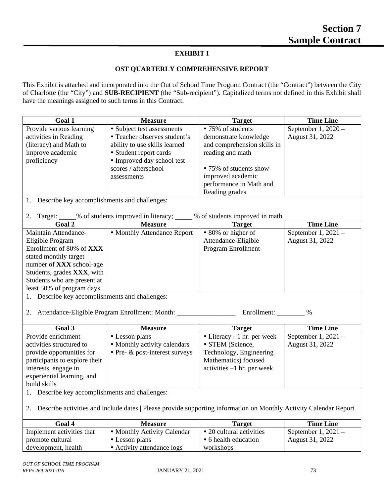# **EXHIBIT I**

#### **OST QUARTERLY COMPREHENSIVE REPORT**

This Exhibit is attached and incorporated into the Out of School Time Program Contract (the "Contract") between the City of Charlotte (the "City") and **SUB-RECIPIENT** (the "Sub-recipient"). Capitalized terms not defined in this Exhibit shall have the meanings assigned to such terms in this Contract.

| <b>Goal 1</b>            | <b>Measure</b>                | Target                      | <b>Time Line</b>    |
|--------------------------|-------------------------------|-----------------------------|---------------------|
| Provide various learning | • Subject test assessments    | • 75% of students           | September $1,2020-$ |
| activities in Reading    | • Teacher observes student's  | demonstrate knowledge       | August 31, 2022     |
| (literacy) and Math to   | ability to use skills learned | and comprehension skills in |                     |
| improve academic         | • Student report cards        | reading and math            |                     |
| proficiency              | • Improved day school test    |                             |                     |
|                          | scores / afterschool          | • 75% of students show      |                     |
|                          | assessments                   | improved academic           |                     |
|                          |                               | performance in Math and     |                     |
|                          |                               | Reading grades              |                     |

- 1. Describe key accomplishments and challenges:
- 2. Target: % of students improved in literacy; % of students improved in math

| Goal 2                             | <b>Measure</b>              | <b>Target</b>       | <b>Time Line</b>      |
|------------------------------------|-----------------------------|---------------------|-----------------------|
| Maintain Attendance-               | • Monthly Attendance Report | • 80% or higher of  | September 1, $2021 -$ |
| Eligible Program                   |                             | Attendance-Eligible | August 31, 2022       |
| Enrollment of 80% of XXX           |                             | Program Enrollment  |                       |
| stated monthly target              |                             |                     |                       |
| number of <b>XXX</b> school-age    |                             |                     |                       |
| Students, grades <b>XXX</b> , with |                             |                     |                       |
| Students who are present at        |                             |                     |                       |
| least 50% of program days          |                             |                     |                       |
|                                    |                             |                     |                       |

1. Describe key accomplishments and challenges:

2. Attendance-Eligible Program Enrollment: Month: \_\_\_\_\_\_\_\_\_\_\_\_\_\_\_\_\_\_\_\_\_\_\_\_ Enrollment: \_\_\_\_\_\_\_\_ %

| Goal 3                        | <b>Measure</b>                            | <b>Target</b>                | <b>Time Line</b>      |
|-------------------------------|-------------------------------------------|------------------------------|-----------------------|
| Provide enrichment            | • Lesson plans                            | • Literacy - 1 hr. per week  | September 1, $2021 -$ |
| activities structured to      | • Monthly activity calendars              | • STEM (Science,             | August 31, 2022       |
| provide opportunities for     | $\bullet$ Pre- $\&$ post-interest surveys | Technology, Engineering      |                       |
| participants to explore their |                                           | Mathematics) focused         |                       |
| interests, engage in          |                                           | activities $-1$ hr. per week |                       |
| experiential learning, and    |                                           |                              |                       |
| build skills                  |                                           |                              |                       |

1. Describe key accomplishments and challenges:

2. Describe activities and include dates | Please provide supporting information on Monthly Activity Calendar Report

| Goal 4                    | <b>Measure</b>              | Target                   | <b>Time Line</b>      |
|---------------------------|-----------------------------|--------------------------|-----------------------|
| Implement activities that | • Monthly Activity Calendar | • 20 cultural activities | September 1, $2021 -$ |
| promote cultural          | • Lesson plans              | • 6 health education     | August 31, 2022       |
| development, health       | • Activity attendance logs  | workshops                |                       |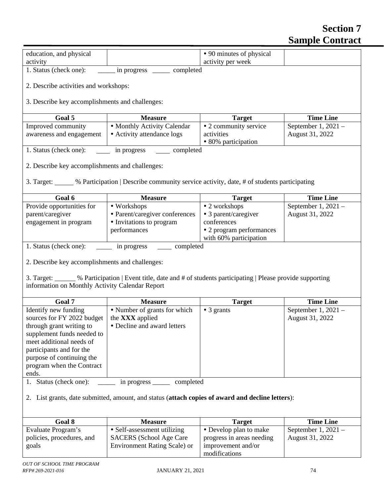# **Section 7 Sample Contract**

| education, and physical                                                                                                                                                                           |                                                                                                                | • 90 minutes of physical<br>activity per week      |                                        |
|---------------------------------------------------------------------------------------------------------------------------------------------------------------------------------------------------|----------------------------------------------------------------------------------------------------------------|----------------------------------------------------|----------------------------------------|
| activity<br>1. Status (check one):                                                                                                                                                                | in progress ________ completed                                                                                 |                                                    |                                        |
|                                                                                                                                                                                                   |                                                                                                                |                                                    |                                        |
| 2. Describe activities and workshops:                                                                                                                                                             |                                                                                                                |                                                    |                                        |
| 3. Describe key accomplishments and challenges:                                                                                                                                                   |                                                                                                                |                                                    |                                        |
| Goal 5                                                                                                                                                                                            | <b>Measure</b>                                                                                                 | <b>Target</b>                                      | <b>Time Line</b>                       |
| Improved community                                                                                                                                                                                | • Monthly Activity Calendar                                                                                    | • 2 community service                              | September 1, 2021 -                    |
| awareness and engagement                                                                                                                                                                          | • Activity attendance logs                                                                                     | activities<br>• 80% participation                  | August 31, 2022                        |
| 1. Status (check one):                                                                                                                                                                            | in progress completed                                                                                          |                                                    |                                        |
| 2. Describe key accomplishments and challenges:                                                                                                                                                   |                                                                                                                |                                                    |                                        |
|                                                                                                                                                                                                   | 3. Target: We Participation   Describe community service activity, date, # of students participating           |                                                    |                                        |
| Goal 6                                                                                                                                                                                            | <b>Measure</b>                                                                                                 | <b>Target</b>                                      | <b>Time Line</b>                       |
| Provide opportunities for                                                                                                                                                                         | • Workshops                                                                                                    | • 2 workshops                                      | September 1, 2021 -                    |
| parent/caregiver                                                                                                                                                                                  | • Parent/caregiver conferences                                                                                 | • 3 parent/caregiver                               | August 31, 2022                        |
| engagement in program                                                                                                                                                                             | • Invitations to program                                                                                       | conferences                                        |                                        |
|                                                                                                                                                                                                   | performances                                                                                                   | • 2 program performances<br>with 60% participation |                                        |
| 1. Status (check one):                                                                                                                                                                            | completed<br>in progress                                                                                       |                                                    |                                        |
| 2. Describe key accomplishments and challenges:<br>information on Monthly Activity Calendar Report                                                                                                | 3. Target: 600 % Participation   Event title, date and # of students participating   Please provide supporting |                                                    |                                        |
| Goal 7                                                                                                                                                                                            | <b>Measure</b>                                                                                                 | <b>Target</b>                                      | <b>Time Line</b>                       |
| Identify new funding<br>sources for FY 2022 budget<br>through grant writing to<br>supplement funds needed to<br>meet additional needs of<br>participants and for the<br>purpose of continuing the | • Number of grants for which<br>the <b>XXX</b> applied<br>• Decline and award letters                          | $\bullet$ 3 grants                                 | September 1, 2021 -<br>August 31, 2022 |
| program when the Contract<br>ends.                                                                                                                                                                |                                                                                                                |                                                    |                                        |
| 1. Status (check one):                                                                                                                                                                            | completed<br>in progress ______                                                                                |                                                    |                                        |
|                                                                                                                                                                                                   | 2. List grants, date submitted, amount, and status (attach copies of award and decline letters):               |                                                    |                                        |
| Goal 8                                                                                                                                                                                            | <b>Measure</b>                                                                                                 | <b>Target</b>                                      | <b>Time Line</b>                       |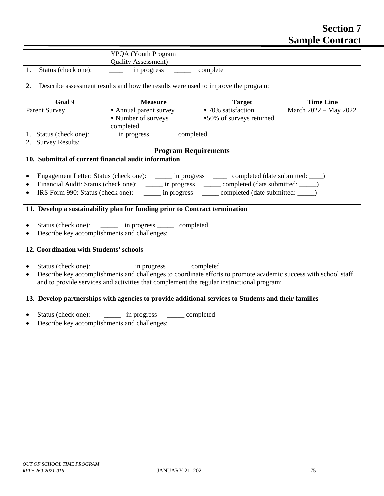# **Section 7 Sample Contract**

|                                                           | YPQA (Youth Program                                                                                             |                                       |                       |
|-----------------------------------------------------------|-----------------------------------------------------------------------------------------------------------------|---------------------------------------|-----------------------|
| Status (check one):<br>1.                                 | <b>Quality Assessment</b> )<br>in progress $\qquad \qquad \qquad$                                               | complete                              |                       |
|                                                           |                                                                                                                 |                                       |                       |
| 2.                                                        | Describe assessment results and how the results were used to improve the program:                               |                                       |                       |
| Goal 9                                                    | <b>Measure</b>                                                                                                  | <b>Target</b>                         | <b>Time Line</b>      |
| <b>Parent Survey</b>                                      | • Annual parent survey                                                                                          | $\overline{\bullet}$ 70% satisfaction | March 2022 - May 2022 |
|                                                           | • Number of surveys                                                                                             | •50% of surveys returned              |                       |
|                                                           | completed                                                                                                       |                                       |                       |
| 1. Status (check one):                                    | _____ in progress _______ completed                                                                             |                                       |                       |
| 2. Survey Results:                                        |                                                                                                                 |                                       |                       |
|                                                           | <b>Program Requirements</b>                                                                                     |                                       |                       |
| 10. Submittal of current financial audit information      |                                                                                                                 |                                       |                       |
|                                                           |                                                                                                                 |                                       |                       |
| $\bullet$                                                 | Engagement Letter: Status (check one): _______ in progress _______ completed (date submitted: ____)             |                                       |                       |
| $\bullet$                                                 | Financial Audit: Status (check one): ______ in progress ______ completed (date submitted: _____)                |                                       |                       |
| ٠                                                         | IRS Form 990: Status (check one): _______ in progress _______ completed (date submitted: _____)                 |                                       |                       |
|                                                           |                                                                                                                 |                                       |                       |
|                                                           | 11. Develop a sustainability plan for funding prior to Contract termination                                     |                                       |                       |
|                                                           |                                                                                                                 |                                       |                       |
|                                                           | Status (check one): _______ in progress ______ completed                                                        |                                       |                       |
| Describe key accomplishments and challenges:              |                                                                                                                 |                                       |                       |
|                                                           |                                                                                                                 |                                       |                       |
| 12. Coordination with Students' schools                   |                                                                                                                 |                                       |                       |
|                                                           |                                                                                                                 |                                       |                       |
|                                                           | Status (check one): _________ in progress ______ completed                                                      |                                       |                       |
| $\bullet$                                                 | Describe key accomplishments and challenges to coordinate efforts to promote academic success with school staff |                                       |                       |
|                                                           | and to provide services and activities that complement the regular instructional program:                       |                                       |                       |
|                                                           |                                                                                                                 |                                       |                       |
|                                                           | 13. Develop partnerships with agencies to provide additional services to Students and their families            |                                       |                       |
|                                                           |                                                                                                                 |                                       |                       |
|                                                           | Status (check one): ________ in progress _______ completed                                                      |                                       |                       |
| Describe key accomplishments and challenges:<br>$\bullet$ |                                                                                                                 |                                       |                       |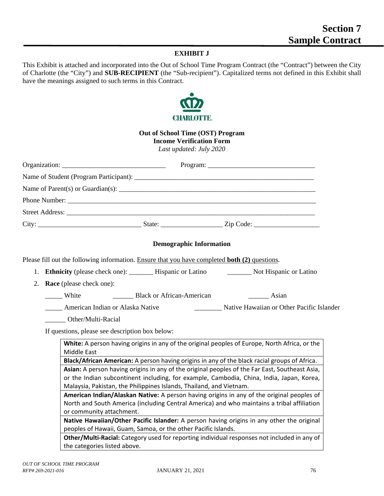## **EXHIBIT J**

This Exhibit is attached and incorporated into the Out of School Time Program Contract (the "Contract") between the City of Charlotte (the "City") and **SUB-RECIPIENT** (the "Sub-recipient"). Capitalized terms not defined in this Exhibit shall have the meanings assigned to such terms in this Contract.



|    | <b>Out of School Time (OST) Program</b><br><b>Income Verification Form</b><br>Last updated: July 2020                                                                                                                                                             |
|----|-------------------------------------------------------------------------------------------------------------------------------------------------------------------------------------------------------------------------------------------------------------------|
|    | Organization:                                                                                                                                                                                                                                                     |
|    |                                                                                                                                                                                                                                                                   |
|    |                                                                                                                                                                                                                                                                   |
|    |                                                                                                                                                                                                                                                                   |
|    |                                                                                                                                                                                                                                                                   |
|    |                                                                                                                                                                                                                                                                   |
|    | <b>Demographic Information</b>                                                                                                                                                                                                                                    |
|    | Please fill out the following information. Ensure that you have completed both (2) questions.                                                                                                                                                                     |
| 1. | Ethnicity (please check one): __________ Hispanic or Latino _____________ Not Hispanic or Latino                                                                                                                                                                  |
| 2. | <b>Race</b> (please check one):                                                                                                                                                                                                                                   |
|    | _____ White                                                                                                                                                                                                                                                       |
|    | <b>Example 21 American Indian or Alaska Native</b><br>Native Hawaiian or Other Pacific Islander                                                                                                                                                                   |
|    | Other/Multi-Racial                                                                                                                                                                                                                                                |
|    | If questions, please see description box below:                                                                                                                                                                                                                   |
|    | White: A person having origins in any of the original peoples of Europe, North Africa, or the<br>Middle East                                                                                                                                                      |
|    | Black/African American: A person having origins in any of the black racial groups of Africa.                                                                                                                                                                      |
|    | Asian: A person having origins in any of the original peoples of the Far East, Southeast Asia,<br>or the Indian subcontinent including, for example, Cambodia, China, India, Japan, Korea,<br>Malaysia, Pakistan, the Philippines Islands, Thailand, and Vietnam. |
|    | American Indian/Alaskan Native: A person having origins in any of the original peoples of<br>North and South America (including Central America) and who maintains a tribal affiliation<br>or community attachment.                                               |
|    | Native Hawaiian/Other Pacific Islander: A person having origins in any other the original                                                                                                                                                                         |
|    | peoples of Hawaii, Guam, Samoa, or the other Pacific Islands.                                                                                                                                                                                                     |
|    | Other/Multi-Racial: Category used for reporting individual responses not included in any of                                                                                                                                                                       |

the categories listed above.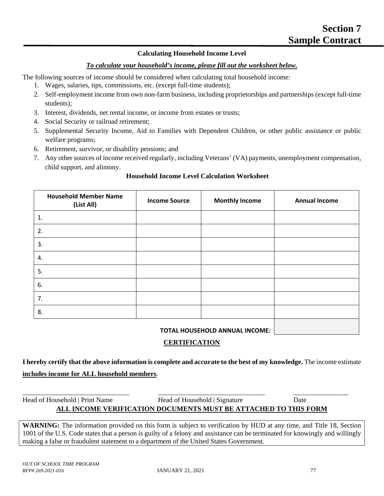## **Calculating Household Income Level**

#### *To calculate your household's income, please fill out the worksheet below.*

The following sources of income should be considered when calculating total household income:

- 1. Wages, salaries, tips, commissions, etc. (except full-time students);
- 2. Self-employment income from own non-farm business, including proprietorships and partnerships (except full-time students);
- 3. Interest, dividends, net rental income, or income from estates or trusts;
- 4. Social Security or railroad retirement;
- 5. Supplemental Security Income, Aid to Families with Dependent Children, or other public assistance or public welfare programs;
- 6. Retirement, survivor, or disability pensions; and
- 7. Any other sources of income received regularly, including Veterans' (VA) payments, unemployment compensation, child support, and alimony.

## **Household Income Level Calculation Worksheet**

| <b>Household Member Name</b><br>(List All) | <b>Income Source</b> | <b>Monthly Income</b> | <b>Annual Income</b> |
|--------------------------------------------|----------------------|-----------------------|----------------------|
| 1.                                         |                      |                       |                      |
| 2.                                         |                      |                       |                      |
| 3.                                         |                      |                       |                      |
| 4.                                         |                      |                       |                      |
| 5.                                         |                      |                       |                      |
| 6.                                         |                      |                       |                      |
| 7.                                         |                      |                       |                      |
| 8.                                         |                      |                       |                      |
|                                            |                      |                       |                      |

#### **TOTAL HOUSEHOLD ANNUAL INCOME:**

#### **CERTIFICATION**

**I hereby certify that the above information is complete and accurate to the best of my knowledge.** The income estimate **includes income for ALL household members**.

| Head of Household   Print Name | Head of Household   Signature                                   | Date |
|--------------------------------|-----------------------------------------------------------------|------|
|                                | ALL INCOME VERIFICATION DOCUMENTS MUST BE ATTACHED TO THIS FORM |      |

**WARNING:** The information provided on this form is subject to verification by HUD at any time, and Title 18, Section 1001 of the U.S. Code states that a person is guilty of a felony and assistance can be terminated for knowingly and willingly making a false or fraudulent statement to a department of the United States Government.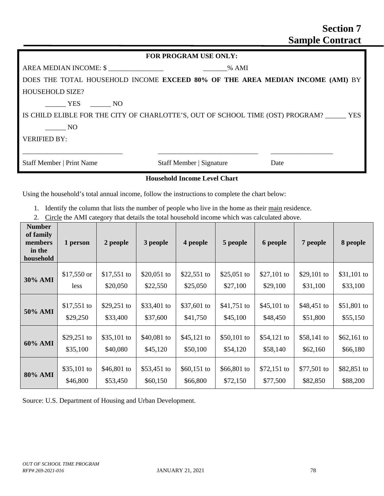| <b>FOR PROGRAM USE ONLY:</b>                                                       |  |  |                                 |  |      |  |
|------------------------------------------------------------------------------------|--|--|---------------------------------|--|------|--|
|                                                                                    |  |  |                                 |  |      |  |
| DOES THE TOTAL HOUSEHOLD INCOME EXCEED 80% OF THE AREA MEDIAN INCOME (AMI) BY      |  |  |                                 |  |      |  |
| <b>HOUSEHOLD SIZE?</b>                                                             |  |  |                                 |  |      |  |
| YES NO                                                                             |  |  |                                 |  |      |  |
| IS CHILD ELIBLE FOR THE CITY OF CHARLOTTE'S, OUT OF SCHOOL TIME (OST) PROGRAM? YES |  |  |                                 |  |      |  |
| N <sub>O</sub>                                                                     |  |  |                                 |  |      |  |
| <b>VERIFIED BY:</b>                                                                |  |  |                                 |  |      |  |
|                                                                                    |  |  |                                 |  |      |  |
| Staff Member   Print Name                                                          |  |  | <b>Staff Member   Signature</b> |  | Date |  |

#### **Household Income Level Chart**

Using the household's total annual income, follow the instructions to complete the chart below:

- 1. Identify the column that lists the number of people who live in the home as their main residence.
- 2. Circle the AMI category that details the total household income which was calculated above.

| <b>Number</b><br>of family<br>members<br>in the<br>household | 1 person     | 2 people    | 3 people    | 4 people    | 5 people    | 6 people    | 7 people     | 8 people    |
|--------------------------------------------------------------|--------------|-------------|-------------|-------------|-------------|-------------|--------------|-------------|
| <b>30% AMI</b>                                               | $$17,550$ or | \$17,551 to | \$20,051 to | \$22,551 to | \$25,051 to | \$27,101 to | \$29,101 to  | \$31,101 to |
|                                                              | less         | \$20,050    | \$22,550    | \$25,050    | \$27,100    | \$29,100    | \$31,100     | \$33,100    |
| 50% AMI                                                      | \$17,551 to  | \$29,251 to | \$33,401 to | \$37,601 to | \$41,751 to | \$45,101 to | \$48,451 to  | \$51,801 to |
|                                                              | \$29,250     | \$33,400    | \$37,600    | \$41,750    | \$45,100    | \$48,450    | \$51,800     | \$55,150    |
| 60% AMI                                                      | \$29,251 to  | \$35,101 to | \$40,081 to | \$45,121 to | \$50,101 to | \$54,121 to | \$58,141 to  | \$62,161 to |
|                                                              | \$35,100     | \$40,080    | \$45,120    | \$50,100    | \$54,120    | \$58,140    | \$62,160     | \$66,180    |
| 80% AMI                                                      | \$35,101 to  | \$46,801 to | \$53,451 to | \$60,151 to | \$66,801 to | \$72,151 to | $$77,501$ to | \$82,851 to |
|                                                              | \$46,800     | \$53,450    | \$60,150    | \$66,800    | \$72,150    | \$77,500    | \$82,850     | \$88,200    |

Source: U.S. Department of Housing and Urban Development.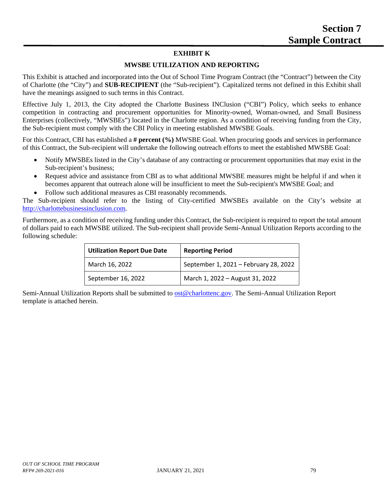## **EXHIBIT K**

#### **MWSBE UTILIZATION AND REPORTING**

This Exhibit is attached and incorporated into the Out of School Time Program Contract (the "Contract") between the City of Charlotte (the "City") and **SUB-RECIPIENT** (the "Sub-recipient"). Capitalized terms not defined in this Exhibit shall have the meanings assigned to such terms in this Contract.

Effective July 1, 2013, the City adopted the Charlotte Business INClusion ("CBI") Policy, which seeks to enhance competition in contracting and procurement opportunities for Minority-owned, Woman-owned, and Small Business Enterprises (collectively, "MWSBEs") located in the Charlotte region. As a condition of receiving funding from the City, the Sub-recipient must comply with the CBI Policy in meeting established MWSBE Goals.

For this Contract, CBI has established a **# percent (%)** MWSBE Goal. When procuring goods and services in performance of this Contract, the Sub-recipient will undertake the following outreach efforts to meet the established MWSBE Goal:

- Notify MWSBEs listed in the City's database of any contracting or procurement opportunities that may exist in the Sub-recipient's business;
- Request advice and assistance from CBI as to what additional MWSBE measures might be helpful if and when it becomes apparent that outreach alone will be insufficient to meet the Sub-recipient's MWSBE Goal; and
- Follow such additional measures as CBI reasonably recommends.

The Sub-recipient should refer to the listing of City-certified MWSBEs available on the City's website at [http://charlottebusinessinclusion.com.](http://charlottebusinessinclusion.com/)

Furthermore, as a condition of receiving funding under this Contract, the Sub-recipient is required to report the total amount of dollars paid to each MWSBE utilized. The Sub-recipient shall provide Semi-Annual Utilization Reports according to the following schedule:

| <b>Utilization Report Due Date</b> | <b>Reporting Period</b>               |  |  |
|------------------------------------|---------------------------------------|--|--|
| March 16, 2022                     | September 1, 2021 - February 28, 2022 |  |  |
| September 16, 2022                 | March 1, 2022 - August 31, 2022       |  |  |

Semi-Annual Utilization Reports shall be submitted to [ost@charlottenc.gov.](mailto:ost@charlottenc.gov) The Semi-Annual Utilization Report template is attached herein.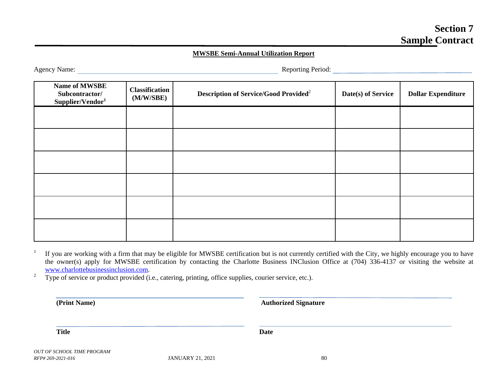#### **MWSBE Semi-Annual Utilization Report**

Agency Name: Reporting Period:

| Name of MWSBE<br>Subcontractor/<br>Supplier/Vendor <sup>1</sup> | Classification<br>(M/W/SBE) | <b>Description of Service/Good Provided<sup>2</sup></b> | Date(s) of Service | <b>Dollar Expenditure</b> |
|-----------------------------------------------------------------|-----------------------------|---------------------------------------------------------|--------------------|---------------------------|
|                                                                 |                             |                                                         |                    |                           |
|                                                                 |                             |                                                         |                    |                           |
|                                                                 |                             |                                                         |                    |                           |
|                                                                 |                             |                                                         |                    |                           |
|                                                                 |                             |                                                         |                    |                           |
|                                                                 |                             |                                                         |                    |                           |

<sup>1</sup> If you are working with a firm that may be eligible for MWSBE certification but is not currently certified with the City, we highly encourage you to have the owner(s) apply for MWSBE certification by contacting the Charlotte Business INClusion Office at (704) 336-4137 or visiting the website at [www.charlottebusinessinclusion.com.](http://www.charlottebusinessinclusion.com/)

<sup>2</sup> Type of service or product provided (i.e., catering, printing, office supplies, courier service, etc.).

**(Print Name) Authorized Signature**

**Title Date**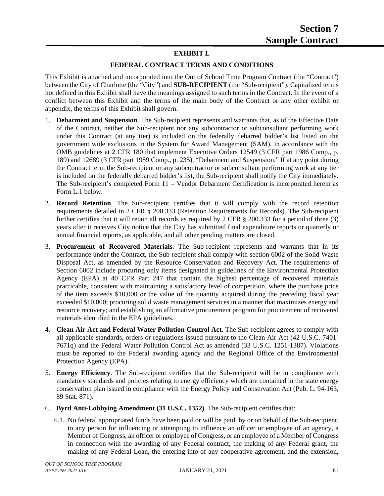# **EXHIBIT L**

# **FEDERAL CONTRACT TERMS AND CONDITIONS**

This Exhibit is attached and incorporated into the Out of School Time Program Contract (the "Contract") between the City of Charlotte (the "City") and **SUB-RECIPIENT** (the "Sub-recipient"). Capitalized terms not defined in this Exhibit shall have the meanings assigned to such terms in the Contract. In the event of a conflict between this Exhibit and the terms of the main body of the Contract or any other exhibit or appendix, the terms of this Exhibit shall govern.

- 1. **Debarment and Suspension**. The Sub-recipient represents and warrants that, as of the Effective Date of the Contract, neither the Sub-recipient nor any subcontractor or subconsultant performing work under this Contract (at any tier) is included on the federally debarred bidder's list listed on the government wide exclusions in the System for Award Management (SAM), in accordance with the OMB guidelines at 2 CFR 180 that implement Executive Orders 12549 (3 CFR part 1986 Comp., p. 189) and 12689 (3 CFR part 1989 Comp., p. 235), "Debarment and Suspension." If at any point during the Contract term the Sub-recipient or any subcontractor or subconsultant performing work at any tier is included on the federally debarred bidder's list, the Sub-recipient shall notify the City immediately. The Sub-recipient's completed Form 11 – Vendor Debarment Certification is incorporated herein as Form L.1 below.
- 2. **Record Retention**. The Sub-recipient certifies that it will comply with the record retention requirements detailed in 2 CFR § 200.333 (Retention Requirements for Records). The Sub-recipient further certifies that it will retain all records as required by 2 CFR § 200.333 for a period of three (3) years after it receives City notice that the City has submitted final expenditure reports or quarterly or annual financial reports, as applicable, and all other pending matters are closed.
- 3. **Procurement of Recovered Materials**. The Sub-recipient represents and warrants that in its performance under the Contract, the Sub-recipient shall comply with section 6002 of the Solid Waste Disposal Act, as amended by the Resource Conservation and Recovery Act. The requirements of Section 6002 include procuring only items designated in guidelines of the Environmental Protection Agency (EPA) at 40 CFR Part 247 that contain the highest percentage of recovered materials practicable, consistent with maintaining a satisfactory level of competition, where the purchase price of the item exceeds \$10,000 or the value of the quantity acquired during the preceding fiscal year exceeded \$10,000; procuring solid waste management services in a manner that maximizes energy and resource recovery; and establishing an affirmative procurement program for procurement of recovered materials identified in the EPA guidelines.
- 4. **Clean Air Act and Federal Water Pollution Control Act**. The Sub-recipient agrees to comply with all applicable standards, orders or regulations issued pursuant to the Clean Air Act (42 U.S.C. 7401- 7671q) and the Federal Water Pollution Control Act as amended (33 U.S.C. 1251-1387). Violations must be reported to the Federal awarding agency and the Regional Office of the Environmental Protection Agency (EPA).
- 5. **Energy Efficiency**. The Sub-recipient certifies that the Sub-recipient will be in compliance with mandatory standards and policies relating to energy efficiency which are contained in the state energy conservation plan issued in compliance with the Energy Policy and Conservation Act (Pub. L. 94-163, 89 Stat. 871).
- 6. **Byrd Anti-Lobbying Amendment (31 U.S.C. 1352)**. The Sub-recipient certifies that:
	- 6.1. No federal appropriated funds have been paid or will be paid, by or on behalf of the Sub-recipient, to any person for influencing or attempting to influence an officer or employee of an agency, a Member of Congress, an officer or employee of Congress, or an employee of a Member of Congress in connection with the awarding of any Federal contract, the making of any Federal grant, the making of any Federal Loan, the entering into of any cooperative agreement, and the extension,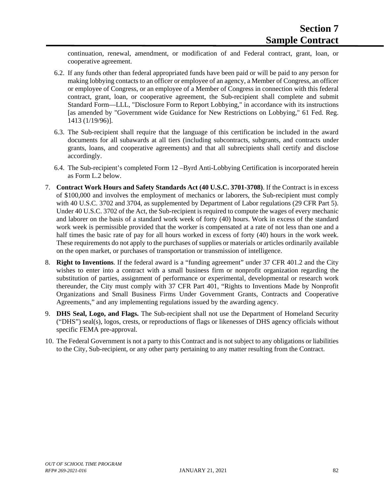continuation, renewal, amendment, or modification of and Federal contract, grant, loan, or cooperative agreement.

- 6.2. If any funds other than federal appropriated funds have been paid or will be paid to any person for making lobbying contacts to an officer or employee of an agency, a Member of Congress, an officer or employee of Congress, or an employee of a Member of Congress in connection with this federal contract, grant, loan, or cooperative agreement, the Sub-recipient shall complete and submit Standard Form—LLL, "Disclosure Form to Report Lobbying," in accordance with its instructions [as amended by "Government wide Guidance for New Restrictions on Lobbying," 61 Fed. Reg. 1413 (1/19/96)].
- 6.3. The Sub-recipient shall require that the language of this certification be included in the award documents for all subawards at all tiers (including subcontracts, subgrants, and contracts under grants, loans, and cooperative agreements) and that all subrecipients shall certify and disclose accordingly.
- 6.4. The Sub-recipient's completed Form 12 –Byrd Anti-Lobbying Certification is incorporated herein as Form L.2 below.
- 7. **Contract Work Hours and Safety Standards Act (40 U.S.C. 3701-3708)**. If the Contract is in excess of \$100,000 and involves the employment of mechanics or laborers, the Sub-recipient must comply with 40 U.S.C. 3702 and 3704, as supplemented by Department of Labor regulations (29 CFR Part 5). Under 40 U.S.C. 3702 of the Act, the Sub-recipient is required to compute the wages of every mechanic and laborer on the basis of a standard work week of forty (40) hours. Work in excess of the standard work week is permissible provided that the worker is compensated at a rate of not less than one and a half times the basic rate of pay for all hours worked in excess of forty (40) hours in the work week. These requirements do not apply to the purchases of supplies or materials or articles ordinarily available on the open market, or purchases of transportation or transmission of intelligence.
- 8. **Right to Inventions**. If the federal award is a "funding agreement" under 37 CFR 401.2 and the City wishes to enter into a contract with a small business firm or nonprofit organization regarding the substitution of parties, assignment of performance or experimental, developmental or research work thereunder, the City must comply with 37 CFR Part 401, "Rights to Inventions Made by Nonprofit Organizations and Small Business Firms Under Government Grants, Contracts and Cooperative Agreements," and any implementing regulations issued by the awarding agency.
- 9. **DHS Seal, Logo, and Flags.** The Sub-recipient shall not use the Department of Homeland Security ("DHS") seal(s), logos, crests, or reproductions of flags or likenesses of DHS agency officials without specific FEMA pre-approval.
- 10. The Federal Government is not a party to this Contract and is not subject to any obligations or liabilities to the City, Sub-recipient, or any other party pertaining to any matter resulting from the Contract.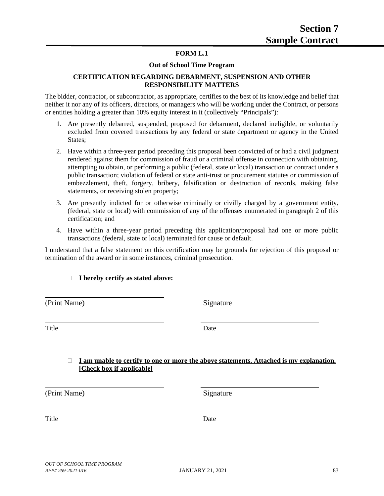#### **FORM L.1**

#### **Out of School Time Program**

#### **CERTIFICATION REGARDING DEBARMENT, SUSPENSION AND OTHER RESPONSIBILITY MATTERS**

The bidder, contractor, or subcontractor, as appropriate, certifies to the best of its knowledge and belief that neither it nor any of its officers, directors, or managers who will be working under the Contract, or persons or entities holding a greater than 10% equity interest in it (collectively "Principals"):

- 1. Are presently debarred, suspended, proposed for debarment, declared ineligible, or voluntarily excluded from covered transactions by any federal or state department or agency in the United States;
- 2. Have within a three-year period preceding this proposal been convicted of or had a civil judgment rendered against them for commission of fraud or a criminal offense in connection with obtaining, attempting to obtain, or performing a public (federal, state or local) transaction or contract under a public transaction; violation of federal or state anti-trust or procurement statutes or commission of embezzlement, theft, forgery, bribery, falsification or destruction of records, making false statements, or receiving stolen property;
- 3. Are presently indicted for or otherwise criminally or civilly charged by a government entity, (federal, state or local) with commission of any of the offenses enumerated in paragraph 2 of this certification; and
- 4. Have within a three-year period preceding this application/proposal had one or more public transactions (federal, state or local) terminated for cause or default.

I understand that a false statement on this certification may be grounds for rejection of this proposal or termination of the award or in some instances, criminal prosecution.

#### **I hereby certify as stated above:**

(Print Name) Signature

Title Date

#### **I am unable to certify to one or more the above statements. Attached is my explanation. [Check box if applicable]**

(Print Name) Signature

Title Date